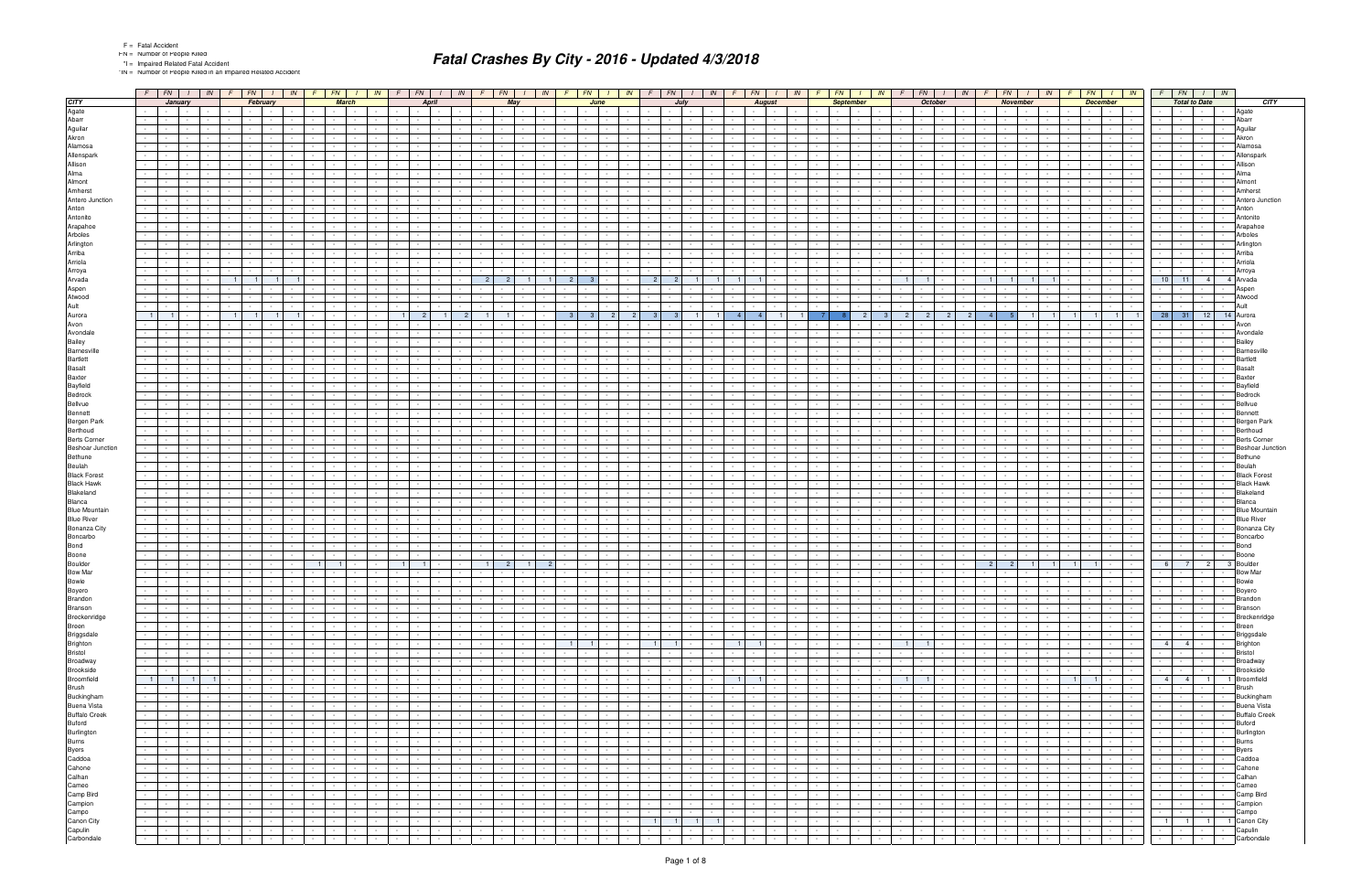\*IN = Number of People Killed in an Impaired Related Accident

|                                                                                             |                      | $F$ $FN$ $I$ $N$              |                                                |                                   |                             | $F$ $FN$ $I$                                                                                                                                                                                                                   | IN               | $F$ $FN$                                              |                                        | IN                            |                                       | $F$ FN                                  |                                               | IN              |                          | $FN$   $1$                                  |                                                | IN                           | $F \parallel FN$                      |                                   |                                    | $IN$ $F$                      | FN                                                         | IN                                 | F.                                                   | FN                                      |                                     | IN               | FN  <br>IN                                                                                                                 |                  | FN                                       | IN                                               |                                                    | FN                                                    |                                                              | $\parallel$ M $\parallel$ F                 | $FN$   $1$<br>IN                                                                                                               | FN                                                                       |                                                                                                     | $\frac{1}{1}$ IN                                                                  |                              |
|---------------------------------------------------------------------------------------------|----------------------|-------------------------------|------------------------------------------------|-----------------------------------|-----------------------------|--------------------------------------------------------------------------------------------------------------------------------------------------------------------------------------------------------------------------------|------------------|-------------------------------------------------------|----------------------------------------|-------------------------------|---------------------------------------|-----------------------------------------|-----------------------------------------------|-----------------|--------------------------|---------------------------------------------|------------------------------------------------|------------------------------|---------------------------------------|-----------------------------------|------------------------------------|-------------------------------|------------------------------------------------------------|------------------------------------|------------------------------------------------------|-----------------------------------------|-------------------------------------|------------------|----------------------------------------------------------------------------------------------------------------------------|------------------|------------------------------------------|--------------------------------------------------|----------------------------------------------------|-------------------------------------------------------|--------------------------------------------------------------|---------------------------------------------|--------------------------------------------------------------------------------------------------------------------------------|--------------------------------------------------------------------------|-----------------------------------------------------------------------------------------------------|-----------------------------------------------------------------------------------|------------------------------|
| <b>CITY</b>                                                                                 |                      | January                       |                                                |                                   |                             | February                                                                                                                                                                                                                       |                  |                                                       | <b>March</b>                           |                               |                                       | April                                   |                                               |                 |                          | May                                         |                                                |                              |                                       | June                              |                                    |                               | July                                                       |                                    |                                                      |                                         | <b>August</b>                       |                  | <b>September</b>                                                                                                           |                  | <b>October</b>                           |                                                  |                                                    | <b>November</b>                                       |                                                              |                                             | <b>December</b>                                                                                                                |                                                                          | <b>Total to Date</b>                                                                                |                                                                                   | <b>CITY</b>                  |
| Agate                                                                                       |                      |                               |                                                |                                   |                             | <b>Service</b>                                                                                                                                                                                                                 |                  |                                                       |                                        |                               |                                       |                                         |                                               |                 |                          |                                             |                                                |                              |                                       |                                   |                                    |                               |                                                            |                                    |                                                      |                                         |                                     |                  |                                                                                                                            |                  |                                          |                                                  |                                                    |                                                       |                                                              |                                             |                                                                                                                                |                                                                          |                                                                                                     |                                                                                   | Agate                        |
| Abarr                                                                                       |                      |                               |                                                |                                   |                             |                                                                                                                                                                                                                                |                  |                                                       |                                        |                               |                                       |                                         |                                               |                 |                          |                                             |                                                |                              |                                       |                                   |                                    |                               |                                                            |                                    |                                                      |                                         |                                     |                  |                                                                                                                            |                  |                                          |                                                  |                                                    |                                                       |                                                              |                                             |                                                                                                                                |                                                                          |                                                                                                     |                                                                                   | Abarr                        |
| Aguilar<br>Akron                                                                            |                      |                               |                                                |                                   |                             |                                                                                                                                                                                                                                |                  |                                                       |                                        |                               |                                       |                                         |                                               |                 |                          |                                             |                                                |                              |                                       |                                   |                                    |                               |                                                            |                                    |                                                      |                                         |                                     |                  |                                                                                                                            |                  |                                          |                                                  |                                                    |                                                       |                                                              |                                             |                                                                                                                                |                                                                          |                                                                                                     |                                                                                   | Aquilar<br>Akron             |
| Alamosa                                                                                     |                      |                               |                                                |                                   |                             |                                                                                                                                                                                                                                |                  |                                                       |                                        |                               |                                       |                                         |                                               |                 |                          |                                             |                                                |                              |                                       |                                   |                                    |                               |                                                            |                                    |                                                      |                                         |                                     |                  |                                                                                                                            |                  |                                          |                                                  |                                                    |                                                       |                                                              |                                             |                                                                                                                                |                                                                          |                                                                                                     |                                                                                   | Alamosa                      |
| Allenspark                                                                                  |                      |                               |                                                |                                   |                             |                                                                                                                                                                                                                                |                  |                                                       |                                        |                               |                                       |                                         |                                               |                 |                          |                                             |                                                |                              |                                       |                                   |                                    |                               |                                                            |                                    |                                                      |                                         |                                     |                  |                                                                                                                            |                  |                                          |                                                  |                                                    |                                                       |                                                              |                                             |                                                                                                                                |                                                                          |                                                                                                     |                                                                                   | Allenspar                    |
| Allison                                                                                     |                      |                               |                                                |                                   |                             |                                                                                                                                                                                                                                |                  |                                                       |                                        |                               |                                       |                                         |                                               |                 |                          |                                             |                                                |                              |                                       |                                   |                                    |                               |                                                            |                                    |                                                      |                                         |                                     |                  |                                                                                                                            |                  |                                          |                                                  |                                                    |                                                       |                                                              |                                             |                                                                                                                                |                                                                          |                                                                                                     |                                                                                   | Allisor                      |
| Alma                                                                                        |                      |                               |                                                |                                   |                             |                                                                                                                                                                                                                                |                  |                                                       |                                        |                               |                                       |                                         |                                               |                 |                          |                                             |                                                |                              |                                       |                                   |                                    |                               |                                                            |                                    |                                                      |                                         |                                     |                  |                                                                                                                            |                  |                                          |                                                  |                                                    |                                                       |                                                              |                                             |                                                                                                                                |                                                                          |                                                                                                     |                                                                                   | Alma                         |
| Almont                                                                                      |                      |                               |                                                |                                   |                             |                                                                                                                                                                                                                                |                  |                                                       |                                        |                               |                                       |                                         |                                               |                 |                          |                                             |                                                |                              |                                       |                                   |                                    |                               |                                                            |                                    |                                                      |                                         |                                     |                  |                                                                                                                            |                  |                                          |                                                  |                                                    |                                                       |                                                              |                                             |                                                                                                                                |                                                                          |                                                                                                     |                                                                                   | Almont                       |
| Amherst                                                                                     |                      |                               |                                                |                                   |                             |                                                                                                                                                                                                                                |                  |                                                       |                                        |                               |                                       |                                         |                                               |                 |                          |                                             |                                                |                              |                                       |                                   |                                    |                               |                                                            |                                    |                                                      |                                         |                                     |                  |                                                                                                                            |                  |                                          |                                                  |                                                    |                                                       |                                                              |                                             |                                                                                                                                |                                                                          |                                                                                                     |                                                                                   | Amhers                       |
| Antero Junction                                                                             |                      |                               |                                                |                                   |                             |                                                                                                                                                                                                                                |                  |                                                       |                                        |                               |                                       |                                         |                                               |                 |                          |                                             |                                                |                              |                                       |                                   |                                    |                               |                                                            |                                    |                                                      |                                         |                                     |                  |                                                                                                                            |                  |                                          |                                                  |                                                    |                                                       |                                                              |                                             |                                                                                                                                |                                                                          |                                                                                                     |                                                                                   | Antero Junction              |
| Anton<br>Antonito                                                                           |                      |                               |                                                |                                   |                             |                                                                                                                                                                                                                                |                  |                                                       |                                        |                               |                                       |                                         |                                               |                 |                          |                                             |                                                |                              |                                       |                                   |                                    |                               |                                                            |                                    |                                                      |                                         |                                     |                  |                                                                                                                            |                  |                                          |                                                  |                                                    |                                                       |                                                              |                                             |                                                                                                                                |                                                                          |                                                                                                     |                                                                                   | Anton<br>Antonito            |
| Arapahoe                                                                                    |                      |                               |                                                |                                   |                             |                                                                                                                                                                                                                                |                  |                                                       |                                        |                               |                                       |                                         |                                               |                 |                          |                                             |                                                |                              |                                       |                                   |                                    |                               |                                                            |                                    |                                                      |                                         |                                     |                  |                                                                                                                            |                  |                                          |                                                  |                                                    |                                                       |                                                              |                                             |                                                                                                                                |                                                                          |                                                                                                     |                                                                                   | Arapahoe                     |
| Arboles                                                                                     |                      |                               |                                                |                                   |                             |                                                                                                                                                                                                                                |                  |                                                       |                                        |                               |                                       |                                         |                                               |                 |                          |                                             |                                                |                              |                                       |                                   |                                    |                               |                                                            |                                    |                                                      |                                         |                                     |                  |                                                                                                                            |                  |                                          |                                                  |                                                    |                                                       |                                                              |                                             |                                                                                                                                |                                                                          |                                                                                                     |                                                                                   | Arbole:                      |
| Arlington                                                                                   |                      |                               |                                                |                                   |                             |                                                                                                                                                                                                                                |                  |                                                       |                                        |                               |                                       |                                         |                                               |                 |                          |                                             |                                                |                              |                                       |                                   |                                    |                               |                                                            |                                    |                                                      |                                         |                                     |                  |                                                                                                                            |                  |                                          |                                                  |                                                    |                                                       |                                                              |                                             |                                                                                                                                |                                                                          |                                                                                                     |                                                                                   | Arlinato                     |
| Arriba                                                                                      |                      |                               |                                                |                                   |                             |                                                                                                                                                                                                                                |                  |                                                       |                                        |                               |                                       |                                         |                                               |                 |                          |                                             |                                                |                              |                                       |                                   |                                    |                               |                                                            |                                    |                                                      |                                         |                                     |                  |                                                                                                                            |                  |                                          |                                                  |                                                    |                                                       |                                                              |                                             |                                                                                                                                |                                                                          |                                                                                                     |                                                                                   | Arriba                       |
| Arriola                                                                                     |                      |                               |                                                |                                   |                             |                                                                                                                                                                                                                                |                  |                                                       |                                        |                               |                                       |                                         |                                               |                 |                          |                                             |                                                |                              |                                       |                                   |                                    |                               |                                                            |                                    |                                                      |                                         |                                     |                  |                                                                                                                            |                  |                                          |                                                  |                                                    |                                                       |                                                              |                                             |                                                                                                                                |                                                                          |                                                                                                     |                                                                                   | Arriola                      |
| Arroya                                                                                      |                      |                               |                                                |                                   |                             |                                                                                                                                                                                                                                |                  |                                                       |                                        |                               |                                       |                                         |                                               |                 |                          |                                             |                                                |                              |                                       |                                   |                                    |                               |                                                            |                                    |                                                      |                                         |                                     |                  |                                                                                                                            |                  |                                          |                                                  |                                                    |                                                       |                                                              |                                             |                                                                                                                                |                                                                          |                                                                                                     |                                                                                   |                              |
| Arvada                                                                                      |                      |                               |                                                |                                   |                             |                                                                                                                                                                                                                                |                  |                                                       |                                        |                               |                                       |                                         |                                               |                 |                          |                                             |                                                |                              | $\overline{2}$                        |                                   |                                    |                               |                                                            |                                    |                                                      |                                         |                                     |                  |                                                                                                                            |                  |                                          |                                                  |                                                    |                                                       |                                                              |                                             |                                                                                                                                | 10<br>11                                                                 | $\overline{4}$                                                                                      |                                                                                   | Arvada                       |
| Aspen<br>Atwood                                                                             |                      |                               |                                                |                                   |                             |                                                                                                                                                                                                                                |                  |                                                       |                                        |                               |                                       |                                         |                                               |                 |                          |                                             |                                                |                              |                                       |                                   |                                    |                               |                                                            |                                    |                                                      |                                         |                                     |                  |                                                                                                                            |                  |                                          |                                                  |                                                    |                                                       |                                                              |                                             |                                                                                                                                |                                                                          |                                                                                                     |                                                                                   | Atwood                       |
| Ault                                                                                        |                      |                               |                                                |                                   |                             |                                                                                                                                                                                                                                |                  |                                                       |                                        |                               |                                       |                                         |                                               |                 |                          |                                             |                                                |                              |                                       |                                   |                                    |                               |                                                            |                                    |                                                      |                                         |                                     |                  |                                                                                                                            |                  |                                          |                                                  |                                                    |                                                       |                                                              |                                             |                                                                                                                                |                                                                          |                                                                                                     |                                                                                   |                              |
| Aurora                                                                                      |                      |                               |                                                |                                   |                             |                                                                                                                                                                                                                                |                  |                                                       |                                        |                               |                                       |                                         |                                               |                 |                          |                                             |                                                |                              | - 3                                   |                                   |                                    |                               |                                                            |                                    |                                                      |                                         |                                     |                  |                                                                                                                            |                  |                                          |                                                  |                                                    |                                                       |                                                              |                                             |                                                                                                                                | 28<br>31                                                                 | 12                                                                                                  |                                                                                   | 14 Aurora                    |
| Avon                                                                                        |                      |                               |                                                |                                   |                             |                                                                                                                                                                                                                                |                  |                                                       |                                        |                               |                                       |                                         |                                               |                 |                          |                                             |                                                |                              |                                       |                                   |                                    |                               |                                                            |                                    |                                                      |                                         |                                     |                  |                                                                                                                            |                  |                                          |                                                  |                                                    |                                                       |                                                              |                                             |                                                                                                                                |                                                                          |                                                                                                     |                                                                                   |                              |
| Avondale                                                                                    |                      |                               |                                                |                                   |                             |                                                                                                                                                                                                                                |                  |                                                       |                                        |                               |                                       |                                         |                                               |                 |                          |                                             |                                                |                              |                                       |                                   |                                    |                               |                                                            |                                    |                                                      |                                         |                                     |                  |                                                                                                                            |                  |                                          |                                                  |                                                    |                                                       |                                                              |                                             |                                                                                                                                |                                                                          |                                                                                                     |                                                                                   | Avonda                       |
| Bailey                                                                                      |                      |                               |                                                |                                   |                             |                                                                                                                                                                                                                                |                  |                                                       |                                        |                               |                                       |                                         |                                               |                 |                          |                                             |                                                |                              |                                       |                                   |                                    |                               |                                                            |                                    |                                                      |                                         |                                     |                  |                                                                                                                            |                  |                                          |                                                  |                                                    |                                                       |                                                              |                                             |                                                                                                                                |                                                                          |                                                                                                     |                                                                                   |                              |
| Barnesville                                                                                 |                      |                               |                                                |                                   |                             |                                                                                                                                                                                                                                |                  |                                                       |                                        |                               |                                       |                                         |                                               |                 |                          |                                             |                                                |                              |                                       |                                   |                                    |                               |                                                            |                                    |                                                      |                                         |                                     |                  |                                                                                                                            |                  |                                          |                                                  |                                                    |                                                       |                                                              |                                             |                                                                                                                                |                                                                          |                                                                                                     |                                                                                   | <b>Barnesy</b>               |
| <b>Bartlett</b>                                                                             |                      |                               |                                                |                                   |                             |                                                                                                                                                                                                                                |                  |                                                       |                                        |                               |                                       |                                         |                                               |                 |                          |                                             |                                                |                              |                                       |                                   |                                    |                               |                                                            |                                    |                                                      |                                         |                                     |                  |                                                                                                                            |                  |                                          |                                                  |                                                    |                                                       |                                                              |                                             |                                                                                                                                |                                                                          |                                                                                                     |                                                                                   |                              |
| <b>Basalt</b><br>Baxter                                                                     |                      |                               |                                                |                                   |                             |                                                                                                                                                                                                                                |                  |                                                       |                                        |                               |                                       |                                         |                                               |                 |                          |                                             |                                                |                              |                                       |                                   |                                    |                               |                                                            |                                    |                                                      |                                         |                                     |                  |                                                                                                                            |                  |                                          |                                                  |                                                    |                                                       |                                                              |                                             |                                                                                                                                |                                                                          |                                                                                                     |                                                                                   | Baxte                        |
| Bayfield                                                                                    |                      |                               |                                                |                                   |                             |                                                                                                                                                                                                                                |                  |                                                       |                                        |                               |                                       |                                         |                                               |                 |                          |                                             |                                                |                              |                                       |                                   |                                    |                               |                                                            |                                    |                                                      |                                         |                                     |                  |                                                                                                                            |                  |                                          |                                                  |                                                    |                                                       |                                                              |                                             |                                                                                                                                |                                                                          |                                                                                                     |                                                                                   |                              |
| Bedrock                                                                                     |                      |                               |                                                |                                   |                             |                                                                                                                                                                                                                                |                  |                                                       |                                        |                               |                                       |                                         |                                               |                 |                          |                                             |                                                |                              |                                       |                                   |                                    |                               |                                                            |                                    |                                                      |                                         |                                     |                  |                                                                                                                            |                  |                                          |                                                  |                                                    |                                                       |                                                              |                                             |                                                                                                                                |                                                                          |                                                                                                     |                                                                                   |                              |
| Bellvue                                                                                     |                      |                               |                                                |                                   |                             |                                                                                                                                                                                                                                |                  |                                                       |                                        |                               |                                       |                                         |                                               |                 |                          |                                             |                                                |                              |                                       |                                   |                                    |                               |                                                            |                                    |                                                      |                                         |                                     |                  |                                                                                                                            |                  |                                          |                                                  |                                                    |                                                       |                                                              |                                             |                                                                                                                                |                                                                          |                                                                                                     |                                                                                   |                              |
| Bennett                                                                                     |                      |                               |                                                |                                   |                             |                                                                                                                                                                                                                                |                  |                                                       |                                        |                               |                                       |                                         |                                               |                 |                          |                                             |                                                |                              |                                       |                                   |                                    |                               |                                                            |                                    |                                                      |                                         |                                     |                  |                                                                                                                            |                  |                                          |                                                  |                                                    |                                                       |                                                              |                                             |                                                                                                                                |                                                                          |                                                                                                     |                                                                                   |                              |
| Bergen Park                                                                                 |                      |                               |                                                |                                   |                             |                                                                                                                                                                                                                                |                  |                                                       |                                        |                               |                                       |                                         |                                               |                 |                          |                                             |                                                |                              |                                       |                                   |                                    |                               |                                                            |                                    |                                                      |                                         |                                     |                  |                                                                                                                            |                  |                                          |                                                  |                                                    |                                                       |                                                              |                                             |                                                                                                                                |                                                                          |                                                                                                     |                                                                                   |                              |
| Berthoud                                                                                    |                      |                               |                                                |                                   |                             |                                                                                                                                                                                                                                |                  |                                                       |                                        |                               |                                       |                                         |                                               |                 |                          |                                             |                                                |                              |                                       |                                   |                                    |                               |                                                            |                                    |                                                      |                                         |                                     |                  |                                                                                                                            |                  |                                          |                                                  |                                                    |                                                       |                                                              |                                             |                                                                                                                                |                                                                          |                                                                                                     |                                                                                   | Berthoud                     |
| <b>Berts Corner</b><br><b>Beshoar Junction</b>                                              |                      |                               |                                                |                                   |                             |                                                                                                                                                                                                                                |                  |                                                       |                                        |                               |                                       |                                         |                                               |                 |                          |                                             |                                                |                              |                                       |                                   |                                    |                               |                                                            |                                    |                                                      |                                         |                                     |                  |                                                                                                                            |                  |                                          |                                                  |                                                    |                                                       |                                                              |                                             |                                                                                                                                |                                                                          |                                                                                                     |                                                                                   | <b>Berts Corne</b>           |
| Bethune                                                                                     |                      |                               |                                                |                                   |                             |                                                                                                                                                                                                                                |                  |                                                       |                                        |                               |                                       |                                         |                                               |                 |                          |                                             |                                                |                              |                                       |                                   |                                    |                               |                                                            |                                    |                                                      |                                         |                                     |                  |                                                                                                                            |                  |                                          |                                                  |                                                    |                                                       |                                                              |                                             |                                                                                                                                |                                                                          |                                                                                                     |                                                                                   | Beshoar Junction<br>Bethune  |
| Beulah                                                                                      |                      |                               |                                                |                                   |                             |                                                                                                                                                                                                                                |                  |                                                       |                                        |                               |                                       |                                         |                                               |                 |                          |                                             |                                                |                              |                                       |                                   |                                    |                               |                                                            |                                    |                                                      |                                         |                                     |                  |                                                                                                                            |                  |                                          |                                                  |                                                    |                                                       |                                                              |                                             |                                                                                                                                |                                                                          |                                                                                                     |                                                                                   | Beulah                       |
| <b>Black Forest</b>                                                                         |                      |                               |                                                |                                   |                             |                                                                                                                                                                                                                                |                  |                                                       |                                        |                               |                                       |                                         |                                               |                 |                          |                                             |                                                |                              |                                       |                                   |                                    |                               |                                                            |                                    |                                                      |                                         |                                     |                  |                                                                                                                            |                  |                                          |                                                  |                                                    |                                                       |                                                              |                                             |                                                                                                                                |                                                                          |                                                                                                     |                                                                                   | <b>Black Forest</b>          |
| <b>Black Hawk</b>                                                                           |                      |                               |                                                |                                   |                             |                                                                                                                                                                                                                                |                  |                                                       |                                        |                               |                                       |                                         |                                               |                 |                          |                                             |                                                |                              |                                       |                                   |                                    |                               |                                                            |                                    |                                                      |                                         |                                     |                  |                                                                                                                            |                  |                                          |                                                  |                                                    |                                                       |                                                              |                                             |                                                                                                                                |                                                                          |                                                                                                     |                                                                                   | Black Hawk                   |
| Blakeland                                                                                   |                      |                               |                                                |                                   |                             |                                                                                                                                                                                                                                |                  |                                                       |                                        |                               |                                       |                                         |                                               |                 |                          |                                             |                                                |                              |                                       |                                   |                                    |                               |                                                            |                                    |                                                      |                                         |                                     |                  |                                                                                                                            |                  |                                          |                                                  |                                                    |                                                       |                                                              |                                             |                                                                                                                                |                                                                          |                                                                                                     |                                                                                   | llakelanc                    |
| Blanca                                                                                      |                      |                               |                                                |                                   |                             |                                                                                                                                                                                                                                |                  |                                                       |                                        |                               |                                       |                                         |                                               |                 |                          |                                             |                                                |                              |                                       |                                   |                                    |                               |                                                            |                                    |                                                      |                                         |                                     |                  |                                                                                                                            |                  |                                          |                                                  |                                                    |                                                       |                                                              |                                             |                                                                                                                                |                                                                          |                                                                                                     |                                                                                   | }lanca                       |
| <b>Blue Mountain</b>                                                                        |                      |                               |                                                |                                   |                             |                                                                                                                                                                                                                                |                  |                                                       |                                        |                               |                                       |                                         |                                               |                 |                          |                                             |                                                |                              |                                       |                                   |                                    |                               |                                                            |                                    |                                                      |                                         |                                     |                  |                                                                                                                            |                  |                                          |                                                  |                                                    |                                                       |                                                              |                                             |                                                                                                                                |                                                                          |                                                                                                     |                                                                                   |                              |
| <b>Blue River</b><br>Bonanza City                                                           |                      |                               |                                                |                                   |                             |                                                                                                                                                                                                                                |                  |                                                       |                                        |                               |                                       |                                         |                                               |                 |                          |                                             |                                                |                              |                                       |                                   |                                    |                               |                                                            |                                    |                                                      |                                         |                                     |                  |                                                                                                                            |                  |                                          |                                                  |                                                    |                                                       |                                                              |                                             |                                                                                                                                |                                                                          |                                                                                                     |                                                                                   | Bonanza City                 |
| Boncarbo                                                                                    |                      |                               |                                                |                                   |                             |                                                                                                                                                                                                                                |                  |                                                       |                                        |                               |                                       |                                         |                                               |                 |                          |                                             |                                                |                              |                                       |                                   |                                    |                               |                                                            |                                    |                                                      |                                         |                                     |                  |                                                                                                                            |                  |                                          |                                                  |                                                    |                                                       |                                                              |                                             |                                                                                                                                |                                                                          |                                                                                                     |                                                                                   | <b>Boncarbo</b>              |
| Bond                                                                                        |                      |                               |                                                |                                   |                             |                                                                                                                                                                                                                                |                  |                                                       |                                        |                               |                                       |                                         |                                               |                 |                          |                                             |                                                |                              |                                       |                                   |                                    |                               |                                                            |                                    |                                                      |                                         |                                     |                  |                                                                                                                            |                  |                                          |                                                  |                                                    |                                                       |                                                              |                                             |                                                                                                                                |                                                                          |                                                                                                     |                                                                                   | Bond                         |
| Boone                                                                                       |                      |                               |                                                |                                   |                             |                                                                                                                                                                                                                                |                  |                                                       |                                        |                               |                                       |                                         |                                               |                 |                          |                                             |                                                |                              |                                       |                                   |                                    |                               |                                                            |                                    |                                                      |                                         |                                     |                  |                                                                                                                            |                  |                                          |                                                  |                                                    |                                                       |                                                              |                                             |                                                                                                                                |                                                                          |                                                                                                     |                                                                                   |                              |
| Boulder                                                                                     |                      |                               |                                                |                                   |                             |                                                                                                                                                                                                                                |                  | $\overline{1}$                                        |                                        |                               |                                       |                                         |                                               |                 |                          |                                             |                                                |                              |                                       |                                   |                                    |                               |                                                            |                                    |                                                      |                                         |                                     |                  |                                                                                                                            |                  |                                          |                                                  | $\overline{2}$                                     |                                                       |                                                              |                                             |                                                                                                                                | 6 <sup>1</sup><br>7 <sup>1</sup>                                         | 2 <sup>1</sup>                                                                                      |                                                                                   | Boulde                       |
| <b>Bow Mar</b>                                                                              |                      |                               |                                                |                                   |                             |                                                                                                                                                                                                                                |                  |                                                       |                                        |                               |                                       |                                         |                                               |                 |                          |                                             |                                                |                              |                                       |                                   |                                    |                               |                                                            |                                    |                                                      |                                         |                                     |                  |                                                                                                                            |                  |                                          |                                                  |                                                    |                                                       |                                                              |                                             |                                                                                                                                |                                                                          |                                                                                                     |                                                                                   |                              |
| Bowie                                                                                       |                      |                               |                                                |                                   |                             |                                                                                                                                                                                                                                |                  |                                                       |                                        |                               |                                       |                                         |                                               |                 |                          |                                             |                                                |                              |                                       |                                   |                                    |                               |                                                            |                                    |                                                      |                                         |                                     |                  |                                                                                                                            |                  |                                          |                                                  |                                                    |                                                       |                                                              |                                             |                                                                                                                                |                                                                          |                                                                                                     |                                                                                   |                              |
| Boyero<br>Brandon                                                                           | $\sim$               | $\sim 100$                    | <b>State State</b><br><b>Contract Contract</b> | $\sim 100$                        | $\sim$                      | $\mathbf{1}$ $\mathbf{1}$ $\mathbf{1}$<br>the contract of the con-                                                                                                                                                             | $\sim$ $-$       | $\sim$                                                | <b>Contract</b><br>$\sim$              | <b>Contract</b>               | $\sim 100$                            |                                         |                                               |                 | <b>Service</b> Service   |                                             | $\mathbf{1}$ and $\mathbf{1}$ and $\mathbf{1}$ | $\sim 10^{-1}$               | $\sim$ $\sim$<br>the contract of      |                                   | 1.7.1.7.<br>$\sim$<br>$\sim$ $  -$ | <b>Contract</b>               | $\sim$ $-$<br><b>Contract Contract</b>                     | <b>Contract Contract</b>           | $\sim$                                               | <b>State State</b><br><b>Contractor</b> | .                                   | <b>Contract</b>  | स्तानि<br><b>Contract Contract</b><br>$\sim$ $-$<br><b>Contract</b>                                                        | $\sim$           | <b>Service</b>                           | $\sim$ $-$<br><b>Contract</b>                    |                                                    | $\mathbf{I}$ and $\mathbf{I}$<br>$\sim$ $\sim$ $\sim$ | and the property of the con-<br>$\sim 10^{-10}$ km s $^{-1}$ | $-1 - 1 - 1 - 1$                            | <u> 1999 - 1999 - 1999 - 1999 - 1999 - 1999 - 1999 - 1999 - 1999 - 1999 - 1999 - 1999 - 1999 - 1999 - 1999 - 199</u><br>$\sim$ | <u>   -   -   -   -</u>                                                  |                                                                                                     |                                                                                   | <b>Boyero</b><br>Brandon     |
|                                                                                             |                      |                               | $\sim 10^{-11}$                                | $\sim 10^{-1}$                    | $\Delta \sim 100$           | the contract of the con-                                                                                                                                                                                                       |                  | $\sim$ 100 $\pm$                                      | $\sim$                                 | <b>Contract</b>               |                                       | <b>Contract</b><br>$\sim$ $-$           | the contract of the con-<br>the contract of   |                 | <b>Contract Contract</b> | $\sim 100$                                  | <b>Contract</b>                                |                              | the contract of                       |                                   |                                    | <b>Contract</b>               | $\sim$<br>$\sim 10^{-11}$                                  | $\sim 10^{-1}$                     | $\sim$ $-$                                           | <b>Contract Contract Contract</b>       | <b>Contract</b><br>$\sim 10^{-11}$  | $\sim$ 100 $\mu$ | $\sim$<br><b>Contract</b>                                                                                                  |                  | <b>Service</b>                           | $\sim$ $-$<br>$\sim$ $-$                         | $\sim$ $-$                                         | $\sim 10^{-11}$                                       | and the state of the state                                   | <b>Contract</b>                             | <b>Contract Contract Contract</b>                                                                                              | $\sim$ $\sim$ $\sim$ $\sim$                                              | and the discount                                                                                    |                                                                                   | <b>Branson</b>               |
| Branson<br>Breckenridge                                                                     |                      | $\sim 10^{-10}$               | <b>Second Control</b>                          |                                   |                             | $-1 - 1 - 1 - 1$                                                                                                                                                                                                               | $\sim$           | the contract of the con-                              | $\sim$                                 | $\mathbf{I}$ and $\mathbf{I}$ |                                       | the control of the                      | the contract of                               |                 |                          |                                             |                                                | $\sim 10^{-1}$               | <b>Service</b> Service                |                                   | $\sim$<br>$\sim$ $\sim$            | <b>Contract</b>               | $\sim 10^{-1}$                                             | <b>Contract Contract</b>           | $\sim 10^{-1}$                                       |                                         | the contract of the con-            |                  | $\sim$<br><b>Contract Contract</b><br>$\sim$ $-$                                                                           | $\sim$           | <b>Contract Contract</b>                 | $\sim 10^{-11}$                                  |                                                    | the contract of the con-                              | and the state                                                |                                             | $\sim$                                                                                                                         | <u>le le le pro</u>                                                      |                                                                                                     |                                                                                   | Breckenridge                 |
| <b>Breen</b>                                                                                | $\sim 10^{-1}$       | $\sim$                        | $\sim 10^{-11}$                                | $\sim 10^{-1}$                    |                             | the contract of the contract of the con-                                                                                                                                                                                       | $\sim$           | $\sim$                                                | <b>Contract</b><br>$\sim$ $-$          | $\sim 10^{-11}$               | $\sim$                                | $\sim 10^{-11}$                         | and the control                               |                 | $\sim 10^{-10}$          | $\sim 10^{-11}$                             | $\sim 10^{-10}$ m $^{-1}$                      | $\sim$                       | the contract of                       | $\sim$                            | $\sim 10^{-1}$                     | $\sim 10^{-11}$               | $\sim 10^{-1}$<br>$\sim 10^{-11}$                          | $\sim 10^{-1}$                     | $\sim 10^{-1}$                                       | <b>Contract</b>                         | $\sim 10^{-11}$                     | $\sim 10^{-1}$   | $\sim$<br>$\mathbf{I}$ $\mathbf{I}$<br>$\sim 10^{-1}$<br>$\sim$                                                            | $\sim$           | $\sim$ $\sim$ $\sim$                     | $\sim 10^{-1}$                                   | $\sim 10^{-11}$<br>$\sim 10^{-11}$                 | $\sim 10^{-11}$                                       | <b>Contract Contract</b>                                     | <b>Contract</b>                             | <b>Contract Contract</b><br>$\sim$                                                                                             | $1 - 1$                                                                  | 그리고 1호                                                                                              |                                                                                   | Breen                        |
| Breen<br>Briggsdale<br>Brighton                                                             |                      | $\sim$ 10 $\pm$               | $\sim 10^{-11}$                                | $\sim$ 100 $\pm$                  |                             | $-1 - 1 - 1 - 1$                                                                                                                                                                                                               |                  | $\sim 10^{-11}$<br><b>Contractor</b>                  | $\sim$                                 | $\sim$ 100 $\pm$              | $\sim$                                | $\sim 10^{-11}$                         | the contract of the con-                      |                 | $\sim$ $-$               | the contract of                             |                                                | $\sim$ $-$                   | the contract of the                   | $\sim$ $-$                        | $\sim$                             | $\sim$ $-$                    | $\sim$ $-$<br>$\sim 10^{-11}$                              | $\sim$ 10 $\pm$                    | $\sim 10^{-11}$                                      |                                         | the company of the com-             | $\sim 100$       | $\sim$<br><b>Contract Contract</b><br>$\sim$ $-$<br>$\sim$                                                                 | $\sim$           | $\sim$ $\sim$                            | $\sim$ $-$<br>$\sim$ $-$                         | <b>Contract Contract</b>                           | $\sim 10^{-11}$                                       | the contract of the con-                                     | <b>Contract</b>                             | the contract of the<br>$\sim$                                                                                                  | $\sim$ $\sim$ $\sim$ $\sim$                                              |                                                                                                     |                                                                                   | -   -   - Briggsdale         |
|                                                                                             |                      | $\sim$ $-$                    | $\sim 10^{-11}$                                |                                   |                             | $-1 - 1 - 1 - 1$                                                                                                                                                                                                               |                  | $\sim$                                                | $\sim$ $-$<br><b>Contract Contract</b> | $\sim$ $-$                    | $\sim$ $-$                            | $\sim 10^{-11}$                         | $\sim$ $-$                                    | $\sim 10^{-11}$ | $\sim$ $\sim$ $\sim$     | $\sim 10^{-10}$                             | <b>Contract</b>                                | $\sim$                       | $1 \quad 1$                           | <b>Contract</b>                   | $\sim$                             |                               | $-1$ $1$ $-1$                                              | $\sim 10^{-1}$                     |                                                      |                                         |                                     | $\sim 100$       | $\sim$<br><b>Contract</b><br>$\sim$ $-$<br><b>Contract</b>                                                                 |                  |                                          | $\sim$ $-$                                       | $\sim$ $-$                                         | $\sim 10^{-11}$                                       | <b>Contract Contract</b>                                     | <b>Contract</b>                             | the company of the com-                                                                                                        | 44.1                                                                     |                                                                                                     |                                                                                   | Brighton                     |
| Bristol                                                                                     |                      | $\sim 10^{-1}$                | $\sim$ $-$                                     | $\sim 100$                        |                             | the contract of the contract of the con-                                                                                                                                                                                       | $\sim$           | <b>Service Control</b>                                | $\sim$                                 | $\mathbf{I}$                  | $\sim$                                | $\mathbf{1}$ and $\mathbf{1}$           | and the control                               |                 | <b>Second Control</b>    |                                             | $\mathbf{I}$ and $\mathbf{I}$                  | $\sim$                       | the contract of                       | $\sim$                            | $\sim$                             | $\sim 10^{-11}$               | $\sim 10^{-11}$<br>$\sim$                                  | $\sim 10^{-1}$                     | $\sim 10^{-1}$                                       |                                         | and the control of the              | $\sim 100$       | $\sim$ $-$<br>$\sim$ $-$<br>$\sim$ $-$                                                                                     | $\sim$           | $\sim$ $\sim$ $\sim$                     | $\sim 10^{-1}$<br>$\sim 10^{-1}$                 |                                                    | $\sim 10^{-10}$                                       | the contract of                                              | <b>Contract</b>                             | <b>Contract Contract</b><br>$\sim$                                                                                             | $\sim$ $-$                                                               | the contract of the contract of the con-                                                            |                                                                                   | <b>Bristol</b>               |
| <b>Broadway</b><br>Brookside                                                                | $\sim$ 100 $\mu$     | $\sim 100$<br>$\sim 10^{-1}$  | $\sim$ $-$<br>$\sim 10^{-11}$                  | $\sim$ 100 $\pm$<br>$\sim$ $\sim$ | $\sim$ $\sim$<br>$\sim 100$ | and the state of the state<br>and the state of the state                                                                                                                                                                       |                  | $\sim$ 100 $\pm$<br><b>Contract</b><br>$\sim$         | $\sim$<br>$\sim$                       | <b>Contract</b>               | $\sim$<br>$\sim$ $-$                  | $\sim 10^{-11}$<br>$\sim$ $-$           | the contract of the con-<br>$\sim$ $-$        | $\sim 100$      | <b>Contract Contract</b> | the contract of the con-<br>$\sim 10^{-11}$ | $\sim 100$ km s $^{-1}$                        | $\sim$<br>$\sim$             | the contract of the<br>the contract   | $\sim$ $-$                        | $\sim$<br>$\sim$                   | $\sim$<br>$\sim 10^{-11}$     | $\sim$<br>$\sim 10^{-11}$<br>$\sim$<br>$\sim 10^{-11}$     | $\sim$<br>$\sim$ $-$               | $\sim$<br>$\sim 10^{-1}$                             | $\sim 10^{-10}$                         | the contract of<br>$\sim 10^{-11}$  | $\sim$           | $\sim$<br><b>Contractor</b><br>$\sim$ $-$<br>$\sim$<br><b>Contract</b><br>$\sim$ $-$                                       | $\sim$           | $\sim$ $\sim$<br>$\sim$ $-$              | $\sim$ $-$<br>$\sim$<br>$\sim$ $-$<br>$\sim$ $-$ | $\sim 10^{-11}$<br>$\sim$ $\sim$                   | $\sim 10^{-11}$<br>$\sim$ $  -$                       | the contract of<br><b>Contract Contract</b>                  | $\sim 10^{-11}$                             | the contract of the<br>$\sim$<br><b>Contract Contract</b>                                                                      | $\sim$ $-$<br>$\sim$ $\sim$ $\sim$ $\sim$                                | $-1 - 1 - 1 - 1$<br>$-1 - 1 - 1 -$                                                                  |                                                                                   | Broadway<br><b>Brookside</b> |
| Broomfield                                                                                  |                      | $1 \t1 \t1$ $1$ $1$           |                                                |                                   |                             | the contract of the contract of the con-                                                                                                                                                                                       |                  | <b>Second Contract</b>                                | $\sim$                                 | $\mathbf{I}$                  | $\sim$                                | $\sim$                                  | the contract of                               |                 | <b>Service</b>           | and the contract of                         |                                                | $\sim$                       | the contract of                       |                                   | $\sim$<br>$\sim$ $\sim$ $\sim$     | $\sim 10^{-11}$               | $\sim 10^{-1}$                                             | $\sim 100$                         |                                                      |                                         | $1 \quad 1$                         | $\sim 100$       | $\sim$ $-$<br>$\sim$ $-$                                                                                                   |                  | $1 \quad 1$                              |                                                  | $\sim 10^{-11}$                                    | and the contract                                      | the contract of                                              |                                             | $1 \quad 1$<br>$\sim$                                                                                                          |                                                                          |                                                                                                     |                                                                                   | 4 4 1 1 Broomfield           |
|                                                                                             |                      | $\sim$ $\sim$                 | $\sim 10^{-11}$                                | $\sim 100$                        | $\sim 10^{-1}$              | and the state of the state                                                                                                                                                                                                     | $\sim$           | $\sim$ $-$                                            | $\sim$<br>$\sim 10^{-11}$              | <b>Contract</b>               | $\sim$                                | $\sim$ $-$                              | and the control                               |                 | $-1$                     | <b>Contract Contract</b>                    |                                                | $\sim$ $-$                   | the company                           | <b>Service</b>                    | $\sim$                             | $\sim$ $-$                    | $\sim$ $-$<br>$\sim 10^{-11}$                              | $\sim 10^{-1}$                     | $\sim$                                               | <b>Service</b>                          | $\sim 10^{-11}$                     | $\sim 100$       | $\sim$<br>$\mathbf{r}$ = $\mathbf{r}$<br>$\sim$ $-$                                                                        | $\sim$           | $\sim$ $-$                               | $\sim 10^{-1}$                                   | $\sim$ $  -$<br>$\sim 10^{-1}$                     | $\sim 10^{-11}$                                       | and the state                                                | $\sim$ 100 $\mu$                            | the contract of the con-<br>$\sim$                                                                                             | $\sim$ $\sim$ $\sim$ $\sim$                                              |                                                                                                     | $\overline{\cdot}$ $\overline{\cdot}$ $\overline{\cdot}$ $\overline{\cdot}$ Brush |                              |
|                                                                                             |                      | $\sim$ $\sim$                 | $\sim 10^{-11}$                                | $\sim 100$                        |                             | $-1 - 1 - 1 - 1$                                                                                                                                                                                                               |                  | $\sim$<br><b>Contract</b>                             | $\sim$                                 | <b>Contract</b>               | $\sim$                                | $\sim$ $-$                              | the contract of the con-                      |                 | <b>Service</b>           | $\sim 100$                                  | $\sim 100$ km s $^{-1}$                        | $\sim$ $-$                   | the control of the                    | $\sim$                            | $\sim$                             | $\sim$ $-$                    | $\sim 10^{-10}$<br>$\sim$ $-$                              | $\sim 100$                         | $\sim$                                               | $\sim 10^{-10}$                         | $\sim 100$                          | $\sim 100$       | $\sim$<br>$\sim$ $-$<br><b>Contract Contract</b>                                                                           |                  |                                          | $\sim 10^{-1}$<br>$\sim$                         | $\sim 10^{-1}$                                     | $\sim 10^{-10}$                                       | the contract of                                              | $\sim$ 100 $\mu$                            | the contract of<br>$\sim$                                                                                                      | .                                                                        |                                                                                                     |                                                                                   | Buckingham                   |
|                                                                                             |                      |                               | $\sim 10^{-10}$                                | $\sim 10^{-11}$                   |                             | the contract of the contract                                                                                                                                                                                                   |                  | $\sim 100$<br>$\sim$ $-$                              | $\sim$                                 | <b>Contract</b>               | $\sim$                                | $\sim 10^{-11}$                         | the contract of                               |                 | the contract of          |                                             | $\sim 100$ km s $^{-1}$                        | $\sim$ $-$                   | <b>Contract Contract</b>              | $\sim$                            | $\sim$ $-$                         | $\sim 10^{-11}$               | $\sim$ $\sim$<br>$\sim 10^{-10}$                           | $\sim 10^{-11}$                    | $\overline{\mathcal{L}}$                             |                                         | the contract of                     | $\sim 100$       | $\sim$<br><b>1999</b><br>$\sim$ $-$<br>$\sim$                                                                              | $\sim$           | $\sim$ $-$                               | $\sim$ $-$<br>$\sim 10^{-11}$                    | <b>Contract Contract Contract</b>                  | <b>Contract</b>                                       | and the state of the state                                   | <b>Contract</b>                             | the contract of                                                                                                                | $\sim$ - $\sim$ 1.                                                       | the contract of the contract of the                                                                 |                                                                                   | <b>Buena Vista</b>           |
|                                                                                             | $\sim$ $\sim$        | $\sim$ $-$                    | <b>Second Control</b>                          |                                   |                             | $-1 - 1 - 1 - 1$                                                                                                                                                                                                               |                  | $\sim$                                                | $\sim$                                 | $\sim 10^{-11}$               | $\sim$                                | $\sim 10^{-11}$                         | the contract of                               |                 |                          | <b>Contract Contract</b>                    |                                                | $\sim$                       | the control of the                    |                                   | $\sim 10^{-10}$<br>$\sim$ $-$      | $\sim$ $-$                    | $\sim$<br>$\sim 10^{-11}$                                  | $\sim$                             | $\sim 10^{-1}$                                       |                                         | and the contract                    | $\sim 100$       | $\sim$<br>$\sim$ 100 $\pm$ 100 $\pm$<br>$\sim$ $-$                                                                         | $\sim$           | $\sim$ $\sim$                            | $\sim 10^{-1}$                                   | $\sim 10^{-11}$                                    | $\sim 10^{-11}$                                       | and the state                                                | $\sim 10^{-1}$                              | <b>Contract Contract Contract</b><br>$\sim$                                                                                    | $\sim$ - $\sim$ 1.                                                       | 그리고 1호                                                                                              |                                                                                   | <b>Buffalo Creek</b>         |
|                                                                                             |                      |                               | $\sim 10^{-11}$                                |                                   |                             | the contract of the con-                                                                                                                                                                                                       |                  | $\sim$ 10 $\pm$<br><b>Service</b>                     | $\sim$                                 |                               | $\sim$                                | <b>Contract Contract</b>                | $\sim 10^{-11}$                               | $\sim 10^{-11}$ | <b>Service</b>           | $\sim 10^{-11}$                             | <b>Contract</b>                                | $\sim$                       | the contract                          | $\sim$                            | $\sim$ $-$                         | <b>Contract Contract</b>      | $\sim 10^{-11}$<br>$\sim$                                  | $\sim 100$                         | $\sim 10^{-1}$<br>$\sim 10^{-11}$                    | <b>Contract</b>                         | $\sim 10^{-1}$                      |                  | $\sim$<br><b>Contractor</b><br>$\sim$                                                                                      |                  | <b>Contract Contract</b>                 | $\sim$ $\sim$<br>$\sim 10^{-11}$                 | $\sim 10^{-1}$                                     | $\sim 10^{-11}$                                       | the contract of                                              | <b>Service</b>                              | the contract of the con-<br>$\sim$                                                                                             | ட்- ⊥                                                                    | and the collection                                                                                  |                                                                                   | <b>Buford</b>                |
| Broommed<br>Buckingham<br>Buckingham<br>Buffalo Creek<br>Buffalo<br>Burns<br>Byers<br>Byers | $\sim$ $-$           | $\sim$ 10 $\pm$<br>$\sim$ $-$ | $\sim 10^{-11}$<br>the contract                | $\sim$ 100 $\pm$                  |                             | the contract of the contract of<br>$-1 - 1 - 1 - 1$                                                                                                                                                                            | $\sim$           | $\sim$<br><b>Contract</b><br>$\sim$                   | $\sim$<br>$\sim$                       | $\sim$ 100 $\pm$<br>$\sim$    | $\sim$ $\sim$ $\sim$ $\sim$<br>$\sim$ | <b>Contract</b><br>$\sim$               | the contract of the<br>$\sim$ $\sim$ $\sim$   | $\sim 10^{-11}$ | <b>Contract Contract</b> | $\sim 100$<br>and the contract of the con-  | <b>Common</b>                                  | $\sim$<br>$\sim$             | the contract of<br>the control of the | $\sim$ $-$<br>$\sim$ $-$          | $\sim$<br>$\sim$ $-$               | $\sim 10^{-11}$<br>$\sim$ $-$ | $\sim 10^{-11}$<br>$\sim$ $-$<br>$\sim$<br>$\sim 10^{-11}$ | $\sim 100$<br>$\sim$ $-$           | $\sim 10^{-1}$                                       |                                         | $\sim 100$<br>$\sim 10^{-11}$       | $\sim 100$       | $\sim$<br><b>Contract Contract</b><br>$\sim$ $-$<br>$\sim 10^{-11}$<br>$\sim$<br>$\sim$ $\sim$ $\sim$ $\sim$<br>$\sim$ $-$ | $\sim$           | $\sim$ $\sim$<br>$\sim$ $\sim$ $\sim$    | $\sim 10^{-1}$<br>$\sim 10^{-11}$<br>$\sim$      | $\sim$ $  -$<br>$\sim$ $-$<br>$\sim 10^{-11}$      | $\sim 10^{-10}$<br>$\sim 10^{-11}$                    | the contract of<br>the contract of                           | <b>Contract</b><br>$\sim 10^{-11}$          | the contract of the con-<br>$\sim$<br><b>Contract Contract Contract</b><br>$\sim$                                              | $\sim$ - $\sim$ 1.                                                       | the contract of the contract of the                                                                 |                                                                                   | Burlington<br><b>Burns</b>   |
|                                                                                             |                      | $\sim$ $\sim$                 | $\sim 10^{-10}$                                | $\sim$ 10 $\pm$                   |                             | the contract of the contract of the contract of the contract of the contract of the contract of the contract of the contract of the contract of the contract of the contract of the contract of the contract of the contract o |                  | $\Delta \sim 10^{-11}$<br><b>Contract Contract</b>    | $\sim$                                 |                               | $\sim$                                | <b>Contract Contract</b>                |                                               | $\sim 10^{-11}$ | <b>Service</b>           | $\sim 10^{-11}$                             | <b>Contractor</b>                              | $\sim$                       | the contract of                       | $\sim$                            | $\sim$ $-$                         | $\sim 10^{-11}$               | $\sim 10^{-11}$<br>$\sim$                                  | $\sim 10^{-1}$                     | - F. 1                                               | $\sim 10^{-11}$                         | $\sim 10^{-11}$                     |                  | $\sim 10^{-1}$<br><b>Contractor</b><br>$\sim$                                                                              |                  | $\sim$ $\sim$ $\sim$                     | $\sim$ $\sim$<br>$\sim 10^{-11}$                 |                                                    | $\sim 10^{-11}$                                       | the contract of                                              | <b>Service</b>                              | the contract of<br>$\sim$                                                                                                      | .                                                                        |                                                                                                     |                                                                                   | <b>Byers</b>                 |
| Caddoa                                                                                      | $\sim$               | $\sim 10^{-1}$                | $\sim 10^{-11}$                                | $\sim$ 100 $\pm$                  |                             | the contract of the contract of                                                                                                                                                                                                | $\sim$           | $\sim 100$<br><b>Contractor</b>                       | $\sim$                                 | <b>Contract</b>               |                                       | and the co                              | the contract of                               |                 | <b>Contract Contract</b> | $\sim 100$                                  | $\sim 100$ km s $^{-1}$                        | $\sim$ $-$                   | the contract of                       | $\sim$                            | $\sim$                             | $\sim 10^{-11}$               | $\sim 10^{-11}$<br>$\sim$ $-$                              | $\sim 100$                         | $\sim 10^{-11}$                                      |                                         | $\sim 100$                          | $\sim 100$       | $\sim$<br><b>1999</b><br>$\sim$ $-$<br><b>Contract</b>                                                                     | $\sim$           | $ -$                                     | $\sim 10^{-1}$<br>$\sim$                         | $\sim$ $\sim$ $\sim$                               | $\sim 10^{-10}$                                       | the contract of                                              | <b>Contract</b>                             | and the contract of the con-<br>$\sim$                                                                                         | $\sim$ $\sim$ $\sim$ $\sim$                                              | the contract of the contract of the con-                                                            |                                                                                   | Caddoa                       |
| Cahone                                                                                      | $\sim$ $\sim$ $\sim$ | $\sim$ $-$                    | <b>Contract Contract</b>                       |                                   |                             | the contract of the contract of the con-                                                                                                                                                                                       |                  | $\sim$                                                | $\sim$                                 | <b>Contract</b>               | $\sim$ $-$                            | $\sim 10^{-11}$                         | and the state of the state                    |                 |                          | .                                           |                                                | $\sim 10^{-1}$               | the control of the                    | <b>Service</b>                    | $\sim$ $-$                         | $\sim$ $-$                    | $\sim$ $-$<br>$\sim 10^{-10}$                              | $\sim 10^{-1}$                     | $\sim 10^{-1}$                                       |                                         | <b>Contract Contract Contract</b>   | $\sim$ 100 $\mu$ | $\sim$ $-$<br><b>Contract Contract</b>                                                                                     | $\sim$           | $\sim$ $\sim$ $\sim$                     | $\sim 10^{-1}$<br>$\sim$ $-$                     | <b>Contract Contract Contract</b>                  | <b>Contract</b>                                       | and the state of the state                                   | $\sim 10^{-11}$                             | and the contract of the contract of<br>$\sim$ $-$                                                                              | .                                                                        |                                                                                                     |                                                                                   | Cahone                       |
|                                                                                             |                      | $\sim$ $-$                    | $\sim 10^{-10}$                                | $\sim$ 10 $\pm$                   |                             | the contract of the contract of the con-                                                                                                                                                                                       |                  | $\sim$ $\sim$                                         | $\sim$ $-$<br><b>Contract Contract</b> | <b>Contract</b>               | $\sim$ $-$                            | $\sim 10^{-11}$                         | $\sim$ $\sim$ $\sim$                          | $\sim 10^{-11}$ | $\sim 10^{-10}$          | $\sim 10^{-11}$                             | <b>Contract</b>                                | $\sim$ $-$                   | the contract of                       | $\sim 100$                        | $\sim$ $-$                         | $\sim$ $-$                    | $\sim$ $-$<br>$\sim 10^{-10}$                              | $\sim$ $-$                         | $\sim 10^{-11}$                                      | $\sim 10^{-10}$                         | $\sim 10^{-11}$                     | $\sim$ $-$       | $\sim$ $-$<br><b>1999</b><br>$\sim$ $-$<br>$\sim$ $\sim$                                                                   |                  | $\sim$ $\sim$ $\sim$                     | $\sim 10^{-1}$                                   | <b>Contract</b><br>$\sim 10^{-11}$                 | $\sim$ $-$                                            | and the state of the state                                   | $\sim$ 100 $\mu$                            | the contract of<br>$\sim$                                                                                                      | $\sim 100$ m $^{-1}$                                                     | the contract of the contract of the                                                                 |                                                                                   | Calhan                       |
|                                                                                             | $ -$                 | $\sim$ $\sim$ $\sim$ $\sim$   | <b>Contract Contract</b>                       |                                   |                             | the contract of the contract of the con-                                                                                                                                                                                       | $\sim$           | the contract of                                       | $\sim$                                 | $\mathbf{I}$ and $\mathbf{I}$ |                                       | <b>Service State</b>                    | the contract of                               |                 |                          |                                             |                                                |                              | the control of the                    |                                   | $\sim$ $-$<br>$\sim$ $\sim$        | $\sim 10^{-1}$                | $\sim$ $-$                                                 | $\sim$ $\sim$ $\sim$<br>$\sim 100$ | $\sim 10^{-11}$                                      |                                         | and the contract                    |                  | $-1 - 1$<br>$\sim$ $-$<br><b>Contract</b>                                                                                  | $\sim$           | the company of                           | $\sim 10^{-11}$                                  | $\sim$ $\sim$                                      | $\sim 100$ km s $^{-1}$                               | the contract of                                              | $\sim 10^{-10}$                             | the contract of<br>$\sim$                                                                                                      | Falle   a   a                                                            |                                                                                                     |                                                                                   | Cameo                        |
|                                                                                             |                      | $\sim$ 100 $\mu$              | $\sim 10^{-11}$                                | $\sim 100$                        |                             | the contract of the contract of                                                                                                                                                                                                | $\sim$           | $\sim$<br><b>Contract</b>                             | $\sim$                                 | $\sim 100$                    | $\sim$ $-$                            | <b>Contract</b>                         | and the state of the state                    |                 | <b>Contract Contract</b> | $\sim 100$                                  | <b>Contractor</b>                              | $\sim$ $-$                   | the control of the                    | $\sim 10^{-11}$                   | $\sim$                             | $\sim$ $-$                    | $\sim$ $-$<br>$\sim 10^{-10}$                              | $\sim 10^{-1}$                     | $\sim 10^{-11}$                                      | <b>Contract</b>                         | $\sim 100$                          | $\sim 100$       | $\sim$<br>$\sim$ $-$<br>$\sim$ $-$<br>$\sim$                                                                               | $\sim$           | $\sim$ $\sim$ $\sim$                     | $\sim$ $-$<br>$\sim$ $-$                         | $\sim 10^{-10}$                                    | $\sim 10^{-11}$                                       | and the state                                                | $\sim 10^{-11}$                             | <b>Contract Contract</b><br>$\sim$                                                                                             | $\sim$ - $\sim$ 1.                                                       | المعارض والمنفر                                                                                     |                                                                                   | Camp Bird                    |
|                                                                                             |                      | $\sim 10^{-10}$               | $\sim$ $-$                                     | $\sim 100$                        |                             | $-1 - 1 - 1 - 1$                                                                                                                                                                                                               | $\sim$           | the contract of                                       | $\sim$                                 | <b>Contract</b>               |                                       | the contract of                         | and the state                                 |                 |                          |                                             |                                                | $\sim$ $-$                   | the contract of                       | $\sim$ 100 $\mu$                  | $\sim$                             | $\sim 10^{-11}$               | $\sim 10^{-1}$<br>$\sim 10^{-10}$<br>$\sim$ $\sim$         | $\sim 10^{-1}$                     | $\sim 10^{-1}$                                       |                                         | the contract of                     | $\sim 100$       | $\sim$<br>$\sim$ $-$<br>$\sim 10^{-1}$<br>$\sim 100$                                                                       | $\sim$           | $\sim$ $\sim$ $\sim$                     | $\sim 10^{-1}$<br>$\sim$                         |                                                    | <b>Contract</b>                                       | the contract of                                              | <b>Contract Contract</b>                    | <b>Contract Contract</b>                                                                                                       | $\sim$ $\sim$ $\sim$ $\sim$<br>$\sim$ $\sim$ $\sim$ $\sim$ $\sim$ $\sim$ |                                                                                                     |                                                                                   | $    -$ Campion              |
|                                                                                             | $ -$                 | $\sim 100$                    | $\sim 10^{-11}$                                | $\sim 100$<br>$\sim 100$          |                             | the contract of the contract of the con-<br>the contract of the contract of                                                                                                                                                    | $\sim$<br>$\sim$ | the contract of<br>$\sim$<br><b>Contract Contract</b> | $\sim$<br>$\sim$ $\sim$                | $\sim 10^{-10}$<br>$\sim 100$ | $\sim$                                | <b>Service State</b><br>$\sim 10^{-11}$ | the contract of<br>and the state of the state |                 | <b>Contract Contract</b> | $\sim 100$                                  | <b>Contractor</b>                              | $\sim 10^{-1}$<br>$\sim$ $-$ | the control of the<br>the contract of | <b>Service</b><br><b>Contract</b> | $\sim$<br>$\sim$ $\sim$            | $\sim$ $-$<br>$\vert$ 1       | $-1$                                                       | $\sim 10^{-1}$<br>$\vert$ 1        | $\sim 10^{-1}$<br>$\sim 10^{-1}$<br>$\blacksquare$ 1 | <b>Contract</b>                         | and the contract<br>$\sim 10^{-11}$ | $\sim$           | the contract of the con-<br>$\sim$ $-$<br><b>Contract</b><br>$\sim$<br><b>Contract Contract</b><br>$\sim$ $-$              | $\sim$<br>$\sim$ | <b>Service</b> Service<br><b>Service</b> | $\sim$ $\sim$<br>$\sim$ $-$                      | $\sim 10^{-1}$<br>$\sim$ $\sim$<br><b>Contract</b> | $\sim 100$ km s $^{-1}$<br>$\sim 10^{-11}$            | <b>Contract Contract</b><br>the contract of                  | $\sim 10^{-10}$<br><b>Contract Contract</b> | the contract of<br>$\sim$<br>the contract of the con-<br>$\sim$                                                                |                                                                          |                                                                                                     |                                                                                   | Campo<br>1 1 1 1 Canon City  |
|                                                                                             |                      | $\sim$ $  -$                  | the contract of                                |                                   |                             | the contract of the contract of                                                                                                                                                                                                | $\sim$           | the contract of                                       | $\sim$                                 | $\sim$ $-$                    |                                       | the contract of                         | the contract of                               |                 |                          |                                             |                                                | $\sim 100$                   | the contract of                       | <b>Contract Contract</b>          | $\sim$ $-$                         | $\sim$ $-$                    | $\sim 10^{-1}$<br>$\sim 10^{-11}$                          | <b>Contract</b>                    | $\sim 10^{-11}$                                      |                                         | the contract of                     | $\sim 100$       | $\sim$<br>$\blacksquare$<br>$\sim$ $-$<br>$\sim$ $-$                                                                       | $\sim$           | $\sim$ $\sim$ $\sim$                     | $\sim 10^{-1}$                                   | $\sim 10^{-11}$                                    | the contract of                                       | the contract of                                              | <b>Contract</b>                             | and the contract of the con-<br>$\sim 10^{-1}$                                                                                 | .                                                                        |                                                                                                     |                                                                                   | Capulin                      |
| Calhan<br>Cameo<br>Camp Bird<br>Campion<br>Canon City<br>Capulin<br>Carbondale              |                      | $\sim 10^{-10}$               | <b>Contract Contract</b>                       |                                   |                             | <b>Second Contract Contract</b>                                                                                                                                                                                                | $\sim$ $-$       | $\sim$                                                | $\sim$<br>$\sim 10^{-10}$              | $\sim 10^{-11}$               | $\sim$ $-$                            | $\sim 10^{-11}$                         | <b>Second Second</b>                          |                 |                          |                                             | $-1 - 1 - 1 - 1 - 1$                           |                              | the control of the                    | $\sim 100$                        | $\sim$                             | $\sim 10^{-11}$               | $\sim$<br>$\sim 10^{-11}$                                  | $\sim$ $-$                         | $\sim$                                               |                                         | <b>Contract Contract Contract</b>   | $\sim 100$       | $\sim$<br>$\sim$ $\sim$ $\sim$ $\sim$<br>$\sim$                                                                            |                  | $\sim$ $-$                               | $\sim$                                           | $\sim 10^{-1}$                                     | <b>Contract Contract</b>                              | and the state of                                             | $\sim 10^{-11}$                             | <b>Contract Contract</b><br>$\sim$                                                                                             | $\sim$ $\sim$ $\sim$                                                     | $\overline{a}$ , $\overline{a}$ , $\overline{a}$ , $\overline{a}$ , $\overline{a}$ , $\overline{a}$ |                                                                                   | Carbondale                   |
|                                                                                             |                      |                               |                                                |                                   |                             |                                                                                                                                                                                                                                |                  |                                                       |                                        |                               |                                       |                                         |                                               |                 |                          |                                             |                                                |                              |                                       |                                   |                                    |                               |                                                            |                                    |                                                      |                                         |                                     |                  |                                                                                                                            |                  |                                          |                                                  |                                                    |                                                       |                                                              |                                             |                                                                                                                                |                                                                          |                                                                                                     |                                                                                   |                              |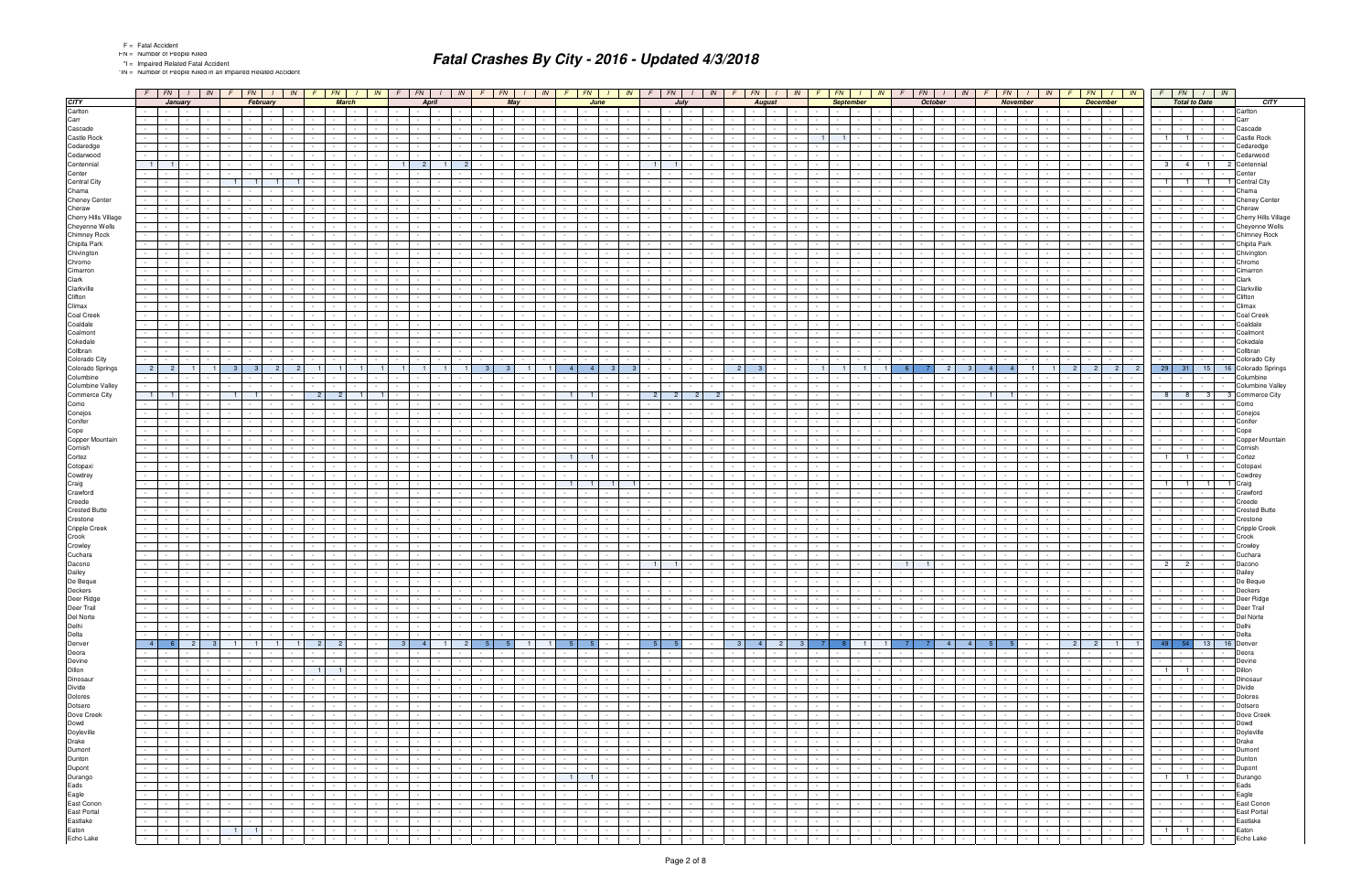\*IN = Number of People Killed in an Impaired Related Accident

|                                            |                | $F$ $FN$ $I$                                                                                                                                                                                                                   |                 |                                    |                                |                                                                 |                          |                                                           |                                    | $FN$ $1$                                    |                                                              | $\sqrt{N}$                         | $F \mid FN$                                             |                                    | $1 \mid N$                                             |     |                                                      |                                                           |                          | $F$ $FN$ $I$ $N$ $F$ $FN$                            |                 | $1 \mid N$                                                                        | $F \parallel$                      |                                  | $FN$ $1$                                                 | IN                                      | F.                                     | FN                                                                                                                               | $1 \mid IN$                                 |                              |                      | $FN$ $1$                                                            | IN                                 |               | $F N$ $I$<br>IN                                                                                                                                                                                                                                                                                                                                                                                                                                                        | $F \mid FN \mid$<br>$\frac{1}{1}$ IN                                                                                                                       |                                                             |                                   | $FN$ $I$ $IN$                                                                                                   |                                                                       | $F$ $FN$ $I$ $IN$                                                                                                                                                                                                                              |                                  |                                        |
|--------------------------------------------|----------------|--------------------------------------------------------------------------------------------------------------------------------------------------------------------------------------------------------------------------------|-----------------|------------------------------------|--------------------------------|-----------------------------------------------------------------|--------------------------|-----------------------------------------------------------|------------------------------------|---------------------------------------------|--------------------------------------------------------------|------------------------------------|---------------------------------------------------------|------------------------------------|--------------------------------------------------------|-----|------------------------------------------------------|-----------------------------------------------------------|--------------------------|------------------------------------------------------|-----------------|-----------------------------------------------------------------------------------|------------------------------------|----------------------------------|----------------------------------------------------------|-----------------------------------------|----------------------------------------|----------------------------------------------------------------------------------------------------------------------------------|---------------------------------------------|------------------------------|----------------------|---------------------------------------------------------------------|------------------------------------|---------------|------------------------------------------------------------------------------------------------------------------------------------------------------------------------------------------------------------------------------------------------------------------------------------------------------------------------------------------------------------------------------------------------------------------------------------------------------------------------|------------------------------------------------------------------------------------------------------------------------------------------------------------|-------------------------------------------------------------|-----------------------------------|-----------------------------------------------------------------------------------------------------------------|-----------------------------------------------------------------------|------------------------------------------------------------------------------------------------------------------------------------------------------------------------------------------------------------------------------------------------|----------------------------------|----------------------------------------|
| <b>CITY</b>                                |                |                                                                                                                                                                                                                                | January         |                                    |                                | February                                                        |                          |                                                           |                                    | <b>March</b>                                |                                                              |                                    |                                                         | April                              |                                                        |     |                                                      | May                                                       |                          |                                                      | June            |                                                                                   |                                    |                                  | July                                                     |                                         |                                        | <b>August</b>                                                                                                                    |                                             |                              |                      | <b>September</b>                                                    |                                    |               | October                                                                                                                                                                                                                                                                                                                                                                                                                                                                | <b>November</b>                                                                                                                                            |                                                             | <b>December</b>                   |                                                                                                                 |                                                                       | <b>Total to Date</b>                                                                                                                                                                                                                           |                                  | CITY                                   |
| Carlton                                    |                | $\sim 10^{-11}$                                                                                                                                                                                                                | $\sim$          |                                    |                                |                                                                 |                          |                                                           |                                    |                                             |                                                              |                                    |                                                         |                                    |                                                        |     |                                                      |                                                           |                          |                                                      |                 |                                                                                   |                                    |                                  |                                                          |                                         |                                        |                                                                                                                                  |                                             |                              |                      |                                                                     |                                    |               | $\sim$                                                                                                                                                                                                                                                                                                                                                                                                                                                                 | $\sim$                                                                                                                                                     |                                                             |                                   |                                                                                                                 |                                                                       | $\sim$                                                                                                                                                                                                                                         |                                  | Carlton                                |
| Carr<br>Cascade                            |                | $\sim 100$                                                                                                                                                                                                                     |                 |                                    |                                |                                                                 |                          |                                                           |                                    |                                             |                                                              |                                    |                                                         |                                    |                                                        |     |                                                      |                                                           |                          |                                                      |                 |                                                                                   |                                    |                                  |                                                          |                                         |                                        |                                                                                                                                  |                                             |                              |                      |                                                                     |                                    |               |                                                                                                                                                                                                                                                                                                                                                                                                                                                                        |                                                                                                                                                            |                                                             |                                   |                                                                                                                 |                                                                       | $\sim$ $-$                                                                                                                                                                                                                                     |                                  | Carr<br>Cascade                        |
| Castle Rock                                |                |                                                                                                                                                                                                                                |                 |                                    |                                |                                                                 |                          |                                                           |                                    |                                             |                                                              |                                    |                                                         |                                    |                                                        |     |                                                      |                                                           |                          |                                                      |                 |                                                                                   |                                    |                                  |                                                          |                                         |                                        |                                                                                                                                  |                                             |                              | $\overline{1}$       |                                                                     |                                    |               |                                                                                                                                                                                                                                                                                                                                                                                                                                                                        |                                                                                                                                                            |                                                             |                                   |                                                                                                                 | $\overline{1}$                                                        |                                                                                                                                                                                                                                                |                                  | Castle Rock                            |
| Cedaredge                                  | $\sim 100$     | $\sim$                                                                                                                                                                                                                         |                 |                                    |                                |                                                                 |                          |                                                           |                                    |                                             |                                                              |                                    |                                                         |                                    |                                                        |     |                                                      |                                                           |                          |                                                      |                 |                                                                                   |                                    |                                  |                                                          |                                         |                                        |                                                                                                                                  |                                             |                              |                      |                                                                     |                                    |               |                                                                                                                                                                                                                                                                                                                                                                                                                                                                        |                                                                                                                                                            |                                                             |                                   |                                                                                                                 |                                                                       |                                                                                                                                                                                                                                                |                                  | Cedaredge                              |
| Cedarwood                                  |                |                                                                                                                                                                                                                                |                 |                                    |                                |                                                                 |                          |                                                           |                                    |                                             |                                                              |                                    |                                                         |                                    |                                                        |     |                                                      |                                                           |                          |                                                      |                 |                                                                                   |                                    |                                  |                                                          |                                         |                                        |                                                                                                                                  |                                             |                              |                      |                                                                     |                                    |               |                                                                                                                                                                                                                                                                                                                                                                                                                                                                        |                                                                                                                                                            |                                                             |                                   |                                                                                                                 |                                                                       |                                                                                                                                                                                                                                                |                                  | Cedarwood                              |
| Centennial                                 | $1 \mid$       |                                                                                                                                                                                                                                |                 |                                    |                                |                                                                 |                          |                                                           |                                    |                                             |                                                              |                                    |                                                         |                                    |                                                        |     |                                                      |                                                           |                          |                                                      |                 |                                                                                   |                                    | $\overline{1}$<br>$\overline{1}$ |                                                          |                                         |                                        |                                                                                                                                  |                                             |                              |                      |                                                                     |                                    |               |                                                                                                                                                                                                                                                                                                                                                                                                                                                                        |                                                                                                                                                            |                                                             |                                   |                                                                                                                 | $3 \mid 4 \mid$                                                       | $\overline{1}$                                                                                                                                                                                                                                 |                                  | Centennia                              |
| Center<br><b>Central City</b>              |                |                                                                                                                                                                                                                                |                 |                                    |                                |                                                                 |                          |                                                           |                                    |                                             |                                                              |                                    |                                                         |                                    |                                                        |     |                                                      |                                                           |                          |                                                      |                 |                                                                                   |                                    |                                  |                                                          |                                         |                                        |                                                                                                                                  |                                             |                              |                      |                                                                     |                                    |               |                                                                                                                                                                                                                                                                                                                                                                                                                                                                        |                                                                                                                                                            |                                                             |                                   |                                                                                                                 | $\vert$ 1                                                             | $\overline{1}$<br>$\overline{1}$                                                                                                                                                                                                               |                                  | <b>Central City</b>                    |
| Chama                                      |                |                                                                                                                                                                                                                                |                 |                                    |                                |                                                                 |                          |                                                           |                                    |                                             |                                                              |                                    |                                                         |                                    |                                                        |     |                                                      |                                                           |                          |                                                      |                 |                                                                                   |                                    |                                  |                                                          |                                         |                                        |                                                                                                                                  |                                             |                              |                      |                                                                     |                                    |               |                                                                                                                                                                                                                                                                                                                                                                                                                                                                        |                                                                                                                                                            |                                                             |                                   |                                                                                                                 |                                                                       | $\sim$                                                                                                                                                                                                                                         |                                  | Chama                                  |
| <b>Cheney Center</b>                       |                |                                                                                                                                                                                                                                |                 |                                    |                                |                                                                 |                          |                                                           |                                    |                                             |                                                              |                                    |                                                         |                                    |                                                        |     |                                                      |                                                           |                          |                                                      |                 |                                                                                   |                                    |                                  |                                                          |                                         |                                        |                                                                                                                                  |                                             |                              |                      |                                                                     |                                    |               |                                                                                                                                                                                                                                                                                                                                                                                                                                                                        |                                                                                                                                                            |                                                             |                                   |                                                                                                                 |                                                                       |                                                                                                                                                                                                                                                |                                  | <b>Cheney Center</b>                   |
| Cheraw                                     |                |                                                                                                                                                                                                                                |                 |                                    |                                |                                                                 |                          |                                                           |                                    |                                             |                                                              |                                    |                                                         |                                    |                                                        |     |                                                      |                                                           |                          |                                                      |                 |                                                                                   |                                    |                                  |                                                          |                                         |                                        |                                                                                                                                  |                                             |                              |                      |                                                                     |                                    |               |                                                                                                                                                                                                                                                                                                                                                                                                                                                                        |                                                                                                                                                            |                                                             |                                   |                                                                                                                 |                                                                       |                                                                                                                                                                                                                                                |                                  | Cheraw                                 |
| Cherry Hills Village<br>Cheyenne Wells     |                |                                                                                                                                                                                                                                |                 |                                    |                                |                                                                 |                          |                                                           |                                    |                                             |                                                              |                                    |                                                         |                                    |                                                        |     |                                                      |                                                           |                          |                                                      |                 |                                                                                   |                                    |                                  |                                                          |                                         |                                        |                                                                                                                                  |                                             |                              |                      |                                                                     |                                    |               |                                                                                                                                                                                                                                                                                                                                                                                                                                                                        |                                                                                                                                                            |                                                             |                                   |                                                                                                                 |                                                                       | $\sim$ $-$                                                                                                                                                                                                                                     |                                  | Cherry Hills Village<br>Cheyenne Wells |
| Chimney Rock                               |                |                                                                                                                                                                                                                                |                 |                                    |                                |                                                                 |                          |                                                           |                                    |                                             |                                                              |                                    |                                                         |                                    |                                                        |     |                                                      |                                                           |                          |                                                      |                 |                                                                                   |                                    |                                  |                                                          |                                         |                                        |                                                                                                                                  |                                             |                              |                      |                                                                     |                                    |               |                                                                                                                                                                                                                                                                                                                                                                                                                                                                        |                                                                                                                                                            |                                                             |                                   |                                                                                                                 |                                                                       |                                                                                                                                                                                                                                                |                                  | <b>Chimney Rock</b>                    |
| Chipita Park                               | $\sim$         |                                                                                                                                                                                                                                |                 |                                    |                                |                                                                 |                          |                                                           |                                    |                                             |                                                              |                                    |                                                         |                                    |                                                        |     |                                                      |                                                           |                          |                                                      |                 |                                                                                   |                                    |                                  |                                                          |                                         |                                        |                                                                                                                                  |                                             |                              |                      |                                                                     |                                    |               |                                                                                                                                                                                                                                                                                                                                                                                                                                                                        |                                                                                                                                                            |                                                             |                                   |                                                                                                                 |                                                                       | $\sim$                                                                                                                                                                                                                                         |                                  | Chipita Park                           |
| Chivington                                 |                |                                                                                                                                                                                                                                |                 |                                    |                                |                                                                 |                          |                                                           |                                    |                                             |                                                              |                                    |                                                         |                                    |                                                        |     |                                                      |                                                           |                          |                                                      |                 |                                                                                   |                                    |                                  |                                                          |                                         |                                        |                                                                                                                                  |                                             |                              |                      |                                                                     |                                    |               |                                                                                                                                                                                                                                                                                                                                                                                                                                                                        |                                                                                                                                                            |                                                             |                                   |                                                                                                                 |                                                                       |                                                                                                                                                                                                                                                |                                  | Chivington                             |
| Chromo<br>Cimarron                         | $\sim 10$      |                                                                                                                                                                                                                                |                 |                                    |                                |                                                                 |                          |                                                           |                                    |                                             |                                                              |                                    |                                                         |                                    |                                                        |     |                                                      |                                                           |                          |                                                      |                 |                                                                                   |                                    |                                  |                                                          |                                         |                                        |                                                                                                                                  |                                             |                              |                      |                                                                     |                                    |               |                                                                                                                                                                                                                                                                                                                                                                                                                                                                        |                                                                                                                                                            |                                                             |                                   |                                                                                                                 |                                                                       | $\sim$                                                                                                                                                                                                                                         |                                  | Chromo<br>Cimarror                     |
| Clark                                      |                |                                                                                                                                                                                                                                |                 |                                    |                                |                                                                 |                          |                                                           |                                    |                                             |                                                              |                                    |                                                         |                                    |                                                        |     |                                                      |                                                           |                          |                                                      |                 |                                                                                   |                                    |                                  |                                                          |                                         |                                        |                                                                                                                                  |                                             |                              |                      |                                                                     |                                    |               |                                                                                                                                                                                                                                                                                                                                                                                                                                                                        |                                                                                                                                                            |                                                             |                                   |                                                                                                                 |                                                                       |                                                                                                                                                                                                                                                |                                  | Clark                                  |
| Clarkville                                 |                |                                                                                                                                                                                                                                |                 |                                    |                                |                                                                 |                          |                                                           |                                    |                                             |                                                              |                                    |                                                         |                                    |                                                        |     |                                                      |                                                           |                          |                                                      |                 |                                                                                   |                                    |                                  |                                                          |                                         |                                        |                                                                                                                                  |                                             |                              |                      |                                                                     |                                    |               |                                                                                                                                                                                                                                                                                                                                                                                                                                                                        |                                                                                                                                                            |                                                             |                                   |                                                                                                                 |                                                                       |                                                                                                                                                                                                                                                |                                  | Clarkville                             |
| Clifton                                    | $\sim 10$      |                                                                                                                                                                                                                                |                 |                                    |                                |                                                                 |                          |                                                           |                                    |                                             |                                                              |                                    |                                                         |                                    |                                                        |     |                                                      |                                                           |                          |                                                      |                 |                                                                                   |                                    |                                  |                                                          |                                         |                                        |                                                                                                                                  |                                             |                              |                      |                                                                     |                                    |               |                                                                                                                                                                                                                                                                                                                                                                                                                                                                        |                                                                                                                                                            |                                                             |                                   | $\overline{\phantom{a}}$                                                                                        |                                                                       | $\sim 100$                                                                                                                                                                                                                                     |                                  | Clifton                                |
| Climax                                     |                |                                                                                                                                                                                                                                |                 |                                    |                                |                                                                 |                          |                                                           |                                    |                                             |                                                              |                                    |                                                         |                                    |                                                        |     |                                                      |                                                           |                          |                                                      |                 |                                                                                   |                                    |                                  |                                                          |                                         |                                        |                                                                                                                                  |                                             |                              |                      |                                                                     |                                    |               |                                                                                                                                                                                                                                                                                                                                                                                                                                                                        |                                                                                                                                                            |                                                             |                                   |                                                                                                                 |                                                                       |                                                                                                                                                                                                                                                |                                  | Climax                                 |
| Coal Creek<br>Coaldale                     |                |                                                                                                                                                                                                                                |                 |                                    |                                |                                                                 |                          |                                                           |                                    |                                             |                                                              |                                    |                                                         |                                    |                                                        |     |                                                      |                                                           |                          |                                                      |                 |                                                                                   |                                    |                                  |                                                          |                                         |                                        |                                                                                                                                  |                                             |                              |                      |                                                                     |                                    |               |                                                                                                                                                                                                                                                                                                                                                                                                                                                                        |                                                                                                                                                            |                                                             |                                   |                                                                                                                 |                                                                       | $\sim$                                                                                                                                                                                                                                         |                                  | <b>Coal Creek</b><br>Coaldale          |
| Coalmont                                   |                |                                                                                                                                                                                                                                |                 |                                    |                                |                                                                 |                          |                                                           |                                    |                                             |                                                              |                                    |                                                         |                                    |                                                        |     |                                                      |                                                           |                          |                                                      |                 |                                                                                   |                                    |                                  |                                                          |                                         |                                        |                                                                                                                                  |                                             |                              |                      |                                                                     |                                    |               |                                                                                                                                                                                                                                                                                                                                                                                                                                                                        |                                                                                                                                                            |                                                             |                                   |                                                                                                                 |                                                                       |                                                                                                                                                                                                                                                |                                  | Coalmont                               |
| Cokedale                                   |                |                                                                                                                                                                                                                                |                 |                                    |                                |                                                                 |                          |                                                           |                                    |                                             |                                                              |                                    |                                                         |                                    |                                                        |     |                                                      |                                                           |                          |                                                      |                 |                                                                                   |                                    |                                  |                                                          |                                         |                                        |                                                                                                                                  |                                             |                              |                      |                                                                     |                                    |               |                                                                                                                                                                                                                                                                                                                                                                                                                                                                        |                                                                                                                                                            |                                                             |                                   |                                                                                                                 |                                                                       |                                                                                                                                                                                                                                                |                                  | Cokedale                               |
| Collbran                                   |                |                                                                                                                                                                                                                                |                 |                                    |                                |                                                                 |                          |                                                           |                                    |                                             |                                                              |                                    |                                                         |                                    |                                                        |     |                                                      |                                                           |                          |                                                      |                 |                                                                                   |                                    |                                  |                                                          |                                         |                                        |                                                                                                                                  |                                             |                              |                      |                                                                     |                                    |               |                                                                                                                                                                                                                                                                                                                                                                                                                                                                        |                                                                                                                                                            |                                                             |                                   |                                                                                                                 |                                                                       |                                                                                                                                                                                                                                                |                                  | Collbran                               |
| Colorado City<br>Colorado Springs          | 2 <sup>1</sup> | $\overline{2}$                                                                                                                                                                                                                 |                 |                                    | -3-                            |                                                                 |                          |                                                           |                                    |                                             |                                                              |                                    |                                                         |                                    |                                                        | - 3 | -3                                                   |                                                           |                          | $\overline{4}$                                       |                 |                                                                                   |                                    |                                  |                                                          |                                         |                                        |                                                                                                                                  |                                             |                              |                      |                                                                     |                                    |               |                                                                                                                                                                                                                                                                                                                                                                                                                                                                        | $\overline{4}$                                                                                                                                             |                                                             | 2 <sup>1</sup><br>2               | 2 <sup>1</sup><br>2                                                                                             | $29$ 31                                                               | 15                                                                                                                                                                                                                                             | 16                               | Colorado City<br>Colorado Springs      |
| Columbine                                  |                |                                                                                                                                                                                                                                |                 |                                    |                                |                                                                 |                          |                                                           |                                    |                                             |                                                              |                                    |                                                         |                                    |                                                        |     |                                                      |                                                           |                          |                                                      |                 |                                                                                   |                                    |                                  |                                                          |                                         |                                        |                                                                                                                                  |                                             |                              |                      |                                                                     |                                    |               |                                                                                                                                                                                                                                                                                                                                                                                                                                                                        |                                                                                                                                                            |                                                             |                                   |                                                                                                                 |                                                                       |                                                                                                                                                                                                                                                |                                  | Columbine                              |
| <b>Columbine Valley</b>                    |                |                                                                                                                                                                                                                                |                 |                                    |                                |                                                                 |                          |                                                           |                                    |                                             |                                                              |                                    |                                                         |                                    |                                                        |     |                                                      |                                                           |                          |                                                      |                 |                                                                                   |                                    |                                  |                                                          |                                         |                                        |                                                                                                                                  |                                             |                              |                      |                                                                     |                                    |               |                                                                                                                                                                                                                                                                                                                                                                                                                                                                        |                                                                                                                                                            |                                                             |                                   |                                                                                                                 |                                                                       | $\sim$                                                                                                                                                                                                                                         |                                  | <b>Columbine Valley</b>                |
| Commerce City                              | $\blacksquare$ |                                                                                                                                                                                                                                |                 |                                    |                                |                                                                 |                          |                                                           |                                    | $\overline{2}$                              |                                                              |                                    |                                                         |                                    |                                                        |     |                                                      |                                                           |                          | $\overline{1}$                                       |                 |                                                                                   |                                    | -2                               |                                                          |                                         |                                        |                                                                                                                                  |                                             |                              |                      |                                                                     |                                    |               |                                                                                                                                                                                                                                                                                                                                                                                                                                                                        |                                                                                                                                                            |                                                             |                                   |                                                                                                                 | 8 <sup>1</sup>                                                        | $\mathbf{3}$<br>-8                                                                                                                                                                                                                             |                                  | <b>Commerce City</b>                   |
| Como<br>Conejos                            |                |                                                                                                                                                                                                                                |                 |                                    |                                |                                                                 |                          |                                                           |                                    |                                             |                                                              |                                    |                                                         |                                    |                                                        |     |                                                      |                                                           |                          |                                                      |                 |                                                                                   |                                    |                                  |                                                          |                                         |                                        |                                                                                                                                  |                                             |                              |                      |                                                                     |                                    |               |                                                                                                                                                                                                                                                                                                                                                                                                                                                                        |                                                                                                                                                            |                                                             |                                   |                                                                                                                 |                                                                       |                                                                                                                                                                                                                                                |                                  | Como<br>Conejos                        |
| Conifer                                    |                |                                                                                                                                                                                                                                |                 |                                    |                                |                                                                 |                          |                                                           |                                    |                                             |                                                              |                                    |                                                         |                                    |                                                        |     |                                                      |                                                           |                          |                                                      |                 |                                                                                   |                                    |                                  |                                                          |                                         |                                        |                                                                                                                                  |                                             |                              |                      |                                                                     |                                    |               |                                                                                                                                                                                                                                                                                                                                                                                                                                                                        |                                                                                                                                                            |                                                             |                                   |                                                                                                                 |                                                                       | $\sim$                                                                                                                                                                                                                                         |                                  | Conifer                                |
| Cope                                       |                |                                                                                                                                                                                                                                |                 |                                    |                                |                                                                 |                          |                                                           |                                    |                                             |                                                              |                                    |                                                         |                                    |                                                        |     |                                                      |                                                           |                          |                                                      |                 |                                                                                   |                                    |                                  |                                                          |                                         |                                        |                                                                                                                                  |                                             |                              |                      |                                                                     |                                    |               |                                                                                                                                                                                                                                                                                                                                                                                                                                                                        |                                                                                                                                                            |                                                             |                                   |                                                                                                                 |                                                                       |                                                                                                                                                                                                                                                |                                  | Cope                                   |
| Copper Mountain                            |                |                                                                                                                                                                                                                                |                 |                                    |                                |                                                                 |                          |                                                           |                                    |                                             |                                                              |                                    |                                                         |                                    |                                                        |     |                                                      |                                                           |                          |                                                      |                 |                                                                                   |                                    |                                  |                                                          |                                         |                                        |                                                                                                                                  |                                             |                              |                      |                                                                     |                                    |               |                                                                                                                                                                                                                                                                                                                                                                                                                                                                        |                                                                                                                                                            |                                                             |                                   |                                                                                                                 |                                                                       |                                                                                                                                                                                                                                                |                                  | Copper Mountain                        |
| Cornish                                    |                |                                                                                                                                                                                                                                |                 |                                    |                                |                                                                 |                          |                                                           |                                    |                                             |                                                              |                                    |                                                         |                                    |                                                        |     |                                                      |                                                           |                          | $\overline{1}$                                       |                 |                                                                                   |                                    |                                  |                                                          |                                         |                                        |                                                                                                                                  |                                             |                              |                      |                                                                     |                                    |               |                                                                                                                                                                                                                                                                                                                                                                                                                                                                        |                                                                                                                                                            |                                                             |                                   |                                                                                                                 | $\overline{1}$                                                        | $\overline{1}$                                                                                                                                                                                                                                 |                                  | Cornish                                |
| Cortez<br>Cotopaxi                         |                |                                                                                                                                                                                                                                |                 |                                    |                                |                                                                 |                          |                                                           |                                    |                                             |                                                              |                                    |                                                         |                                    |                                                        |     |                                                      |                                                           |                          |                                                      |                 |                                                                                   |                                    |                                  |                                                          |                                         |                                        |                                                                                                                                  |                                             |                              |                      |                                                                     |                                    |               |                                                                                                                                                                                                                                                                                                                                                                                                                                                                        |                                                                                                                                                            |                                                             |                                   |                                                                                                                 |                                                                       |                                                                                                                                                                                                                                                |                                  | Cortez<br>Cotopax                      |
| Cowdrey                                    |                |                                                                                                                                                                                                                                |                 |                                    |                                |                                                                 |                          |                                                           |                                    |                                             |                                                              |                                    |                                                         |                                    |                                                        |     |                                                      |                                                           |                          |                                                      |                 |                                                                                   |                                    |                                  |                                                          |                                         |                                        |                                                                                                                                  |                                             |                              |                      |                                                                     |                                    |               |                                                                                                                                                                                                                                                                                                                                                                                                                                                                        |                                                                                                                                                            |                                                             |                                   |                                                                                                                 |                                                                       |                                                                                                                                                                                                                                                |                                  | Cowdrey                                |
| Craig                                      |                |                                                                                                                                                                                                                                |                 |                                    |                                |                                                                 |                          |                                                           |                                    |                                             |                                                              |                                    |                                                         |                                    |                                                        |     |                                                      |                                                           |                          | $\overline{1}$                                       |                 |                                                                                   |                                    |                                  |                                                          |                                         |                                        |                                                                                                                                  |                                             |                              |                      |                                                                     |                                    |               |                                                                                                                                                                                                                                                                                                                                                                                                                                                                        |                                                                                                                                                            |                                                             |                                   |                                                                                                                 | $\overline{1}$                                                        | $\overline{1}$<br>$\overline{1}$                                                                                                                                                                                                               |                                  | Craig                                  |
| Crawford<br>Creede                         |                |                                                                                                                                                                                                                                |                 |                                    |                                |                                                                 |                          |                                                           |                                    |                                             |                                                              |                                    |                                                         |                                    |                                                        |     |                                                      |                                                           |                          |                                                      |                 |                                                                                   |                                    |                                  |                                                          |                                         |                                        |                                                                                                                                  |                                             |                              |                      |                                                                     |                                    |               |                                                                                                                                                                                                                                                                                                                                                                                                                                                                        |                                                                                                                                                            |                                                             |                                   |                                                                                                                 |                                                                       |                                                                                                                                                                                                                                                |                                  | Crawford                               |
| <b>Crested Butte</b>                       |                |                                                                                                                                                                                                                                |                 |                                    |                                |                                                                 |                          |                                                           |                                    |                                             |                                                              |                                    |                                                         |                                    |                                                        |     |                                                      |                                                           |                          |                                                      |                 |                                                                                   |                                    |                                  |                                                          |                                         |                                        |                                                                                                                                  |                                             |                              |                      |                                                                     |                                    |               |                                                                                                                                                                                                                                                                                                                                                                                                                                                                        |                                                                                                                                                            |                                                             |                                   |                                                                                                                 |                                                                       |                                                                                                                                                                                                                                                |                                  | Creede<br><b>Crested Butte</b>         |
| Crestone                                   | $\sim$         |                                                                                                                                                                                                                                |                 |                                    |                                |                                                                 |                          |                                                           |                                    |                                             |                                                              |                                    |                                                         |                                    |                                                        |     |                                                      |                                                           |                          |                                                      |                 |                                                                                   |                                    |                                  |                                                          |                                         |                                        |                                                                                                                                  |                                             |                              |                      |                                                                     |                                    |               |                                                                                                                                                                                                                                                                                                                                                                                                                                                                        |                                                                                                                                                            |                                                             |                                   |                                                                                                                 |                                                                       | $\sim$                                                                                                                                                                                                                                         |                                  | Crestone                               |
| Cripple Creek                              |                |                                                                                                                                                                                                                                |                 |                                    |                                |                                                                 |                          |                                                           |                                    |                                             |                                                              |                                    |                                                         |                                    |                                                        |     |                                                      |                                                           |                          |                                                      |                 |                                                                                   |                                    |                                  |                                                          |                                         |                                        |                                                                                                                                  |                                             |                              |                      |                                                                     |                                    |               |                                                                                                                                                                                                                                                                                                                                                                                                                                                                        |                                                                                                                                                            |                                                             |                                   |                                                                                                                 |                                                                       |                                                                                                                                                                                                                                                |                                  | <b>Cripple Creek</b>                   |
| Crook                                      | $\sim$         |                                                                                                                                                                                                                                |                 |                                    |                                |                                                                 |                          |                                                           |                                    |                                             |                                                              |                                    |                                                         |                                    |                                                        |     |                                                      |                                                           |                          |                                                      |                 |                                                                                   |                                    |                                  |                                                          |                                         |                                        |                                                                                                                                  |                                             |                              |                      |                                                                     |                                    |               |                                                                                                                                                                                                                                                                                                                                                                                                                                                                        |                                                                                                                                                            |                                                             |                                   |                                                                                                                 |                                                                       |                                                                                                                                                                                                                                                |                                  | Crook                                  |
| Crowley<br>Cuchara                         |                |                                                                                                                                                                                                                                |                 |                                    |                                |                                                                 |                          |                                                           |                                    |                                             |                                                              |                                    |                                                         |                                    |                                                        |     |                                                      |                                                           |                          |                                                      |                 |                                                                                   |                                    |                                  |                                                          |                                         |                                        |                                                                                                                                  |                                             |                              |                      |                                                                     |                                    |               |                                                                                                                                                                                                                                                                                                                                                                                                                                                                        |                                                                                                                                                            |                                                             |                                   |                                                                                                                 |                                                                       |                                                                                                                                                                                                                                                |                                  | Crowley<br>Cuchara                     |
| Dacono                                     |                |                                                                                                                                                                                                                                |                 |                                    |                                |                                                                 |                          |                                                           |                                    |                                             |                                                              |                                    |                                                         |                                    |                                                        |     |                                                      |                                                           |                          |                                                      |                 |                                                                                   |                                    |                                  |                                                          |                                         |                                        |                                                                                                                                  |                                             |                              |                      |                                                                     |                                    |               |                                                                                                                                                                                                                                                                                                                                                                                                                                                                        |                                                                                                                                                            |                                                             |                                   |                                                                                                                 | $2^{\circ}$                                                           | $\overline{2}$                                                                                                                                                                                                                                 |                                  | Dacono                                 |
| Dailey                                     |                |                                                                                                                                                                                                                                |                 |                                    |                                |                                                                 |                          |                                                           |                                    |                                             |                                                              |                                    |                                                         |                                    |                                                        |     |                                                      |                                                           |                          |                                                      |                 |                                                                                   |                                    |                                  |                                                          |                                         |                                        |                                                                                                                                  |                                             |                              |                      |                                                                     |                                    |               |                                                                                                                                                                                                                                                                                                                                                                                                                                                                        |                                                                                                                                                            |                                                             |                                   |                                                                                                                 |                                                                       |                                                                                                                                                                                                                                                |                                  | Dailey                                 |
| De Beque                                   |                | $\sim 100$                                                                                                                                                                                                                     | $\sim$          |                                    |                                |                                                                 |                          |                                                           |                                    |                                             |                                                              |                                    |                                                         | $\sim$                             |                                                        |     |                                                      |                                                           |                          |                                                      |                 |                                                                                   |                                    |                                  |                                                          |                                         |                                        |                                                                                                                                  |                                             |                              |                      |                                                                     |                                    |               | $\sim$                                                                                                                                                                                                                                                                                                                                                                                                                                                                 |                                                                                                                                                            |                                                             |                                   |                                                                                                                 |                                                                       | $\sim$                                                                                                                                                                                                                                         |                                  | De Beque                               |
| Deckers<br>Deer Ridge                      |                | the contract of the con-<br>$\overline{a}$ . The set of $\overline{a}$                                                                                                                                                         | $\sim$          |                                    | $\sim$                         |                                                                 | $\sim$ $-$               | $\sim 10^{-1}$                                            | $\sim$                             | the contract of the con-                    |                                                              | $\sim 10^{-1}$                     | the contract of the con-<br>$\sim$ $\sim$ $\sim$ $\sim$ |                                    | and the state of the state                             |     | the contract of the con-<br><b>Contract Contract</b> | $\sim 10^{-10}$                                           | $\sim$                   | the contract of the con-<br><b>Contract Contract</b> |                 | $\sim 10^{-11}$<br>$\sim 10^{-1}$                                                 | $\sim$                             |                                  | <b>Contract Contract</b>                                 | <b>Contract</b>                         | $\sim$<br>$\sim$                       | the contract of the con-<br>$\sim 100$<br>$\sim 10^{-10}$                                                                        | <b>Contract</b>                             | $\sim$ $-$                   |                      | the contract of the con-<br>the contract of                         | $\sim$ $-$                         |               | $\sim$ $\sim$ $\sim$ $\sim$<br>the contract of the con-<br>$\sim 10^{-1}$                                                                                                                                                                                                                                                                                                                                                                                              | the contract of the con-<br>$\sim$ 100 $\mu$ m $^{-1}$<br>the contract of<br>$\sim 10^{-10}$                                                               | $\sim 10^{-1}$                                              | the contract of<br>$\sim$ $-$     | $1 - 1 - 1$<br><b>Contract Contract</b>                                                                         | the company's                                                         | <b>Contract</b>                                                                                                                                                                                                                                | $\sim$ $-$                       | Deckers<br>Deer Ridge                  |
| Deer Trail                                 |                |                                                                                                                                                                                                                                | $\sim 100$      |                                    |                                | <b>Service Control</b>                                          | $\sim$ $\sim$            | $\mathbf{1}$ and $\mathbf{1}$                             |                                    | the contract of the contract of             |                                                              | <b>Contract</b>                    | <b>Service</b> Service                                  |                                    | the contract of the con-                               |     |                                                      |                                                           | $\sim$                   | the contract                                         |                 | the contract of the contract of                                                   |                                    |                                  | the contract of                                          | <b>Contract</b>                         | $\sim$                                 | and the contract                                                                                                                 |                                             |                              |                      | the contract of                                                     |                                    |               | the contract of the contract of the contract of                                                                                                                                                                                                                                                                                                                                                                                                                        | and the control<br>and the state                                                                                                                           |                                                             |                                   | the contract of the contract of the contract of the contract of the contract of the contract of the contract of |                                                                       | $-1 - 1 - 1 - 1 - 1$                                                                                                                                                                                                                           |                                  | Deer Trail                             |
| Del Norte                                  |                | <b>Second Second Second</b>                                                                                                                                                                                                    |                 | $\sim 10^{-11}$                    |                                | $-1$ - $-1$ - $-1$                                              | $\sim$ $-$               | $\mathbf{1}$ $\mathbf{1}$                                 | $\sim$ $\sim$ $\sim$ $\sim$        | <b>Contract Contract</b>                    |                                                              | $\sim 10^{-11}$                    | <b>Contract Contract</b>                                |                                    | <b>Contract Contract</b>                               |     | 1940   1941   1941   1941                            |                                                           |                          | <b>Contract Contract</b>                             |                 | <b>Contract Contract Contract</b>                                                 |                                    |                                  | <b>Contract Contract</b>                                 | $\sim$ $-$                              |                                        | and the characters of the con-                                                                                                   |                                             | $\sim$                       |                      | (* 1* 1                                                             | $\sim 10^{-11}$                    |               | the collection of the collection                                                                                                                                                                                                                                                                                                                                                                                                                                       | <b>Contract Contract</b><br>  Henri 1940                                                                                                                   |                                                             |                                   | .                                                                                                               |                                                                       | $-1 - 1 - 1$                                                                                                                                                                                                                                   | $\sim 10^{-1}$                   | Del Norte                              |
| Delhi<br>Delta                             |                | <b>Company of the Company</b><br>the contract of the con-                                                                                                                                                                      |                 | <b>Contract</b><br><b>Contract</b> |                                | the contract of the con-<br><b>Contract Contract Contract</b>   |                          | the contract of                                           | $\sim 10^{-11}$<br><b>Contract</b> |                                             | the contract of the contract of the con-<br>$-1 - 1 - 1 - 1$ |                                    | the contract of                                         |                                    | the contract of                                        |     | .<br>.                                               |                                                           | $\sim 10^{-1}$           | $\sim$ Theorem<br><b>Service</b> Service             |                 | <b>Contract Contract Contract</b>                                                 |                                    |                                  | and the contract of the con-<br>the contract of the con- | <b>Contractor</b>                       | $\sim$<br>$\sim 10^{-1}$               | and the contract<br>and the contract of the contract of the con-                                                                 |                                             | $\sim$ $-$<br>$\sim 10^{-1}$ |                      | $\mathbb{R}^n$ and $\mathbb{R}^n$<br><b><i>Property Section</i></b> | $\sim$ $-$<br>$\sim 10^{-11}$      |               | <u>the state of the state of the state of the state of the state of the state of the state of the state of the state of the state of the state of the state of the state of the state of the state of the state of the state of </u><br>the contract of the contract of the contract of the contract of the contract of the contract of the contract of the contract of the contract of the contract of the contract of the contract of the contract of the contract o | $\sim 10^{-10}$ km s $^{-1}$<br>the contract of<br><b>Contract Contract</b><br><b>Contract Contract</b>                                                    | $\sim 100$                                                  |                                   | $-1 - 1 - 1 - 1 - 1$                                                                                            |                                                                       | $-1 - 1 - 1$<br>and the contract of the contract of the contract of the contract of the contract of the contract of the contract of the contract of the contract of the contract of the contract of the contract of the contract of the contra | $\sim 10^{-1}$<br>$\sim$ $-$     | Delhi<br>Delta                         |
| Denver                                     |                |                                                                                                                                                                                                                                |                 |                                    |                                |                                                                 |                          |                                                           |                                    |                                             | $4 \ 6 \ 2 \ 3 \ 1 \ 1 \ 1 \ 1 \ 2 \ 2 \ . \ .$              |                                    |                                                         |                                    |                                                        |     |                                                      |                                                           |                          |                                                      |                 |                                                                                   |                                    |                                  | $3$ 4 1 2 5 5 1 1 5 5 - 5 5 - -                          |                                         |                                        | $3 \mid 4 \mid 2 \mid 3 \mid$                                                                                                    |                                             |                              |                      |                                                                     | 7 8 1 1                            |               | $7 \mid 7 \mid 4 \mid 4 \mid 5 \mid 5 \mid -$                                                                                                                                                                                                                                                                                                                                                                                                                          |                                                                                                                                                            |                                                             |                                   | $2 \mid 2 \mid 1 \mid 1$                                                                                        |                                                                       | 49 54 13 16 Denver                                                                                                                                                                                                                             |                                  |                                        |
| Deora                                      |                | $\sim$ 1 $\sim$ 1                                                                                                                                                                                                              | $\sim$          | $\sim$ 100 $\mu$                   | $\sim$                         |                                                                 |                          | $\sim$ $-$                                                | $\sim 10^{-11}$                    | the contract of the con-                    |                                                              | $\sim 10^{-11}$                    | $\sim$ $\sim$ $\sim$                                    | $\sim 10^{-11}$                    | $\sim 10^{-11}$<br><b>Contract Contract</b>            |     | <b>Service State</b>                                 |                                                           |                          |                                                      | $\sim 10^{-11}$ | $\sim 10^{-11}$<br>$\sim 10^{-1}$                                                 | $\sim 10^{-11}$                    | $\sim$ $\sim$ $\sim$             | $\sim 10^{-10}$                                          | $\sim 10^{-1}$                          | $\sim$                                 | $\sim 10^{-10}$                                                                                                                  | $\sim$ $\sim$ $\sim$                        |                              | $\sim$ $\sim$ $\sim$ | $\sim 10^{-11}$                                                     | $\sim$                             |               | the control of the<br><b>Contract Contract Street</b><br>$\sim 10^{-11}$                                                                                                                                                                                                                                                                                                                                                                                               | <b>Service Control</b><br>$\sim 10^{-10}$                                                                                                                  | $\sim$<br>$\sim$ $\sim$                                     | $\sim$ $-$                        | $\sim$ $\sim$ $\sim$<br>$\sim$ $-$                                                                              | the contract of                                                       | $\sim$ 100 $\mu$                                                                                                                                                                                                                               | $\sim$ $-$                       | Deora                                  |
| Devine                                     |                | <b>Service Control</b>                                                                                                                                                                                                         | $\sim 100$      | <b>Contract Contract</b>           | $\sim$                         | <b>Contract</b>                                                 | $\sim$ $-$               | <b>Contract</b>                                           | $\sim$ $-$                         | the contract of the con-                    |                                                              | $\sim 10^{-11}$                    | the contract of                                         |                                    | and the property of the con-                           |     | the contract of                                      | $\sim 10^{-10}$ m $^{-1}$                                 | $\sim$                   | the contract of                                      |                 | $\sim$ $-$                                                                        | $\sim 100$                         |                                  | <b>Contract Contract</b>                                 | $\sim 100$                              | $\sim$                                 | $\sim 10^{-10}$<br><b>Contract</b>                                                                                               | $\mathbf{I}$ and $\mathbf{I}$               |                              |                      | the contract of                                                     | $\sim 10^{-11}$                    |               | $-1 - 1$<br>$\sim$ $\sim$ $\sim$ $\sim$<br>$\sim 10^{-11}$                                                                                                                                                                                                                                                                                                                                                                                                             | and the state of the state<br><b>Contract</b>                                                                                                              | $\sim$ $-$                                                  | $\sim$ $-$                        | $1 - 1 - 1 = 1$                                                                                                 | the contract of                                                       | $\sim 10^{-10}$                                                                                                                                                                                                                                | $\sim$ $-$                       | Devine                                 |
| Dillon<br>Dinosaur                         |                | <b>Second Second Second</b>                                                                                                                                                                                                    | $\sim 10^{-1}$  | <b>Contract</b><br><b>Contract</b> | $\sim$ $-$                     | <b>Contract Contract Contract Contract</b><br><b>Contractor</b> | $\sim$ $\sim$            | <b>Contract Contract</b><br><b>Contract</b>               | $\sim 10^{-1}$                     | the contract of                             | $1 \t1 \t1$                                                  | $\sim$                             | $\sim$ $\sim$ $\sim$                                    | $\sim 10^{-11}$                    | and the state                                          |     | <b>Contract Contract</b><br>the contract of          | $\mathbf{I}$ and $\mathbf{I}$<br><b>Contractor</b>        | $\sim$<br>$\sim$         | the contract of<br>$\sim$ $  \sim$                   | $\sim 10^{-11}$ | <b>Service</b><br>$\sim$ $-$<br>$\sim 10^{-1}$                                    | $\sim 10^{-10}$<br>$\sim 10^{-11}$ | $\sim 10^{-10}$                  | and the contract of the con-<br>$\sim 10^{-10}$          | $\sim 100$                              | $\sim 10^{-1}$<br>$\sim$               | 1949 - 1940 - 1940 - 1940 - 1940 - 1940 - 1940 - 1940 - 1940 - 1940 - 1940 - 1940 - 1940 - 1940 - 1940 - 1940<br>$\sim 10^{-10}$ | and the state                               | $\sim$ $-$                   |                      | 1940 - Peter<br>the contract of                                     | $\sim$ $-$<br>$\sim$               | $\sim$ $\sim$ | the contract of the contract of the con-<br>$\sim 10^{-11}$<br>$\sim$ $-$<br>$\sim 10^{-11}$                                                                                                                                                                                                                                                                                                                                                                           | the contract of<br>$\vert \hspace{.1cm} \vert$ . $\vert \hspace{.1cm} \vert$ , $\vert \hspace{.1cm} \vert$ , $\vert$<br>and the control<br><b>Contract</b> | $\sim 10^{-11}$                                             | $\sim$ $-$                        | and the state                                                                                                   | <b>Service</b> Service                                                | $1 \cdot 1$<br><b>Service</b>                                                                                                                                                                                                                  | $\sim 10^{-1}$<br>$\sim 10^{-1}$ | Dillon<br>Dinosaur                     |
| Divide                                     |                | $-1 - 1 - 1 - 1$                                                                                                                                                                                                               |                 |                                    |                                | the contract of the con-                                        | $\sim$ $-$               | $\mathbf{I}$ and $\mathbf{I}$                             | $\sim$ $-$                         | the contract of the contract of             |                                                              | $\sim$ 100 $\mu$                   | the contract of the con-                                |                                    | the contract of the con-                               |     | <b>Contract Contract</b>                             | <b>Contract Contract</b>                                  | $\sim$                   | the contract of                                      |                 | $\sim$ $\sim$ $\sim$ $\sim$<br>$\sim$ 100 $\pm$                                   | <b>Contract</b>                    |                                  | the contract of the con-                                 | <b>Contractor</b>                       | $\sim$                                 | $\sim 10^{-10}$                                                                                                                  | the contract of                             |                              |                      | the contract of                                                     |                                    |               |                                                                                                                                                                                                                                                                                                                                                                                                                                                                        | and the state<br><b>Contract Contract</b>                                                                                                                  | $\sim 10^{-1}$<br>$ \blacksquare$                           | $\sim 100$                        | $\sim$ $\sim$ $\sim$ $\sim$                                                                                     | the contract of the contract of                                       | <b>Contract</b>                                                                                                                                                                                                                                | $\sim$ $-$                       | Divide                                 |
| Dolores                                    |                | the contract of the con-                                                                                                                                                                                                       |                 |                                    | $\sim 10^{-10}$                | <b>Contract Contract</b>                                        | $\sim$ $-$               |                                                           | $\sim$ $-$                         | <b>Contract Contract</b>                    |                                                              |                                    | and the state                                           |                                    | and the property of the con-                           |     | the contract of                                      |                                                           |                          | <b>Contract Contract</b>                             |                 | <b>Contract Contract</b>                                                          | $\sim 100$                         | $\sim$ $-$                       | <b>Contract</b>                                          | <b>Contractor</b>                       | $\sim 10^{-1}$                         | $\sim 10^{-10}$<br>$\sim 100$                                                                                                    |                                             |                              |                      | the control of the                                                  |                                    |               | the contract of the contract of the contract of                                                                                                                                                                                                                                                                                                                                                                                                                        | and the state of the state<br>$\sim$ $ -$                                                                                                                  |                                                             | and the state                     | $\sim$ $\sim$ $\sim$ $\sim$                                                                                     | the contract of the                                                   | $\sim 10^{-10}$                                                                                                                                                                                                                                | $\sim$ $-$                       | Dolores                                |
| Dotsero                                    |                | the contract of the con-                                                                                                                                                                                                       |                 | $\sim 100$ km s $^{-1}$            |                                | the contract of the contract of                                 | $\sim$ $-$               | $\mathbf{1}$ and $\mathbf{1}$                             |                                    | the contract of                             |                                                              | $\sim 10^{-11}$                    |                                                         |                                    |                                                        |     | .                                                    |                                                           | $\sim$ $-$               | the contract                                         |                 | the contract                                                                      | <b>Contract</b>                    |                                  | and the contract                                         |                                         | $\overline{\mathcal{L}^{\mathcal{A}}}$ | and the company                                                                                                                  |                                             |                              |                      | and the state                                                       |                                    |               | the contract of the contract of the contract of                                                                                                                                                                                                                                                                                                                                                                                                                        | and the control<br>$\sim 10^{-10}$ m $^{-1}$                                                                                                               | $\sim 100$                                                  | the contract of                   | and the property of the con-                                                                                    |                                                                       | $-1 - 1 - 1 - 1 - 1 - 1$                                                                                                                                                                                                                       |                                  | Dotsero                                |
| Dove Creek                                 |                | $\sim$ 100 $\sim$ 100                                                                                                                                                                                                          | $\sim 10^{-1}$  | <b>Contract</b>                    | $\sim$                         | <b>Contract</b>                                                 | $\sim$ $-$               | $\mathbf{I}$ . The set of $\mathbf{I}$                    | $\sim$ $-$                         |                                             |                                                              | $\sim 10^{-11}$                    | <b>Contract Contract</b>                                |                                    | the contract of                                        |     |                                                      |                                                           | $\sim$                   | <b>STEP STATE</b>                                    |                 | $\sim 10^{-1}$<br>$\sim$ $\sim$                                                   | $\sim 10^{-11}$                    |                                  | and the con-                                             | <b>State State</b>                      | $\sim$                                 | $\sim 10^{-10}$                                                                                                                  | <b>Contract Contract</b>                    |                              |                      | the contract                                                        |                                    |               | $-1$ . $-1$ . $-1$<br>$\sim 100$                                                                                                                                                                                                                                                                                                                                                                                                                                       | <b>Contract Contract</b><br><b>Contractor</b>                                                                                                              | $\sim$<br>$\sim$ $\sim$ $\sim$ $\sim$                       | $\sim$ $-$                        | - 1 미                                                                                                           | $-1 - 1$                                                              | $\sim$ $-$                                                                                                                                                                                                                                     | J,                               | Dove Creek                             |
| Dowd<br>Doyleville                         |                | $-1 - 1 - 1 - 1$<br><b>Service Control</b>                                                                                                                                                                                     | $\sim 100$      | <b>Contract</b><br>$\sim 10^{-11}$ | $\sim$                         | <b>Contract</b><br>the contract of the con-                     | $\sim$ $-$<br>$\sim$ $-$ | <b>Contract Contract</b><br>$\mathbf{I}$ and $\mathbf{I}$ | $\sim 100$                         | <b>Contract Contract</b><br>the contract of |                                                              | $\sim$ 100 $\mu$<br>$\sim 100$     | the contract of<br>the contract of                      |                                    | the contract of<br>the contract of the con-            |     | and the state<br>the contract of                     | <b>Contract Contract</b><br>$\mathbf{I}$ and $\mathbf{I}$ | $\sim$<br>$\sim$ $-$     | <b>Service</b> Service<br>the control of the         |                 | <b>Contract Contract</b><br>the contract                                          | $\sim 10^{-11}$<br>$\sim$ $\sim$   | $\sim 10^{-10}$                  | $\sim 10^{-11}$<br>the contract of                       | $\sim 100$ m $^{-1}$<br><b>Contract</b> | $\sim$<br>$\overline{\mathcal{L}}$     | the contract of the con-<br>and the contract                                                                                     |                                             |                              |                      | the contract of<br>and the state                                    | $\sim 10^{-11}$<br>$\sim 10^{-11}$ |               | $-1 - 1 - 1 - 1$<br>$\sim 100$                                                                                                                                                                                                                                                                                                                                                                                                                                         | and the state<br>$\sim 10^{-10}$ m $^{-1}$<br>and the state<br><b>Contract</b>                                                                             | $\sim 100$<br>$\sim 10^{-1}$<br>$\sim$ $\sim$ $\sim$ $\sim$ | $\sim 100$<br>$\sim 10^{-11}$     | and the state of the state<br>$\frac{1}{2}$ , $\frac{1}{2}$ , $\frac{1}{2}$ , $\frac{1}{2}$ , $\frac{1}{2}$     | $\frac{1}{2}$ $\frac{1}{2}$ $\frac{1}{2}$ $\frac{1}{2}$ $\frac{1}{2}$ | $\sim$ $\sim$ $\sim$<br>$-1 - 1 - 1 - 1$                                                                                                                                                                                                       | $\sim$ $\sim$<br>$\sim$ $-$      | Dowd<br>Doyleville                     |
| Drake                                      |                | $\overline{a}$ . The set of $\overline{a}$                                                                                                                                                                                     | $\sim$          | <b>Contract Contract</b>           | $\sim$                         |                                                                 | $\sim$                   | <b>Contract</b>                                           |                                    | <b>Second Control</b>                       |                                                              | $\sim 10^{-11}$                    | <b>Service</b> Service                                  |                                    | and the state                                          |     | <b>Service State</b>                                 | $\mathbf{I}$ . The set of $\mathbf{I}$                    | $\sim$                   | $\sim$ $\sim$                                        | i,              | $\sim$ $\sim$<br>$\sim$ $-$                                                       | $\sim 10^{-11}$                    |                                  | <b>Second Control</b>                                    | <b>State State</b>                      | $\mathbb{Z}^{\mathbb{Z}^2}$            | $\sim 10^{-10}$                                                                                                                  | the contract of                             |                              |                      | the collection                                                      |                                    |               | $-1$ . $-1$ . $-1$                                                                                                                                                                                                                                                                                                                                                                                                                                                     | the contract of<br><b>Contract Contract</b>                                                                                                                | $\sim$                                                      | $\sim$ $-$                        | $\sim$ 150                                                                                                      | $\sim$ $\sim$ $\sim$ $\sim$ $\sim$                                    | $\sim$ 100 $\mu$                                                                                                                                                                                                                               | $\sim$                           | Drake                                  |
| Dumont                                     |                | the contract of the contract of                                                                                                                                                                                                | $\sim 100$      | <b>Contract</b>                    | $\sim$                         | <b>Contract</b>                                                 | $\sim$ $-$               | <b>Contract</b>                                           | $\sim 100$                         | <b>Contract Contract</b>                    |                                                              | $\sim 10^{-11}$                    | the contract of                                         |                                    | the contract of                                        |     | and the state                                        | <b>Contract Contract</b>                                  | $\sim$                   | the contract of                                      |                 | <b>Contract Contract</b>                                                          | $\sim 10^{-11}$                    | $\sim 10^{-10}$                  | $\sim 10^{-10}$ m $^{-1}$                                | <b>Contractor</b>                       | $\sim$                                 | the contract of the con-                                                                                                         |                                             |                              |                      | the contract of                                                     | $\sim 10^{-11}$                    |               | $-1 - 1 - 1 - 1$<br><b>Contract</b>                                                                                                                                                                                                                                                                                                                                                                                                                                    | and the state<br>$\sim 10^{-10}$                                                                                                                           | $\sim 100$                                                  | $\sim 100$                        | and the state of the state                                                                                      | $\mathcal{A}=\{x\in\mathcal{A}\}$                                     | <b>Contract Contract</b>                                                                                                                                                                                                                       | $\sim$                           | Dumont                                 |
| Dunton                                     |                | the contract of                                                                                                                                                                                                                | $\sim 100$      | $\sim 10^{-11}$                    | $\sim 10^{-11}$                | $\mathbf{I}$ and $\mathbf{I}$                                   |                          | $\mathbf{I}$ and $\mathbf{I}$                             |                                    | and the state of the state of the           |                                                              | $\sim 100$                         | and the state                                           |                                    | the contract of the con-                               |     | the contract of                                      | <b>Contract Contract</b>                                  | $\sim$                   | <b>Contract Contract</b>                             |                 | <b>Contract Contract</b>                                                          | $\mathbf{I}$                       |                                  | the contract of the contract of the con-                 |                                         | $\mathbb{Z}^2$                         | and the contract of the contract of the con-                                                                                     |                                             |                              |                      | and the property of the con-                                        | $\sim 10^{-11}$                    |               | the contract of the contract of the con-                                                                                                                                                                                                                                                                                                                                                                                                                               | and the state of the state<br><b>Contract Contract</b>                                                                                                     | $\sim 100$<br>$\sim$ $\sim$ $\sim$ $\sim$                   | $\sim 10^{-1}$                    | $\mathbf{1}$ and $\mathbf{1}$ and $\mathbf{1}$                                                                  | the contract of                                                       | <b>Contract</b>                                                                                                                                                                                                                                | $\sim$ $-$                       | Dunton                                 |
| Dupont<br>Durango                          |                | <b>Service</b> Service<br>the contract of the contract of the con-                                                                                                                                                             | $\sim 10^{-11}$ | <b>Contract</b><br>$\sim 10^{-10}$ | $\sim$ $-$<br>$\sim$ 100 $\mu$ |                                                                 | $\sim$ $-$               | $\sim 100$ km s $^{-1}$                                   | $\sim$ $-$                         | $-1 - 1$<br>the contract of the con-        |                                                              | $\sim 10^{-11}$<br>$\sim 100$      | $\sim$ $\sim$ $\sim$<br><b>Contract Contract</b>        | $\sim 10^{-11}$<br>$\sim 10^{-11}$ | <b>Contract Contract</b><br>and the state of the state |     | <b>Service State</b><br>the contract of              | $\sim$ $ -$<br><b>Contract Contract</b>                   | $\sim$ $-$<br>$\sim$ $-$ | the control of the<br>$1 \quad 1$                    |                 | <b>Contract</b><br>$\sim 10^{-1}$<br>$\sim$ $\sim$ $\sim$ $\sim$<br>$\sim$ $\sim$ | $\sim 10^{-11}$<br>$\sim 10^{-11}$ | <b>Contract Contract</b>         | <b>Contract Contract</b><br>$\sim 10^{-10}$              | $\sim 10^{-11}$<br><b>Contract</b>      | $\sim$<br>$\sim$                       | $\sim 10^{-10}$<br>$\sim 10^{-10}$                                                                                               | and the state<br>and the state of the state |                              |                      | the collection<br>the contract of                                   |                                    |               | $-1 - 1 - 1 - 1$<br>$\sim$ $  -$                                                                                                                                                                                                                                                                                                                                                                                                                                       | the contract of<br>$\sim 10^{-10}$<br>the contract of<br>and the state                                                                                     | $\sim$<br>$\sim$ $\sim$ $\sim$ $\sim$                       | $\sim 10^{-1}$<br>the contract of | and the state<br>and the contract of the con-                                                                   | <b>Second Control</b>                                                 | <b>Service</b><br>$1 \cdot 1$ $-1$                                                                                                                                                                                                             | $\sim$<br>$\sim$                 | Dupont<br>Durango                      |
| Eads                                       |                | the contract of the contract of the con-                                                                                                                                                                                       |                 | <b>Contract</b>                    |                                | <b>Service State</b>                                            | $\sim$ $-$               | $\mathbf{r}$ and $\mathbf{r}$                             | in 19                              | and the contract                            |                                                              | $\sim 100$                         | $\sim$ $\sim$ $\sim$ $\sim$                             |                                    | the contract of                                        |     | the contract of                                      | <b>Contract Contract</b>                                  | $\sim$ $-$               | <b>Second Control</b>                                |                 | $\sim$                                                                            | <b>Contract Contract</b>           |                                  | the contract of                                          | $\sim 100$ km s $^{-1}$                 | $\sim$                                 |                                                                                                                                  |                                             | $\sim$                       |                      | <b>Contract Contract</b>                                            | $\sim 10^{-11}$                    |               |                                                                                                                                                                                                                                                                                                                                                                                                                                                                        | <b>Contract Contract</b><br>$\sim 10^{-10}$ km $^{-1}$                                                                                                     | $\sim 10^{-1}$                                              |                                   |                                                                                                                 | the contract of the contract of                                       | <b>Contract</b>                                                                                                                                                                                                                                | $\sim$ $-$                       | Eads                                   |
|                                            |                | the contract of the contract of the contract of the contract of the contract of the contract of the contract of the contract of the contract of the contract of the contract of the contract of the contract of the contract o |                 | $\sim 10^{-11}$                    | $\sim 10^{-11}$                | <b>Contract Contract</b>                                        | $\sim$ $-$               | $\mathbf{I}$                                              |                                    |                                             | and the company                                              |                                    |                                                         |                                    |                                                        |     | $-1 - 1 - 1 - 1$                                     |                                                           | $\sim$ $-$               | the contract of                                      |                 | $\sim$ $\sim$ $\sim$ $\sim$<br>$\sim 10^{-1}$                                     | $\sim 10^{-11}$                    |                                  | <b>Contract Contract</b><br>$\sim$ 100 $\mu$             |                                         | $\sim$                                 | and the contract of the contract of the                                                                                          |                                             |                              |                      | <b>Contract Contract</b>                                            |                                    |               | .                                                                                                                                                                                                                                                                                                                                                                                                                                                                      | and the state of the state<br>$\sim 10^{-10}$                                                                                                              | $\sim 100$                                                  |                                   |                                                                                                                 |                                                                       | $    -$                                                                                                                                                                                                                                        | $\sim$ $-$                       | Eagle                                  |
| Eads<br>Eagle<br>East Conon<br>East Portal |                | $-1 - 1$                                                                                                                                                                                                                       | $\sim 100$      | <b>Contract</b>                    | $\sim$ $\sim$                  | <b>Contract</b>                                                 | $\sim$ $-$               |                                                           |                                    |                                             |                                                              | $\sim 10^{-11}$                    | and the state                                           |                                    | <b>Contract Contract</b>                               |     | <b>Service State</b>                                 | <b>Contract Contract</b>                                  | $\sim$ $-$               | <b>Contract Contract</b>                             | $\sim 10^{-11}$ | $\sim$ $\sim$<br>$\sim$ $-$                                                       | $\sim 10^{-11}$                    | $\sim 10^{-11}$                  | $\sim 10^{-10}$                                          | <b>Contract</b>                         | $\sim$                                 | $\sim 10^{-10}$                                                                                                                  | <b>Contract Contract Contract</b>           |                              |                      | the contract of                                                     |                                    |               | the contract of the contract of<br>$\sim$ $\sim$ $\sim$ $\sim$ $\sim$ $\sim$<br>$\sim 100$                                                                                                                                                                                                                                                                                                                                                                             | and the state of the state<br><b>Contract Contract Contract</b>                                                                                            | $\sim 100$                                                  |                                   | $-1 - 1 - 1 - 1 - 1$                                                                                            | $-1 - 1$                                                              | $\sim$ $\sim$ $\sim$ $\sim$                                                                                                                                                                                                                    | $\sim$ $-$                       | East Conon                             |
| Eastlake                                   |                | the contract of the contract of the con-<br>and the contract                                                                                                                                                                   |                 | $\sim 10^{-10}$                    | $\sim$                         | $\mathbf{1}$ and $\mathbf{1}$                                   | $\sim$ $-$<br>$\sim$ $-$ | <b>Contract</b><br><b>Contract</b>                        | $\sim 10^{-1}$                     | and the contract<br>$-1 - 1$                |                                                              | $\sim 10^{-11}$<br>$\sim 10^{-11}$ | <b>Second Control</b>                                   |                                    | <b>Contract Contract</b><br>$-1 - 1 - 1 - 1 - 1$       |     | the contract of<br>the control of the                | <b>Contract Contract</b><br><b>Contractor</b>             | $\sim$ $-$<br>$\sim$ $-$ | <b>Second Control</b><br><b>Contract Contract</b>    |                 | and the product of the second<br>$\sim$ $\sim$ $\sim$ $\sim$<br>$\sim 10^{-1}$    | $\sim 10^{-11}$                    |                                  | <b>Second Control</b><br>the contract of                 | <b>Contract</b>                         | $\sim$<br>$\sim$                       | and the contract of the con-<br>$\sim 10^{-10}$<br>$\sim 100$                                                                    |                                             | $\sim$                       |                      | the contract<br>the control of the                                  | $\sim$ $-$                         |               | $\sim 10^{-11}$                                                                                                                                                                                                                                                                                                                                                                                                                                                        | <b>Contract Contract</b><br>$\sim 10^{-10}$ km $^{-1}$<br>and the state<br>$\sim 10^{-10}$                                                                 | $\sim 10^{-1}$<br>$\sim$ $\sim$ $\sim$<br>$\sim 10^{-1}$    | $\sim$ $-$<br>$\sim$ $-$          | 1999 - Personal Property Corp.<br><b>Service</b>                                                                |                                                                       | $-1$ $-1$ $-1$<br>$-1 - 1 - 1 - 1$                                                                                                                                                                                                             | $\sim$ $-$<br>$\sim 10^{-1}$     | <b>East Portal</b><br>Eastlake         |
| Eaton                                      |                |                                                                                                                                                                                                                                | $\sim 100$      | $\sim 10^{-11}$                    |                                |                                                                 |                          | <b>Contract</b>                                           | $\sim$ $-$                         | $-1 - 1$                                    |                                                              | $\sim 10^{-11}$                    | <b>Contract Contract</b>                                |                                    | the contract of                                        |     | and the state                                        | <b>Contract</b>                                           | $\sim$ $-$               |                                                      | $\sim 10^{-11}$ | $\sim 10^{-10}$<br>$\sim$ $\sim$ $\sim$                                           | $\sim 10^{-11}$                    | $\sim 10^{-10}$                  | $\sim 10^{-11}$                                          | $\sim 10^{-1}$                          | $\sim$                                 | $\sim 10^{-10}$                                                                                                                  | and the state of the state                  | $\sim$                       | $ -$                 | $\sim 10^{-11}$                                                     | $\sim$                             |               | $\sim 100$ m $^{-1}$                                                                                                                                                                                                                                                                                                                                                                                                                                                   | and the control<br>$\sim 10^{-10}$                                                                                                                         | $\sim 10^{-1}$                                              | $\sim$ $-$                        | the contract                                                                                                    |                                                                       |                                                                                                                                                                                                                                                | $\sim$                           | Eaton                                  |
| Echo Lake                                  |                | <b>Second Second Second</b>                                                                                                                                                                                                    |                 | $\sim 10^{-11}$                    |                                | the contract of                                                 | $\sim$ $-$               | $\mathbf{I}$ and $\mathbf{I}$                             | $\sim 10^{-10}$                    |                                             | <b>Second Contract Contract</b>                              |                                    |                                                         |                                    | and the change of the co                               |     |                                                      |                                                           | $\sim$                   | <b>Second Control</b>                                |                 | the company of the company                                                        |                                    |                                  | <b>Committee Street Section</b>                          |                                         | $\sim$                                 | and the state of the state                                                                                                       |                                             | $\sim$                       |                      | <b>Carl Carl Carl</b>                                               | <b>Contract</b>                    |               | the collection of the collection                                                                                                                                                                                                                                                                                                                                                                                                                                       | and the characters of the control                                                                                                                          | $\sim$ $\sim$ $\sim$                                        | $\sim 10^{-1}$                    | 1940 - Peter                                                                                                    |                                                                       | $-1$ , $-1$ , $-1$                                                                                                                                                                                                                             | $\sim$ $\sim$                    | Echo Lake                              |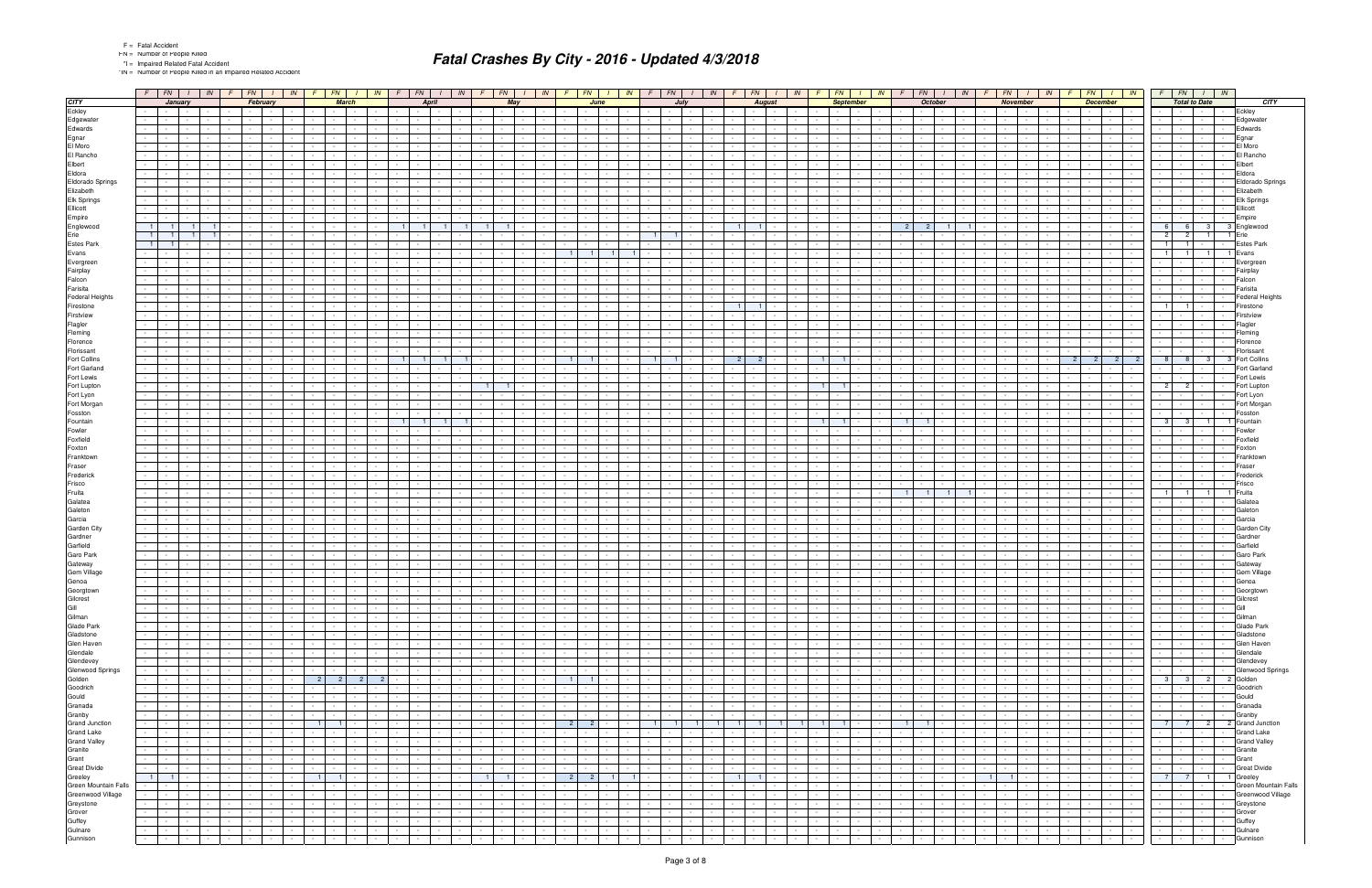\*IN = Number of People Killed in an Impaired Related Accident

|                                          | $F$ $FN$ $I$ $N$                                                                                              | $F$ $FN$ $1$<br>IN                                                           | $F$   $FN$  <br>IN                                                      | $F$ $FN$                                                                      | $I$ $IN$ $F$ $FN$<br>$1 \parallel lN$                                                                            | $F \mid FN \mid$                                                     | $I$ $\mid$ $IN$ $\mid$ $F$ $\mid$ $FN$ $\mid$ $I$ $\mid$ $IN$ $\mid$ |                                                      | $F$ $FN$ $I$ $IN$                                             | $FN$ $I$<br>F<br>IN                                             | $F$   $FN$   $I$   $IN$               |                                             |                      | $F$   $FN$                                       | IN               |                                        | $FN$ $I$ $IN$                                             | $F$ $FN$ $I$ $IN$                                                                                                        |
|------------------------------------------|---------------------------------------------------------------------------------------------------------------|------------------------------------------------------------------------------|-------------------------------------------------------------------------|-------------------------------------------------------------------------------|------------------------------------------------------------------------------------------------------------------|----------------------------------------------------------------------|----------------------------------------------------------------------|------------------------------------------------------|---------------------------------------------------------------|-----------------------------------------------------------------|---------------------------------------|---------------------------------------------|----------------------|--------------------------------------------------|------------------|----------------------------------------|-----------------------------------------------------------|--------------------------------------------------------------------------------------------------------------------------|
| <b>CITY</b>                              | January                                                                                                       | February                                                                     | <b>March</b>                                                            | <b>April</b>                                                                  | May                                                                                                              | June                                                                 | July                                                                 |                                                      | <b>August</b>                                                 | <b>September</b>                                                |                                       | <b>October</b>                              |                      | <b>November</b>                                  |                  | <b>December</b>                        |                                                           | <b>Total to Date</b><br><b>CITY</b>                                                                                      |
| Eckley                                   | and the control<br>$\sim 100$                                                                                 | and the state of the state<br>$\sim$                                         | <b>Contract Contract</b>                                                | the contract of the<br>$\sim$                                                 | <b>Service</b> Service<br><b>Contract Contract</b><br>$\sim$                                                     | $\sim$<br>$\sim$ $\sim$ $\sim$ $\sim$                                | <b>Contract Contract</b>                                             | $\sim$<br>$\sim$ $-$                                 | <b>Contract Contract</b>                                      | $\sim$                                                          | the contract of the contract of       |                                             |                      | <b>Contract</b>                                  | $\sim$           | $\sim$                                 | <b>Contract Contract</b>                                  | Eckley<br>$\sim 100$<br>$\sim$                                                                                           |
| Edgewater<br>Edwards                     | $\sim$                                                                                                        |                                                                              |                                                                         |                                                                               |                                                                                                                  |                                                                      |                                                                      |                                                      |                                                               |                                                                 |                                       |                                             |                      |                                                  |                  |                                        | $\sim$                                                    | Edgewater<br>Edwards                                                                                                     |
| Egnar                                    | $\sim$                                                                                                        | <b>Service</b>                                                               |                                                                         | $\sim$                                                                        |                                                                                                                  |                                                                      |                                                                      |                                                      | $\sim$                                                        |                                                                 |                                       |                                             |                      |                                                  |                  |                                        | $\sim$                                                    | Egnar                                                                                                                    |
| El Moro                                  |                                                                                                               |                                                                              |                                                                         |                                                                               |                                                                                                                  |                                                                      |                                                                      |                                                      |                                                               |                                                                 |                                       |                                             |                      |                                                  |                  |                                        |                                                           | El Moro                                                                                                                  |
| El Rancho                                |                                                                                                               |                                                                              |                                                                         |                                                                               |                                                                                                                  |                                                                      |                                                                      |                                                      |                                                               |                                                                 |                                       |                                             |                      |                                                  |                  |                                        |                                                           | El Rancho                                                                                                                |
| Elbert                                   |                                                                                                               |                                                                              |                                                                         |                                                                               |                                                                                                                  |                                                                      |                                                                      |                                                      |                                                               |                                                                 |                                       |                                             |                      |                                                  |                  |                                        |                                                           | Elbert                                                                                                                   |
| Eldora                                   |                                                                                                               |                                                                              |                                                                         |                                                                               |                                                                                                                  |                                                                      |                                                                      |                                                      |                                                               |                                                                 |                                       |                                             |                      |                                                  |                  |                                        |                                                           | Eldora                                                                                                                   |
| Eldorado Springs                         |                                                                                                               |                                                                              |                                                                         |                                                                               |                                                                                                                  |                                                                      |                                                                      |                                                      |                                                               |                                                                 |                                       |                                             |                      |                                                  |                  |                                        |                                                           | Eldorado Springs                                                                                                         |
| Elizabeth<br>Elk Springs                 |                                                                                                               |                                                                              |                                                                         |                                                                               |                                                                                                                  |                                                                      |                                                                      |                                                      |                                                               |                                                                 |                                       |                                             |                      |                                                  |                  |                                        |                                                           | Elizabeth<br>Elk Springs                                                                                                 |
| Ellicott                                 |                                                                                                               |                                                                              |                                                                         |                                                                               |                                                                                                                  |                                                                      |                                                                      |                                                      |                                                               |                                                                 |                                       |                                             |                      |                                                  |                  |                                        |                                                           | Ellicott                                                                                                                 |
| Empire                                   |                                                                                                               |                                                                              |                                                                         |                                                                               |                                                                                                                  |                                                                      |                                                                      |                                                      |                                                               |                                                                 |                                       |                                             |                      |                                                  |                  |                                        |                                                           | Empire                                                                                                                   |
| Englewood                                | $-1$                                                                                                          |                                                                              |                                                                         | 11<br>$\blacksquare$                                                          |                                                                                                                  |                                                                      |                                                                      | $\blacksquare$                                       |                                                               |                                                                 | 2 <sup>1</sup><br>$\mathcal{P}$       |                                             |                      |                                                  |                  |                                        |                                                           | 6<br>6<br>3 <sup>1</sup><br>3 Englewood                                                                                  |
| Erie                                     | 11                                                                                                            |                                                                              |                                                                         |                                                                               |                                                                                                                  |                                                                      |                                                                      |                                                      |                                                               |                                                                 |                                       |                                             |                      |                                                  |                  |                                        |                                                           | 2 <sup>1</sup><br>2 <sup>1</sup><br>1 <sup>1</sup><br>1 Erie                                                             |
| Estes Park                               | 11                                                                                                            |                                                                              |                                                                         |                                                                               |                                                                                                                  |                                                                      |                                                                      |                                                      |                                                               |                                                                 |                                       |                                             |                      |                                                  |                  |                                        |                                                           | <b>Estes Park</b><br>$\overline{1}$<br>1 <sup>1</sup>                                                                    |
| Evans                                    |                                                                                                               |                                                                              |                                                                         |                                                                               |                                                                                                                  | $\overline{1}$                                                       |                                                                      |                                                      |                                                               |                                                                 |                                       |                                             |                      |                                                  |                  |                                        |                                                           | 11<br>$\blacksquare$<br>$\overline{1}$<br>1 Evans                                                                        |
| Evergreen                                |                                                                                                               |                                                                              |                                                                         |                                                                               |                                                                                                                  |                                                                      |                                                                      |                                                      |                                                               |                                                                 |                                       |                                             |                      |                                                  |                  |                                        |                                                           | Evergreer                                                                                                                |
| Fairplay<br>Falcon                       | $\sim$                                                                                                        |                                                                              |                                                                         |                                                                               |                                                                                                                  |                                                                      |                                                                      |                                                      |                                                               |                                                                 |                                       |                                             |                      |                                                  |                  |                                        |                                                           | Fairplay<br>Falcon<br>$\sim$                                                                                             |
| Farisita                                 |                                                                                                               |                                                                              |                                                                         |                                                                               |                                                                                                                  |                                                                      |                                                                      |                                                      |                                                               |                                                                 |                                       |                                             |                      |                                                  |                  |                                        |                                                           | Farisita                                                                                                                 |
| <b>Federal Heights</b>                   |                                                                                                               |                                                                              |                                                                         |                                                                               |                                                                                                                  |                                                                      |                                                                      |                                                      |                                                               |                                                                 |                                       |                                             |                      |                                                  |                  |                                        |                                                           | <b>Federal Heights</b>                                                                                                   |
| Firestone                                | $\sim$                                                                                                        |                                                                              |                                                                         |                                                                               |                                                                                                                  |                                                                      |                                                                      | - 1                                                  | $\blacksquare$                                                |                                                                 |                                       |                                             |                      |                                                  |                  |                                        |                                                           | Firestone<br>11<br>11                                                                                                    |
| Firstview                                |                                                                                                               |                                                                              |                                                                         |                                                                               |                                                                                                                  |                                                                      |                                                                      |                                                      |                                                               |                                                                 |                                       |                                             |                      |                                                  |                  |                                        |                                                           | Firstview                                                                                                                |
| Flagler                                  |                                                                                                               |                                                                              |                                                                         |                                                                               |                                                                                                                  |                                                                      |                                                                      |                                                      |                                                               |                                                                 |                                       |                                             |                      |                                                  |                  |                                        |                                                           | Flagler                                                                                                                  |
| Fleming<br>Florence                      |                                                                                                               |                                                                              |                                                                         |                                                                               |                                                                                                                  |                                                                      |                                                                      |                                                      |                                                               |                                                                 |                                       |                                             |                      |                                                  |                  |                                        | $\sim$                                                    | Fleming<br>Florence                                                                                                      |
| Florissant                               |                                                                                                               |                                                                              |                                                                         |                                                                               |                                                                                                                  |                                                                      |                                                                      |                                                      |                                                               |                                                                 |                                       |                                             |                      |                                                  |                  |                                        |                                                           | Florissant                                                                                                               |
| Fort Collins                             |                                                                                                               |                                                                              |                                                                         |                                                                               |                                                                                                                  |                                                                      |                                                                      |                                                      | $\overline{2}$                                                | 11                                                              |                                       |                                             |                      |                                                  |                  |                                        | 2 <sup>1</sup><br>$\overline{2}$                          | 8<br>8 <sup>1</sup><br>3 <sup>1</sup><br>3 Fort Collins                                                                  |
| Fort Garland                             |                                                                                                               |                                                                              |                                                                         |                                                                               |                                                                                                                  |                                                                      |                                                                      |                                                      |                                                               |                                                                 |                                       |                                             |                      |                                                  |                  |                                        |                                                           | Fort Garland                                                                                                             |
| Fort Lewis                               |                                                                                                               |                                                                              |                                                                         |                                                                               |                                                                                                                  |                                                                      |                                                                      |                                                      |                                                               |                                                                 |                                       |                                             |                      |                                                  |                  |                                        |                                                           | Fort Lewis                                                                                                               |
| Fort Lupton                              |                                                                                                               |                                                                              |                                                                         |                                                                               |                                                                                                                  |                                                                      |                                                                      |                                                      |                                                               | $\overline{1}$                                                  |                                       |                                             |                      |                                                  |                  |                                        |                                                           | 2 <sup>1</sup><br>$\overline{2}$<br>Fort Lupton                                                                          |
| Fort Lyon                                |                                                                                                               |                                                                              |                                                                         |                                                                               |                                                                                                                  |                                                                      |                                                                      |                                                      |                                                               |                                                                 |                                       |                                             |                      |                                                  |                  |                                        |                                                           | Fort Lyon                                                                                                                |
| Fort Morgan<br>Fosston                   |                                                                                                               |                                                                              |                                                                         |                                                                               |                                                                                                                  |                                                                      |                                                                      |                                                      |                                                               |                                                                 |                                       |                                             |                      |                                                  |                  |                                        |                                                           | Fort Morgan<br>Fosston                                                                                                   |
| Fountain                                 |                                                                                                               |                                                                              |                                                                         | $\overline{1}$                                                                |                                                                                                                  |                                                                      |                                                                      |                                                      |                                                               |                                                                 |                                       |                                             |                      |                                                  |                  |                                        |                                                           | 3 <sup>1</sup><br>3 <sup>1</sup><br>1 Fountain<br>$\overline{1}$                                                         |
| Fowler                                   |                                                                                                               |                                                                              |                                                                         |                                                                               |                                                                                                                  |                                                                      |                                                                      |                                                      |                                                               |                                                                 |                                       |                                             |                      |                                                  |                  |                                        |                                                           | Fowler                                                                                                                   |
| Foxfield                                 |                                                                                                               |                                                                              |                                                                         |                                                                               |                                                                                                                  |                                                                      |                                                                      |                                                      |                                                               |                                                                 |                                       |                                             |                      |                                                  |                  |                                        |                                                           | Foxfield                                                                                                                 |
| Foxton                                   |                                                                                                               |                                                                              |                                                                         |                                                                               |                                                                                                                  |                                                                      |                                                                      |                                                      |                                                               |                                                                 |                                       |                                             |                      |                                                  |                  |                                        |                                                           | Foxton                                                                                                                   |
| Franktown                                |                                                                                                               |                                                                              |                                                                         |                                                                               |                                                                                                                  |                                                                      |                                                                      |                                                      |                                                               |                                                                 |                                       |                                             |                      |                                                  |                  |                                        |                                                           | Franktown                                                                                                                |
| Fraser                                   |                                                                                                               |                                                                              |                                                                         |                                                                               |                                                                                                                  |                                                                      |                                                                      |                                                      |                                                               |                                                                 |                                       |                                             |                      |                                                  |                  |                                        |                                                           | Fraser                                                                                                                   |
| Frederick<br>Frisco                      |                                                                                                               |                                                                              |                                                                         |                                                                               |                                                                                                                  |                                                                      |                                                                      |                                                      |                                                               |                                                                 |                                       |                                             |                      |                                                  |                  |                                        |                                                           | Frederick<br>Frisco                                                                                                      |
| Fruita                                   |                                                                                                               |                                                                              |                                                                         |                                                                               |                                                                                                                  |                                                                      |                                                                      |                                                      |                                                               |                                                                 |                                       |                                             |                      |                                                  |                  |                                        |                                                           | 1 <sup>1</sup><br>1 <sup>1</sup><br>$\overline{1}$<br>1 Fruita                                                           |
| Galatea                                  | $\sim$                                                                                                        |                                                                              |                                                                         |                                                                               |                                                                                                                  |                                                                      |                                                                      |                                                      |                                                               |                                                                 |                                       |                                             |                      |                                                  |                  |                                        |                                                           | Galatea                                                                                                                  |
| Galeton                                  |                                                                                                               |                                                                              |                                                                         |                                                                               |                                                                                                                  |                                                                      |                                                                      |                                                      |                                                               |                                                                 |                                       |                                             |                      |                                                  |                  |                                        |                                                           | Galeton                                                                                                                  |
| Garcia                                   |                                                                                                               |                                                                              |                                                                         |                                                                               |                                                                                                                  |                                                                      |                                                                      |                                                      |                                                               |                                                                 |                                       |                                             |                      |                                                  |                  |                                        |                                                           | Garcia                                                                                                                   |
| Garden City                              | $\sim$                                                                                                        |                                                                              |                                                                         |                                                                               |                                                                                                                  |                                                                      |                                                                      |                                                      |                                                               |                                                                 |                                       |                                             |                      |                                                  |                  |                                        |                                                           | Garden City                                                                                                              |
| Gardner<br>Garfield                      |                                                                                                               |                                                                              |                                                                         |                                                                               |                                                                                                                  |                                                                      |                                                                      |                                                      |                                                               |                                                                 |                                       |                                             |                      |                                                  |                  |                                        |                                                           | Gardner<br>Garfield                                                                                                      |
| Garo Park                                | $\sim$                                                                                                        |                                                                              |                                                                         |                                                                               |                                                                                                                  |                                                                      |                                                                      |                                                      | $\sim$                                                        |                                                                 |                                       |                                             |                      |                                                  |                  |                                        | $\sim$                                                    | Garo Park                                                                                                                |
| Gateway                                  |                                                                                                               |                                                                              |                                                                         |                                                                               |                                                                                                                  |                                                                      |                                                                      |                                                      |                                                               |                                                                 |                                       |                                             |                      |                                                  |                  |                                        |                                                           | Gateway                                                                                                                  |
| Gem Village                              |                                                                                                               |                                                                              |                                                                         |                                                                               |                                                                                                                  |                                                                      |                                                                      |                                                      |                                                               |                                                                 |                                       |                                             |                      |                                                  |                  |                                        |                                                           | Gem Village                                                                                                              |
| Genoa                                    | $\sim$                                                                                                        |                                                                              |                                                                         | $\sim$                                                                        | $\sim$                                                                                                           |                                                                      |                                                                      | $\mathcal{L}_{\mathcal{A}}$                          | $\sim$                                                        |                                                                 |                                       |                                             |                      | $\sim$                                           |                  |                                        | $\sim$                                                    | Genoa                                                                                                                    |
| Georgtown                                |                                                                                                               |                                                                              |                                                                         |                                                                               |                                                                                                                  |                                                                      |                                                                      |                                                      |                                                               |                                                                 |                                       |                                             |                      |                                                  |                  |                                        |                                                           | Georgio                                                                                                                  |
|                                          | $\sim$<br>$\sim 10^{-1}$<br>$\sim 10^{-11}$<br><b>Contract Contract</b>                                       | $\sim$<br>$\sim$ $\sim$ $\sim$<br>$\sim$ $-$                                 | $\sim$ $-$                                                              | $\sim$                                                                        | $\sim$<br>$\sim$<br>$\sim$                                                                                       | $\sim$                                                               | $\sim$ 100 $\pm$                                                     | $\sim$                                               | $\sim$ $-$<br><b>Contract Contract</b>                        | $\sim$<br><b>Service</b>                                        |                                       | $\sim$ $\sim$                               |                      | $\sim 10^{-1}$                                   | $\sim$           | $\sim$                                 | $\sim$ $-$<br><b>Service</b>                              | Gilcrest<br>Gill<br>$\sim 10^{-1}$<br>$\sim$ 100 $\mu$<br>$\sim$                                                         |
|                                          | $\sim$<br>$\sim$<br>$\sim$                                                                                    | <b>Service</b>                                                               | $\sim$                                                                  | $\sim$                                                                        | $\sim$<br>$\sim$                                                                                                 |                                                                      | $\sim$                                                               | $\sim$                                               | $\sim$                                                        | $\sim$                                                          |                                       |                                             |                      |                                                  |                  | $\sim$                                 | <b>Service</b><br>$\sim$                                  | Gilman<br>$\sim$<br>$\sim$ 100 $\mu$                                                                                     |
| Gilcrest<br>Gill<br>Gilman<br>Glade Park | $\sim$<br>$\sim 10^{-10}$<br>$\sim 10^{-11}$<br>$\sim$                                                        | $\sim$<br><b>Contract</b><br>$\sim$                                          | $\sim 10^{-11}$                                                         | $\sim$ $-$<br>$\sim$<br>$\sim$                                                | $\sim 10^{-11}$<br>$\sim$<br>$\sim$<br>$\sim$                                                                    | $\sim$<br>$\sim$                                                     | $\sim 100$<br>$\sim$                                                 | $\sim$<br>$\sim$                                     | $\sim 10^{-11}$<br>$\sim$<br>$\sim$ $-$                       | $\sim$<br>$\sim 10^{-10}$<br>$\sim$                             | $\sim$                                | $\sim$ $-$                                  |                      | $\sim 10^{-11}$<br>$\sim$ $-$                    | $\sim$           | $\sim 100$<br>$\sim$                   | the contract of                                           | Glade Park<br>$\sim 100$<br>$\sim 10^{-1}$<br>$\sim$<br>$\sim$                                                           |
| Gladstone                                | $\sim 100$<br>$\sim 10^{-10}$<br>$\sim 100$<br>$\sim$                                                         | <b>Service</b><br>$\sim$                                                     | $\sim$ $-$<br>$\sim$                                                    | $\sim$<br>$\sim$<br>$\sim$                                                    | $\sim$<br>$\sim$ $-$<br>$\sim$<br>$\sim$                                                                         | $\sim$                                                               | $\sim$ $-$<br>$\sim$                                                 | $\sim$                                               | <b>Contract</b><br>$\sim$ $-$                                 | $\sim$<br>$\sim$ $-$<br>$\sim$                                  |                                       | $\sim$                                      |                      | $\sim 10^{-1}$<br>$\sim 10^{-1}$                 | $\sim$           | $\sim$<br>$\sim$                       | the contract                                              | Gladstone<br>$\sim$<br>$\sim$                                                                                            |
| Glen Haven                               | $\sim 10^{-1}$<br>$\sim 10^{-11}$<br>$\sim$ $-$                                                               | $\sim 10^{-11}$<br>$\sim$<br>$\sim$                                          | $\sim$ $-$                                                              | $\sim$                                                                        | $\sim$<br>$\sim$<br>$\sim$<br>$\sim$                                                                             | $\sim$                                                               | $\sim 100$                                                           | $\sim$                                               | $\sim$ $\sim$<br>$\sim$                                       | $\sim$                                                          |                                       | $\sim$ 10 $\sim$                            |                      | $\sim$<br>$\sim 10^{-1}$                         | $\sim$           | $\sim$                                 | <b>Contract</b><br>$\sim$ $-$                             | Glen Haven<br>$\sim 100$<br>$\sim 10^{-1}$<br>$\sim$                                                                     |
| Glendale                                 | $\sim 10$<br>$\sim 100$<br>$\sim$                                                                             | $\sim$<br>$\sim$ $-$<br>$\sim$                                               | <b>Contract</b>                                                         | $\sim 10^{-11}$<br>$\sim$<br>$\sim$                                           | <b>Contract</b><br>$\sim$<br>$\sim$<br>$\sim$ $-$                                                                | $\sim$<br>$\sim$ $-$<br>$\sim$                                       | $\sim 100$<br>$\sim$<br>$\sim$                                       | $\sim 10$<br>$\sim$ 100 $\pm$                        | $\sim 10^{-10}$<br>$\sim$<br>$\sim$ $-$                       | $\sim$<br><b>Service</b><br>$\sim$                              | <b>Service</b>                        | $\sim$ $-$<br>$\sim$                        | $\sim$ $-$           | $\sim 10^{-11}$<br><b>Contract Contract</b>      | $\sim$           | $\sim 100$<br>$\sim$                   | <b>Contract Contract</b>                                  | Glendale<br>the contract of<br><b>Contract Contract</b><br>$\sim$                                                        |
| Glendevey<br>Glenwood Springs            | $\sim 10^{-1}$<br>$\sim 100$<br>$\sim$                                                                        | $\sim$<br><b>Service</b><br>$\sim$                                           | $\sim$ $-$<br>$\sim$                                                    | $\sim 10^{-11}$<br>$\sim$<br>$\sim$                                           | $\sim$<br>$\sim$<br>$\sim$<br>$\sim$                                                                             | $\sim$                                                               | $\sim$<br>$\sim$ $-$                                                 | $\sim 10$                                            | $\sim 10^{-11}$<br>$\sim$ $-$                                 | $\sim$<br><b>Contract</b><br>$\sim$                             |                                       | $\sim$ $-$                                  |                      | $\sim 10^{-1}$                                   | $\sim$           | $\sim$<br>$\sim$                       | the contract                                              | Glendevey<br>$\sim 100$<br>$\sim$<br>$\sim$                                                                              |
|                                          | $\sim 100$<br>$\sim 10^{-10}$<br>$\sim 10^{-11}$<br>$\sim 10$<br>$\sim 10^{-10}$<br><b>Contract Contract</b>  | <b>Contract</b><br>$\sim$<br>$\sim$<br>$\sim$<br>$\sim$ $\sim$ $\sim$ $\sim$ | $\sim$ $-$<br>$2$ 2<br> 2 <br>$\overline{2}$                            | $\sim$<br>$\sim$<br>$\sim 10^{-11}$<br>$\sim$                                 | $\sim$<br>$\sim$<br><b>Service</b><br>$\sim$<br><b>Contract</b><br>$\sim$<br>$\sim$<br>$\sim$ $-$                | $\sim$<br>1 <sup>1</sup><br>1 <sup>1</sup><br>$\sim$ $\sim$          | $\sim 100$<br>$\sim 100$                                             | $\sim$<br>$\sim$ $\sim$<br>$\sim 10$<br>$\sim$ $-$   | $\sim$ $\sim$<br>$\sim$<br>$\sim$<br><b>Contract Contract</b> | $\sim$<br><b>Contract</b><br>$\sim$<br>$\sim$<br><b>Service</b> |                                       | $\sim$ $-$<br>$\sim 10^{-1}$                |                      | $\sim$ $-$<br>$\sim 10^{-11}$                    | $\sim$<br>$\sim$ | $\sim$<br>$\sim$ $-$<br><b>Service</b> | $\sim$ $\sim$ $\sim$<br>$\sim 10^{-1}$<br>the contract    | Glenwood Springs<br>$\sim$ $\sim$<br>$\sim 100$<br>$\sim$<br>$\sim$ 100 $\mu$<br>3 3 2 2 Golden                          |
| Golden<br>Goodrich                       | $\sim$<br>$\sim$ 10 $\mu$<br>$\sim$ $-$<br>$\sim$                                                             | $\sim$<br><b>Service</b><br>$\sim$                                           |                                                                         | $\sim$ $-$<br>$\sim$<br>$\sim$                                                | $\sim$ $-$<br>$\sim$<br>$\sim$<br>$\sim$                                                                         | $\sim$                                                               | $\sim$                                                               | $\sim$                                               | $\sim$ $\sim$<br>$\sim$                                       | $\sim$<br>$\sim$                                                |                                       | $\sim$                                      |                      | $\sim$ $-$                                       | $\sim$           | $\sim$<br>$\sim$                       | $\sim$<br><b>Service</b>                                  | Goodrich<br>$\sim$                                                                                                       |
| Gould                                    | $\sim 100$<br>$\sim 10^{-10}$<br>$\sim 10^{-10}$                                                              | $-1$<br>$\sim$<br>$\sim$                                                     | $\sim$<br>$\sim$                                                        | $\sim 10^{-11}$<br>$\sim 10^{-1}$<br>$\sim$                                   | <b>Contract</b><br>$\sim$<br>$\sim$<br>$\sim$                                                                    | <b>Service</b><br>$\sim$                                             | $\sim 100$<br>$\sim$<br>$\sim$ $-$                                   | $\sim 100$<br>$\sim$                                 | $\sim 10^{-10}$<br>$\sim$ $-$                                 | $\sim$<br>$\sim 10^{-11}$<br>$\sim$                             | <b>Contract Contract</b>              | $\sim$ $-$                                  |                      | $\sim 10^{-11}$<br>$\sim$ $-$                    | $\sim$           | $\sim$<br>$\sim$                       | $\sim$ $\sim$ $\sim$<br>$\sim 100$                        | Gould<br>$\sim 100$<br>$\sim 100$<br>$\sim$                                                                              |
| Granada                                  | $\sim 10$<br>$\sim$ $-$<br>$\sim 10^{-10}$                                                                    | <b>Contract</b><br>$\sim$                                                    | $\sim$ $-$                                                              | $\sim 10^{-1}$<br>$\sim$                                                      | $\sim 10^{-11}$<br>$\sim$<br>$\sim 100$<br>$\sim$                                                                | $\sim$                                                               | $\sim 100$                                                           | $\sim$<br>$\sim$                                     | $\sim$<br><b>Contract</b>                                     | $\sim$                                                          |                                       | $\sim$                                      |                      | $\sim$ $-$                                       |                  | $\sim$                                 | $\sim$ $\sim$ $\sim$<br>$\sim$                            | Granada<br>$\sim$<br><b>Service</b><br>$\sim$                                                                            |
| Granby                                   | $\mathcal{L}_{\rm{max}}$<br><b>Contract</b><br>$\sim$ $-$                                                     | <b>Service</b><br>$\sim$<br>$\sim$                                           | $\sim$ $\sim$                                                           | $\sim 10^{-1}$                                                                | $\sim$<br>$\sim$<br>$\sim$<br>$\sim$                                                                             | $\sim$                                                               | $\sim$ 10 $\pm$                                                      | $\sim 10$                                            | $\sim 10^{-1}$<br>$\sim$                                      | $\sim$<br><b>Service</b>                                        |                                       | $\sim$                                      |                      | $\sim$ $-$                                       |                  | $\sim$                                 | the contract                                              | Granby<br>$\sim 10^{-11}$<br>$\sim$                                                                                      |
| <b>Grand Junction</b>                    | $\sim$<br>$\sim$ $-$<br>$\sim 10^{-11}$<br>$\sim$                                                             | $\sim$<br>$\sim$ $-$<br>$\sim$ $ \sim$                                       | $1 \mid 1 \mid$<br>$\sim$                                               | $\sim$<br>$\sim 10^{-11}$<br>$\sim$<br>$\sim 100$                             | <b>Contract</b><br>$\sim$<br>$\sim$<br>$\sim$                                                                    | $2 \mid 2 \mid$<br>$\sim$                                            | $\vert$ 1  <br>$-1$                                                  | $\blacksquare$ 1<br>1 <sub>1</sub><br>$\overline{1}$ | 1<br>11                                                       | $1 \ 1$                                                         | $\blacksquare$                        | $\sim$ 1   $\sim$<br>$\sim$                 | $\sim$ $-$           | $\sim 10^{-11}$<br>$\sim 100$                    | $\sim$           | $\sim$<br><b>Contract Contract</b>     | the contract of the con-                                  | 7 7 2 2 Grand Junction                                                                                                   |
| <b>Grand Lake</b><br><b>Grand Valley</b> | $\sim 100$<br>$\sim 10^{-10}$<br>$\sim 10^{-11}$<br>$\sim 100$<br><b>Contract</b><br>$\sim$ $-$               | $\sim 10^{-11}$<br>$\sim$<br>$\sim 10^{-11}$                                 | $\sim$ $\sim$                                                           | $\sim$ $-$<br>$\sim$ $-$                                                      | $\sim$<br>$\sim$ $-$<br>$\sim$<br>$\sim$<br>$\sim$<br>$\sim$                                                     |                                                                      | $\sim$                                                               | $\sim$<br>$\sim 10$                                  | $\sim$<br>$\sim$ $\sim$<br>$\sim$                             | $\sim$                                                          |                                       |                                             |                      |                                                  |                  | $\sim$<br>$\sim$                       | $\sim 100$<br>$\sim$<br>$\sim 10^{-1}$<br>$\sim 10^{-11}$ | <b>Grand Lake</b><br>$\sim 100$<br>$\sim$<br>$\sim 10^{-1}$<br><b>Contract Contract</b>                                  |
| Granite                                  | $\sim 100$<br>$\sim$ $-$<br>$\sim 10^{-11}$<br>$\sim$                                                         | $\sim$<br>$\sim$ $-$<br>$\sim$ $ \sim$<br>$\sim$                             | <b>Contract</b><br>$\sim$ $-$                                           | $\sim$<br>$\sim 10^{-11}$<br>$\sim$<br>$\sim 100$                             | $\sim 10^{-11}$<br>$\sim$<br>$\sim$<br>$\sim$                                                                    | $\sim$<br>$\sim$<br>$\sim$<br>$\sim$                                 | $\sim 100$<br>$\sim$<br>$\sim$                                       | $\sim 100$<br>$\sim$ 100 $\pm$                       | <b>Contract</b><br>$\sim 10^{-11}$<br>$\sim$                  | $\sim$<br>$\sim 10^{-11}$<br>$\sim$                             | $\sim 10^{-11}$                       | $\sim$ $-$                                  | $\sim$               | $\sim 10^{-11}$<br>$\sim 100$                    | $\sim$           | $\sim$<br>$\sim 100$                   | the contract of the con-                                  | <b>Grand Valley</b><br>Granite<br>the control of the<br><b>Contract</b><br>$\sim$                                        |
| Grant                                    | $\sim 100$<br>$\sim 100$                                                                                      | <b>Contract</b><br>$\sim$                                                    | $\sim 10^{-11}$                                                         | $\sim$                                                                        | <b>Contract</b><br>$\sim$                                                                                        | $\sim$                                                               | $\sim 100$                                                           | $\sim$                                               | $\sim$<br>$\sim$                                              | $\sim$                                                          |                                       | $\sim$ $-$                                  |                      | $\sim$ $-$                                       |                  | $\sim$                                 | $\sim 10^{-11}$<br>$\sim$ $-$                             | Grant<br><b>Second Control</b><br>$\sim$                                                                                 |
| <b>Great Divide</b>                      | $\mathcal{L}_{\rm{max}}$<br><b>Contractor</b><br>$\sim 100$                                                   | $\sim$<br><b>Service</b><br>$\sim$                                           | $\sim$ $-$                                                              | $\sim 10^{-11}$                                                               | $\sim$<br>$\sim$<br>$\sim$<br>$\sim$                                                                             | $\sim$<br>٠.<br>$\sim$                                               | $\sim 100$                                                           | $\sim 100$                                           | $\sim 10^{-10}$<br>$\sim 10^{-1}$                             | $\sim$                                                          |                                       | $\sim$                                      |                      | $\sim 10^{-1}$                                   | $\sim$           | $\sim$                                 | <b>Service State</b>                                      | <b>Great Divide</b><br><b>All Parties</b><br>$\sim$ $-$<br>$\sim$                                                        |
| Greeley                                  | $-1$ $-1$ $-$<br>$\sim$ 100 $\pm$                                                                             | $\sim$<br>the contract                                                       | $1$ $1$ $\cdot$                                                         | $\sim 10^{-10}$<br>$\sim$ $\sim$ $\sim$<br><b>Contract Contract</b><br>$\sim$ | $-1$ $-1$ $-$<br>$\sim 10^{-1}$                                                                                  | $2$ $2$ $1$<br>$\blacksquare$                                        | $\sim$ $\sim$ $\sim$<br>$\sim$<br>$\sim$ $-$                         | $\sim$ 100 $\pm$                                     |                                                               | $\sim$<br>$\sim$                                                | the contract of the con-              | $\sim 10^{-11}$                             |                      | $1$ $1$ $+$                                      | $\sim$ $-$       | $\sim$ $-$<br><b>Service</b>           | <b>Service</b>                                            | 7 7 1 1 Greeley                                                                                                          |
| Green Mountain Falls                     | $\mathcal{L}_{\text{max}}$<br><b>Contract Contract</b><br>$\sim 100$                                          | $\sim$<br><b>Contract Contract</b><br>$\sim$                                 | $\sim$                                                                  | $\sim$ $-$                                                                    | <b>Contract</b><br>$\sim$<br>$\sim$<br>$\sim$                                                                    |                                                                      | $\sim$                                                               | $\sim$                                               | $\sim$                                                        | $\sim$                                                          |                                       | $\sim$                                      |                      |                                                  |                  | $\sim$                                 | <b>Service</b><br>$\sim$                                  | Green Mountain Falls<br>the control of the<br>$\sim$                                                                     |
| Greenwood Village                        | $\sim 100$<br>$\sim 10^{-10}$<br>$\sim 10^{-11}$                                                              | <b>Contract</b><br>$\sim$                                                    | $\sim$ $-$                                                              | $\sim$ $-$<br>$\sim$<br>$\sim$                                                | $\sim$ $-$<br>$\sim$<br>$\sim$<br>$\sim$                                                                         | $\sim$                                                               | $\sim$                                                               | $\sim 10$<br>$\sim$ $\sim$                           | $\sim$ $-$<br>$\sim$                                          | $\sim$<br>$\sim$                                                |                                       | $\sim$                                      |                      | $\sim 10^{-1}$<br>$\sim$ $-$                     | $\sim$           | $\sim$<br>$\sim$                       | $\sim 10^{-11}$<br>$\sim$ $-$                             | Greenwood Village<br>$\sim 100$<br>$\sim$ $-$<br>$\sim$                                                                  |
| Greystone<br>Grover                      | $\mathcal{L}_{\rm{max}}$<br><b>Contract Contract</b><br>$\sim 100$<br>$\sim$<br>$\sim 10^{-11}$<br>$\sim$ $-$ | $\sim$<br>the contract<br>$\sim$<br>$\sim$<br><b>Contract</b><br>$\sim$      | $\mathbf{I}$ and $\mathbf{I}$<br>$\sim$ $-$<br><b>Contract Contract</b> | $\sim 10^{-11}$<br><b>Contract</b><br>$\sim$<br>$\sim$<br>$\sim 10^{-11}$     | $\sim 10^{-11}$<br>$\sim$ $\sim$ $\sim$<br>$\sim 10^{-11}$<br>$\sim$<br>$\sim$ $-$<br>$\sim$<br>$\sim$<br>$\sim$ | $\sim$ $-$<br>$\sim$<br>$\sim$ $\sim$<br>$\sim$                      | $\sim$<br>$\sim$ $-$<br>$\sim$ $\sim$ $\sim$<br>$\sim 100$           | $\sim 10$<br>$\sim 10^{-1}$<br>$\sim$<br>$\sim$      | and the state<br>$\sim$<br>$\sim$                             | $\sim$<br>$\sim$ $\sim$ $\sim$<br>$\sim$<br>$\sim$<br>$\sim$    | $ -$                                  | $\sim 10^{-1}$<br>$\sim 10^{-11}$<br>$\sim$ | $\sim$ $-$           | $\sim 10^{-11}$<br><b>Contract</b><br>$\sim$ $-$ | $\sim$<br>$\sim$ | $\sim$<br>$\sim 100$<br>$\sim$         | the contract of<br><b>Service</b><br>$\sim$               | <b>Figure 19</b><br>Greystone<br>$\sim 10^{-10}$ m $^{-1}$<br>$\sim$<br>Grover<br><b>Service</b><br>$\sim 100$<br>$\sim$ |
|                                          | $\sim 100$<br><b>Contract</b><br>$\sim$ $-$<br>$\sim$                                                         | <b>Contract</b><br>$\sim$<br>$\sim$                                          | $\sim 10^{-11}$                                                         | $\sim$ $-$<br>$\sim$ $-$<br>$\sim$                                            | $\sim 10^{-11}$<br>$\sim$<br>$\sim$<br>$\sim$                                                                    | $\sim$<br>$\sim$                                                     | $\sim$<br>$\sim$                                                     | $\sim 10$<br>$\sim$ 100 $\mu$                        | $\sim 10^{-11}$<br>$\sim$ $-$<br>$\sim$ $\sim$                | $\sim$<br>$\sim 10^{-11}$                                       | $\sim$                                | $\sim$ $-$                                  | $\sim$ $-$           | $\sim 10^{-1}$<br>$\sim$ $-$                     | $\sim$           | $\sim$<br>$\sim$                       | $\sim 10^{-11}$<br>$\sim 100$                             | Guffey<br>$\sim$<br>$\sim$<br>$\sim$ $-$                                                                                 |
| Guffey<br>Gulnare                        | $\sim$ 1<br><b>Contract Contract</b><br>$\sim 100$                                                            | $\sim$<br><b>Contract Contract</b><br>$\sim$                                 | $\sim$<br>$\mathbf{1}$ and $\mathbf{1}$<br>$\sim$                       | $\sim 10^{-11}$<br>$\sim 10^{-1}$<br>$\sim$ $\sim$ $\sim$<br><b>Contract</b>  | the contract of<br>$\sim 10^{-11}$<br>$\sim$                                                                     | $\sim$<br>$\sim$<br>$\sim$ $\sim$ $\sim$<br><b>Contract Contract</b> | $\sim$<br>$\sim 100$<br>$\sim$ $\sim$ $\sim$                         | $\sim$ $-$<br>$\sim 10^{-1}$                         | <b>Contract Contract</b><br>$\sim$                            | $\sim$<br>$\sim$ $-$<br>$\sim$                                  | $\sim$<br>$\sim$ $\sim$ $\sim$ $\sim$ | $\sim 10^{-1}$<br>$\sim$ $-$                | $\sim$ $\sim$ $\sim$ | $\sim 10^{-11}$<br>$\sim 10^{-10}$               | $\sim$ $-$       | $\sim 10^{-11}$<br>$\sim 10^{-1}$      | <b>Service</b> Service                                    | Gulnare<br><b>Service State</b><br>$\sim$<br><b>Contract</b>                                                             |
| Gunnison                                 | $\sim 10^{-1}$<br>$\sim 10^{-11}$<br>$\sim$ $\sim$                                                            | $\sim$<br>$\sim 10^{-11}$<br>$\sim$                                          | $\sim 10^{-11}$<br>$\sim$<br>$\sim$                                     | $\sim 10^{-11}$<br>$\sim 10^{-11}$<br>$\sim$<br>$\sim$ $-$                    | $\sim 10^{-11}$<br>$\sim$<br>$\sim 10^{-11}$<br>$\sim$                                                           | $\sim$<br>$\sim$ $-$<br>$\sim$                                       | $\sim 10$<br>$\sim 10^{-11}$<br>$\sim$ $-$                           | $\sim 10$<br>$\sim 10^{-1}$                          | $\sim 10^{-11}$<br>$\sim 10^{-1}$<br>$\sim$                   | $\sim$<br>$\sim 10^{-10}$<br>$\sim$                             | $\sim$ $-$                            | $\sim 10^{-1}$<br>$\sim$                    | $\sim 10^{-1}$       | $\sim 10^{-11}$<br>$\sim 10^{-1}$                | $\sim$           | $\sim$ $-$<br>$\sim$                   | $\sim 10^{-11}$<br>$\sim$                                 | Gunnison<br><b>Service</b> Service<br>$\sim$<br>$\sim$                                                                   |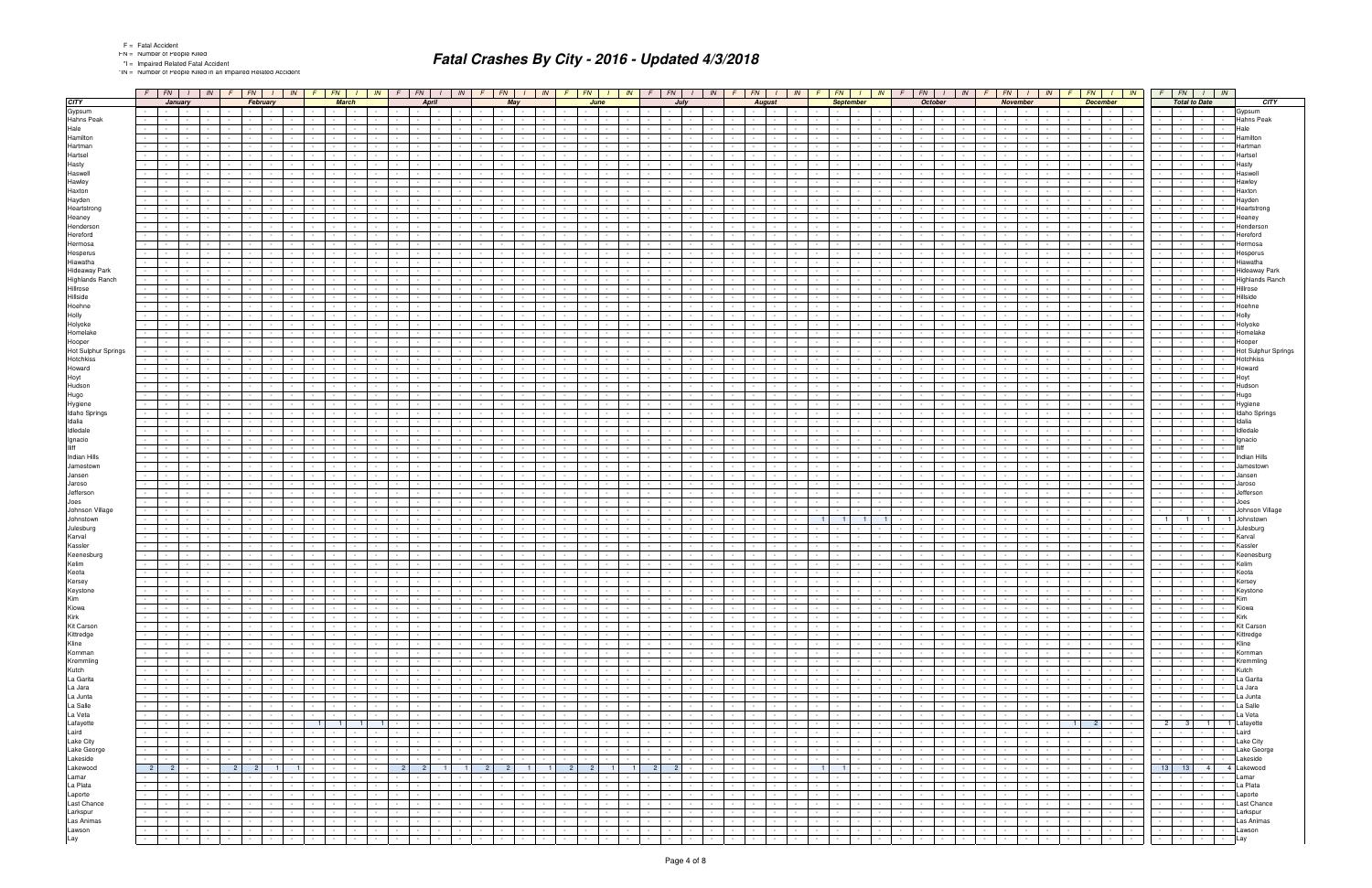\*IN = Number of People Killed in an Impaired Related Accident

|                         | $F$ $\boxed{FN}$ $I$ $\boxed{IN}$ $F$ $\boxed{FN}$ $I$                                      | $\mathsf{IN}$                                                                                       | $F$ $FN$                                                                                   |                                                                   |                                             |                                                       |                |                                                  |                             |                  |                                                                                                  | I   IN   F   FN   I   IN   F   FN   I   IN   F   FN   I   IN   F   FN   I   IN   F   FN   I   IN   F |                                                                                            | $FN$ $I$ $N$ $F$ $F$ $N$ $I$ $N$                                                                | FN<br>$I$ $IN$ $F$                                           | $FN$ $I$ $IN$                                                                |                                          | $F$ $FN$ $I$ $IN$                                            |  |
|-------------------------|---------------------------------------------------------------------------------------------|-----------------------------------------------------------------------------------------------------|--------------------------------------------------------------------------------------------|-------------------------------------------------------------------|---------------------------------------------|-------------------------------------------------------|----------------|--------------------------------------------------|-----------------------------|------------------|--------------------------------------------------------------------------------------------------|------------------------------------------------------------------------------------------------------|--------------------------------------------------------------------------------------------|-------------------------------------------------------------------------------------------------|--------------------------------------------------------------|------------------------------------------------------------------------------|------------------------------------------|--------------------------------------------------------------|--|
| <b>CITY</b>             | January                                                                                     | February                                                                                            | <b>March</b>                                                                               | <b>April</b>                                                      |                                             | May                                                   |                |                                                  | June                        |                  | July                                                                                             | <b>August</b>                                                                                        | <b>September</b>                                                                           | October                                                                                         | <b>November</b>                                              | <b>December</b>                                                              |                                          | <b>Total to Date</b><br>CITY                                 |  |
| Gypsum                  | <b>Contract Contract</b><br>$\sim$                                                          | $\sim$ $-$                                                                                          | $\sim 10^{-11}$<br>$\sim$ $-$<br>$\sim$                                                    | $\sim$ $\sim$ $\sim$<br>$\sim 100$                                | $\sim$                                      |                                                       | $\sim$         |                                                  |                             | $\sim$           | $\sim 10^{-11}$                                                                                  | $\sim$<br>$\sim$<br>$\sim$                                                                           | $\sim$ $\sim$<br>$\sim$ $-$                                                                | $\sim$                                                                                          | $\sim$<br><b>Contract Contract</b><br>$\sim 10^{-1}$         | $\sim$<br>$\sim$ $-$<br>$\sim$                                               | $\sim$<br><b>Contract Contract</b>       | Gypsum                                                       |  |
| <b>Hahns Peak</b>       |                                                                                             |                                                                                                     |                                                                                            |                                                                   |                                             |                                                       |                |                                                  |                             |                  |                                                                                                  |                                                                                                      |                                                                                            |                                                                                                 |                                                              |                                                                              |                                          | <b>Hahns Peak</b>                                            |  |
| Hale                    |                                                                                             |                                                                                                     |                                                                                            |                                                                   |                                             |                                                       |                |                                                  |                             |                  |                                                                                                  |                                                                                                      |                                                                                            |                                                                                                 |                                                              |                                                                              |                                          | Hale                                                         |  |
| Hamilton                |                                                                                             |                                                                                                     | $\sim$                                                                                     | $\sim$                                                            |                                             |                                                       |                |                                                  |                             |                  | $\sim$                                                                                           | $\sim$<br>$\sim$                                                                                     |                                                                                            |                                                                                                 | $\sim$                                                       | $\sim$<br><b>Service</b>                                                     |                                          | Hamilton                                                     |  |
| Hartman                 |                                                                                             |                                                                                                     |                                                                                            |                                                                   |                                             |                                                       |                |                                                  |                             |                  |                                                                                                  |                                                                                                      |                                                                                            |                                                                                                 |                                                              |                                                                              |                                          | Hartman                                                      |  |
| Hartsel                 |                                                                                             |                                                                                                     |                                                                                            |                                                                   |                                             |                                                       |                |                                                  |                             |                  |                                                                                                  |                                                                                                      |                                                                                            |                                                                                                 |                                                              |                                                                              |                                          | Hartsel                                                      |  |
| Hasty                   |                                                                                             |                                                                                                     |                                                                                            | $\sim$                                                            |                                             |                                                       |                |                                                  |                             |                  |                                                                                                  | $\sim$                                                                                               |                                                                                            |                                                                                                 |                                                              |                                                                              |                                          | Hasty                                                        |  |
| Haswell                 |                                                                                             |                                                                                                     |                                                                                            |                                                                   |                                             |                                                       |                |                                                  |                             |                  |                                                                                                  |                                                                                                      |                                                                                            |                                                                                                 |                                                              |                                                                              |                                          | Haswell                                                      |  |
| Hawley                  |                                                                                             |                                                                                                     |                                                                                            |                                                                   |                                             |                                                       |                |                                                  |                             |                  |                                                                                                  |                                                                                                      |                                                                                            |                                                                                                 |                                                              |                                                                              |                                          | Hawley                                                       |  |
| Haxton                  |                                                                                             |                                                                                                     |                                                                                            |                                                                   |                                             |                                                       |                |                                                  |                             |                  |                                                                                                  |                                                                                                      |                                                                                            |                                                                                                 |                                                              |                                                                              |                                          | Haxton                                                       |  |
| Hayden                  |                                                                                             |                                                                                                     |                                                                                            |                                                                   |                                             |                                                       |                |                                                  |                             |                  |                                                                                                  |                                                                                                      |                                                                                            |                                                                                                 |                                                              |                                                                              |                                          | Hayden                                                       |  |
| Heartstrong             |                                                                                             |                                                                                                     |                                                                                            |                                                                   |                                             |                                                       |                |                                                  |                             |                  |                                                                                                  |                                                                                                      |                                                                                            |                                                                                                 |                                                              |                                                                              |                                          | Heartstrong                                                  |  |
| Heaney                  |                                                                                             |                                                                                                     |                                                                                            |                                                                   |                                             |                                                       |                |                                                  |                             |                  |                                                                                                  |                                                                                                      |                                                                                            |                                                                                                 |                                                              |                                                                              |                                          | Heaney                                                       |  |
| Henderson               |                                                                                             |                                                                                                     |                                                                                            |                                                                   |                                             |                                                       |                |                                                  |                             |                  |                                                                                                  |                                                                                                      |                                                                                            |                                                                                                 |                                                              |                                                                              |                                          | Henderson                                                    |  |
| Hereford                |                                                                                             |                                                                                                     |                                                                                            |                                                                   |                                             |                                                       |                |                                                  |                             |                  |                                                                                                  |                                                                                                      |                                                                                            |                                                                                                 |                                                              |                                                                              |                                          | Hereford                                                     |  |
| Hermosa                 |                                                                                             |                                                                                                     |                                                                                            |                                                                   |                                             |                                                       |                |                                                  |                             |                  |                                                                                                  |                                                                                                      |                                                                                            |                                                                                                 |                                                              |                                                                              |                                          | Hermosa                                                      |  |
| Hesperus                |                                                                                             |                                                                                                     |                                                                                            |                                                                   |                                             |                                                       |                |                                                  |                             |                  |                                                                                                  |                                                                                                      |                                                                                            |                                                                                                 |                                                              |                                                                              |                                          | Hesperus                                                     |  |
| Hiawatha                |                                                                                             |                                                                                                     |                                                                                            |                                                                   |                                             |                                                       |                |                                                  |                             |                  |                                                                                                  |                                                                                                      |                                                                                            |                                                                                                 |                                                              |                                                                              |                                          | Hiawatha                                                     |  |
| <b>Hideaway Park</b>    |                                                                                             |                                                                                                     |                                                                                            |                                                                   |                                             |                                                       |                |                                                  |                             |                  |                                                                                                  |                                                                                                      |                                                                                            |                                                                                                 |                                                              |                                                                              |                                          | Hideaway Park                                                |  |
| <b>Highlands Ranch</b>  |                                                                                             |                                                                                                     |                                                                                            |                                                                   |                                             |                                                       |                |                                                  |                             |                  |                                                                                                  |                                                                                                      |                                                                                            |                                                                                                 |                                                              |                                                                              |                                          | <b>Highlands Ranch</b>                                       |  |
|                         |                                                                                             |                                                                                                     |                                                                                            |                                                                   |                                             |                                                       |                |                                                  |                             |                  |                                                                                                  |                                                                                                      |                                                                                            |                                                                                                 |                                                              |                                                                              |                                          |                                                              |  |
| Hillrose                |                                                                                             |                                                                                                     |                                                                                            |                                                                   |                                             |                                                       |                |                                                  |                             |                  |                                                                                                  |                                                                                                      |                                                                                            |                                                                                                 |                                                              |                                                                              |                                          | Hillrose                                                     |  |
| Hillside                |                                                                                             |                                                                                                     |                                                                                            |                                                                   |                                             |                                                       |                |                                                  |                             |                  |                                                                                                  |                                                                                                      |                                                                                            |                                                                                                 |                                                              |                                                                              |                                          | Hillside                                                     |  |
| Hoehne                  |                                                                                             |                                                                                                     |                                                                                            |                                                                   |                                             |                                                       |                |                                                  |                             |                  |                                                                                                  |                                                                                                      |                                                                                            |                                                                                                 |                                                              |                                                                              |                                          | Hoehne                                                       |  |
| Holly                   |                                                                                             |                                                                                                     |                                                                                            |                                                                   |                                             |                                                       |                |                                                  |                             |                  |                                                                                                  |                                                                                                      |                                                                                            |                                                                                                 |                                                              |                                                                              |                                          | Holly                                                        |  |
| Holyoke                 |                                                                                             |                                                                                                     |                                                                                            |                                                                   |                                             |                                                       |                |                                                  |                             |                  |                                                                                                  |                                                                                                      |                                                                                            |                                                                                                 |                                                              |                                                                              |                                          | Holyoke                                                      |  |
| Homelake                |                                                                                             |                                                                                                     |                                                                                            |                                                                   |                                             |                                                       |                |                                                  |                             |                  |                                                                                                  |                                                                                                      |                                                                                            |                                                                                                 |                                                              |                                                                              |                                          | Homelake                                                     |  |
| Hooper                  |                                                                                             |                                                                                                     |                                                                                            |                                                                   |                                             |                                                       |                |                                                  |                             |                  |                                                                                                  |                                                                                                      |                                                                                            |                                                                                                 |                                                              |                                                                              |                                          | Hooper                                                       |  |
| Hot Sulphur Springs     |                                                                                             |                                                                                                     |                                                                                            |                                                                   |                                             |                                                       |                |                                                  |                             |                  |                                                                                                  |                                                                                                      |                                                                                            |                                                                                                 |                                                              |                                                                              |                                          | Hot Sulphur Springs                                          |  |
| Hotchkiss               |                                                                                             |                                                                                                     |                                                                                            |                                                                   |                                             |                                                       |                |                                                  |                             |                  |                                                                                                  |                                                                                                      |                                                                                            |                                                                                                 |                                                              |                                                                              |                                          | Hotchkiss                                                    |  |
| Howard                  |                                                                                             |                                                                                                     |                                                                                            |                                                                   |                                             |                                                       |                |                                                  |                             |                  |                                                                                                  |                                                                                                      |                                                                                            |                                                                                                 |                                                              |                                                                              |                                          | Howard                                                       |  |
| Hoyt                    |                                                                                             |                                                                                                     |                                                                                            |                                                                   |                                             |                                                       |                |                                                  |                             |                  |                                                                                                  |                                                                                                      |                                                                                            |                                                                                                 |                                                              |                                                                              |                                          | Hoyt                                                         |  |
| Hudson                  |                                                                                             |                                                                                                     |                                                                                            |                                                                   |                                             |                                                       |                |                                                  |                             |                  |                                                                                                  |                                                                                                      |                                                                                            |                                                                                                 |                                                              |                                                                              |                                          | Hudson                                                       |  |
| Hugo                    |                                                                                             |                                                                                                     |                                                                                            |                                                                   |                                             |                                                       |                |                                                  |                             |                  |                                                                                                  |                                                                                                      |                                                                                            |                                                                                                 |                                                              |                                                                              |                                          | Hugo                                                         |  |
| Hygiene                 |                                                                                             |                                                                                                     |                                                                                            |                                                                   |                                             |                                                       |                |                                                  |                             |                  |                                                                                                  |                                                                                                      |                                                                                            |                                                                                                 |                                                              |                                                                              |                                          | Hygiene                                                      |  |
| Idaho Springs           |                                                                                             |                                                                                                     |                                                                                            |                                                                   |                                             |                                                       |                |                                                  |                             |                  |                                                                                                  |                                                                                                      |                                                                                            |                                                                                                 |                                                              |                                                                              |                                          | Idaho Springs                                                |  |
| Idalia                  |                                                                                             |                                                                                                     |                                                                                            |                                                                   |                                             |                                                       |                |                                                  |                             |                  |                                                                                                  |                                                                                                      |                                                                                            |                                                                                                 |                                                              |                                                                              |                                          | Idalia                                                       |  |
| Idledale                |                                                                                             |                                                                                                     |                                                                                            |                                                                   |                                             |                                                       |                |                                                  |                             |                  |                                                                                                  |                                                                                                      |                                                                                            |                                                                                                 |                                                              |                                                                              |                                          | Idledale                                                     |  |
| Ignacio<br><b>Iliff</b> |                                                                                             |                                                                                                     |                                                                                            |                                                                   |                                             |                                                       |                |                                                  |                             |                  |                                                                                                  |                                                                                                      |                                                                                            |                                                                                                 |                                                              |                                                                              |                                          | Ignacio                                                      |  |
|                         |                                                                                             |                                                                                                     |                                                                                            |                                                                   |                                             |                                                       |                |                                                  |                             |                  |                                                                                                  |                                                                                                      |                                                                                            |                                                                                                 |                                                              |                                                                              |                                          |                                                              |  |
| Indian Hills            |                                                                                             |                                                                                                     |                                                                                            |                                                                   |                                             |                                                       |                |                                                  |                             |                  |                                                                                                  |                                                                                                      |                                                                                            |                                                                                                 |                                                              |                                                                              |                                          | Indian Hills                                                 |  |
| Jamestown               |                                                                                             |                                                                                                     |                                                                                            |                                                                   |                                             |                                                       |                |                                                  |                             |                  |                                                                                                  |                                                                                                      |                                                                                            |                                                                                                 |                                                              |                                                                              |                                          | Jamestown                                                    |  |
| Jansen                  |                                                                                             |                                                                                                     |                                                                                            |                                                                   |                                             |                                                       |                |                                                  |                             |                  |                                                                                                  |                                                                                                      |                                                                                            |                                                                                                 |                                                              |                                                                              |                                          | Jansen                                                       |  |
| Jaroso<br>Jefferson     |                                                                                             |                                                                                                     |                                                                                            |                                                                   |                                             |                                                       |                |                                                  |                             |                  |                                                                                                  |                                                                                                      |                                                                                            |                                                                                                 |                                                              |                                                                              |                                          | Jaroso<br>Jefferson                                          |  |
|                         |                                                                                             |                                                                                                     |                                                                                            |                                                                   |                                             |                                                       |                |                                                  |                             |                  |                                                                                                  |                                                                                                      |                                                                                            |                                                                                                 |                                                              |                                                                              |                                          |                                                              |  |
| Joes                    |                                                                                             |                                                                                                     |                                                                                            |                                                                   |                                             |                                                       |                |                                                  |                             |                  |                                                                                                  |                                                                                                      |                                                                                            |                                                                                                 |                                                              |                                                                              |                                          | Joes                                                         |  |
| Johnson Village         |                                                                                             |                                                                                                     |                                                                                            |                                                                   |                                             |                                                       |                |                                                  |                             |                  |                                                                                                  |                                                                                                      |                                                                                            |                                                                                                 |                                                              |                                                                              |                                          | Johnson Village                                              |  |
| Johnstown               |                                                                                             |                                                                                                     |                                                                                            |                                                                   |                                             |                                                       |                |                                                  |                             |                  |                                                                                                  |                                                                                                      |                                                                                            |                                                                                                 |                                                              |                                                                              | 1<br>1 <sup>1</sup>                      | Johnstown<br>1 <sup>1</sup>                                  |  |
| Julesburg               |                                                                                             |                                                                                                     |                                                                                            |                                                                   |                                             |                                                       |                |                                                  |                             |                  |                                                                                                  |                                                                                                      |                                                                                            |                                                                                                 |                                                              |                                                                              |                                          | Julesburg                                                    |  |
| Karval                  |                                                                                             |                                                                                                     |                                                                                            |                                                                   |                                             |                                                       |                |                                                  |                             |                  |                                                                                                  |                                                                                                      |                                                                                            |                                                                                                 |                                                              |                                                                              |                                          | Karval<br>Kassler                                            |  |
| Kassler                 |                                                                                             |                                                                                                     |                                                                                            |                                                                   |                                             |                                                       |                |                                                  |                             |                  |                                                                                                  |                                                                                                      |                                                                                            |                                                                                                 |                                                              |                                                                              |                                          |                                                              |  |
| Keenesburg              |                                                                                             |                                                                                                     |                                                                                            |                                                                   |                                             |                                                       |                |                                                  |                             |                  | $\sim$                                                                                           |                                                                                                      |                                                                                            |                                                                                                 |                                                              |                                                                              |                                          | Keenesburg<br>Kelim                                          |  |
| Kelim                   |                                                                                             |                                                                                                     |                                                                                            |                                                                   |                                             |                                                       |                |                                                  |                             |                  |                                                                                                  |                                                                                                      |                                                                                            |                                                                                                 |                                                              |                                                                              |                                          |                                                              |  |
| Keota                   |                                                                                             |                                                                                                     | $\sim$                                                                                     | $\sim$                                                            |                                             |                                                       |                |                                                  |                             |                  | $\sim$<br>$\sim$                                                                                 | $\sim$<br>$\sim$                                                                                     |                                                                                            |                                                                                                 | $\sim$<br>$\sim$                                             | $\sim$ $-$                                                                   |                                          | Keota                                                        |  |
| Kersey                  | $\sim 100$                                                                                  |                                                                                                     |                                                                                            | $\sim$                                                            |                                             |                                                       |                |                                                  | $\sim$                      |                  |                                                                                                  | $\sim$                                                                                               |                                                                                            |                                                                                                 | <b>Contract Contract</b><br>$\sim$                           | $\sim$                                                                       | $\sim$                                   | Kersey                                                       |  |
| Keystone<br>Kim         |                                                                                             |                                                                                                     |                                                                                            |                                                                   |                                             |                                                       |                |                                                  |                             |                  | $\sim$<br>$\sim 10^{-11}$<br>$\sim$                                                              | $\sim$                                                                                               | $\mathbf{I}$                                                                               |                                                                                                 | the contract of the con-                                     | $\sim$<br>$\sim$<br><b>Contract</b>                                          | the contract of the contract of the con- | <b>Neyston</b><br>Kim<br>$\sim$                              |  |
|                         | <b>Contract Contract</b>                                                                    | $\sim$ $-$<br><b>Contract Contract</b><br>$\sim$ $-$                                                | $\sim 10^{-11}$<br><b>Contract Contract</b><br>$\sim 10^{-11}$                             | <b>Contract Contract</b><br><b>Contract</b>                       | $\sim$                                      | $\sim$                                                | $\sim$         | $\sim$ $-$<br>$\sim$ $-$                         | $\sim$ $\sim$ $\sim$        | $\sim$ $-$       | $\sim 10^{-11}$<br>$\sim$ $-$<br><b>Contract Contract</b><br>$\sim$                              | $\sim$<br>$\sim$<br><b>Contract</b><br>$\sim 100$                                                    | $\sim$ $-$<br><b>Contract</b><br>$\sim$<br><b>Service</b>                                  | $\sim 10^{-11}$<br><b>Contract Contract</b><br>$\sim$ $-$                                       | $\sim 10^{-11}$<br><b>Contract Contract</b>                  | $\sim$ $-$<br><b>Contract</b>                                                | <b>Second Control</b>                    | Kiowa<br>$\sim$<br>$\sim$                                    |  |
| Kiowa<br>Kirk           | <b>Contract Contract</b>                                                                    | $\sim$ $-$<br><b>Contract Contract</b><br>$\sim 10^{-1}$                                            | $\sim 100$<br>$\sim 100$                                                                   | <b>Contract Contract</b><br>$\sim$                                | $\sim$                                      | $\sim 100$                                            | $\sim$         | $\sim$ $-$                                       | the contract                | $\sim$           | $\sim$<br>$\sim$<br>$\sim$                                                                       | $\sim$<br>$\sim$<br>$\sim 100$<br>$\sim 100$                                                         | $\sim$ $-$<br>$\mathbf{I}$                                                                 | $\sim$ $-$<br>$\sim$<br>$\sim 10^{-11}$<br>$\sim 10^{-11}$                                      | $\sim$ $-$<br>the contract of                                | <b>Contract Contract</b><br>$\sim 10^{-1}$<br><b>Contract Contract</b>       |                                          | Kirk                                                         |  |
| Kit Carson              | <b>Contract Contract</b><br>$\sim 10^{-11}$                                                 | $\sim$ $-$<br>$\sim 10^{-11}$<br>$\sim 10^{-1}$                                                     | $\sim 10^{-11}$<br>and the state                                                           | <b>Contract Contract</b><br>$\sim$ $-$                            | $\sim$<br><b>Contract</b>                   | $\sim$<br><b>Contract</b>                             | $\sim$ $-$     | $\sim 10^{-11}$<br>$\sim$ $-$                    | $\sim$ $\sim$ $\sim$        | $\sim 10^{-1}$   | $\sim$ $-$<br><b>Service</b><br>$\sim 10^{-11}$<br>$\sim$ 10 $\pm$                               | $\sim$<br>$\sim 100$<br>$\sim$<br>$\sim 100$                                                         | $\sim$ $-$<br>$\mathbf{I}$<br><b>Contract</b>                                              | $\sim$ $-$<br>$\sim$ $-$<br>$\sim 10^{-11}$<br><b>Contract</b>                                  | $\sim 10^{-11}$<br><b>Contract Contract</b>                  | $\sim 10^{-1}$<br>$\sim$ $-$<br><b>Contract Contract Contract</b>            | the contract of<br>the contract of       | <b>Kit Carson</b><br><b>Contract</b><br>$\sim$               |  |
| Kittredge               | $\sim$<br>$\mathbf{1}$ $\mathbf{1}$<br>$\sim$                                               | $\sim$<br>$\sim 10^{-10}$                                                                           | $\sim 10^{-11}$<br>and the state                                                           | the contract of<br>$\sim 10^{-11}$                                | $\sim$                                      | $\sim$ $-$<br>$\sim$ $\sim$ $\sim$                    | $\sim$ $-$     | $\sim$<br>$\sim 10^{-11}$                        | the contract                |                  | $\sim$<br>$\sim$ $\sim$ $\sim$<br>$\sim 10^{-11}$                                                | $\sim$<br>$\sim 10^{-11}$<br>$\sim 10^{-1}$<br>$\sim 100$                                            | the contract of<br>$\sim$<br>$\sim$ $\sim$ $\sim$                                          | $\sim 10^{-1}$<br>$\sim$<br>$\sim$<br>$\sim$                                                    | $\sim$ $\sim$<br>$\sim 10^{-11}$<br><b>Contract Contract</b> | the contract of the con-<br>$\sim$ $-$                                       | the control of the                       | Kittredge<br>$\sim$<br>$\sim 10^{-11}$                       |  |
| Kline                   | $\sim$                                                                                      |                                                                                                     | $\sim$ $-$                                                                                 | $\sim$ $\sim$<br><b>Contract Contract</b>                         | $\sim$                                      |                                                       | $\sim$         | $\sim$                                           | $\sim$ 100 $\mu$            | $\sim$           | $\sim$<br>$\sim$<br>$\sim$                                                                       | $\sim$<br>$\sim$<br>$\sim 10^{-1}$                                                                   | $\sim$ $\sim$<br>$\sim 100$                                                                | $\sim 10^{-11}$                                                                                 | $\sim$ 100 $\mu$<br>$\sim 100$<br><b>Contract Contract</b>   | $\sim$ $-$<br>.<br>$\sim$                                                    | the contract                             | Kline<br>$\sim$                                              |  |
| Kornman                 | $\sim$<br><b>Contract Contract</b>                                                          | $\sim$ $-$<br>$\mathbf{I}$ and $\mathbf{I}$<br>$\sim$ $-$<br>$\sim$ $-$<br><b>Contract Contract</b> | $\sim 10^{-10}$<br><b>Contract Contract</b>                                                | the contract of the con-<br><b>Contract Contract</b>              | $\sim$<br><b>Service</b>                    | $\sim$<br>$\sim 10^{-11}$                             | $\sim$ $-$     | $\sim 10^{-11}$<br>$\sim$ $-$                    | <b>Contract Contract</b>    |                  | $\sim 100$<br>$\sim 10^{-11}$<br>$\sim 10^{-10}$<br>$\sim 100$                                   | $\sim$<br>$\sim$ $-$<br>$\sim 10^{-11}$<br>$\sim$ 100 $\pm$                                          | $\sim$<br><b>Contract</b><br>the contract of                                               | $\sim 10^{-10}$<br>$\sim$<br>$\sim 10^{-11}$<br>$\sim 100$<br><b>Contract</b>                   | $\sim 100$<br><b>Contract Contract</b>                       | $\sim 10^{-1}$<br>1999 - Personal Property Corp.<br><b>Contract</b>          | the contract of                          | Kornman<br><b>Contract Contract</b><br>$\sim$                |  |
| Kremmling               | $\sim$<br>$\mathbf{I}$ and $\mathbf{I}$                                                     | $\sim$ $-$<br>$\sim$ $-$                                                                            | $\sim 10^{-11}$<br>and the state                                                           | the contract of<br>$\sim$ 100 $\mu$                               | $\sim$                                      | $\sim$<br>$\sim 10^{-11}$                             | $\sim$ $-$     | $\sim$<br>$\sim 10^{-11}$                        | the contract                |                  | $\sim 10^{-11}$<br>$\sim$<br>$\sim 10^{-11}$                                                     | $\sim$<br>$\sim 10^{-11}$<br>$\sim$                                                                  | $\sim$<br><b>Service</b><br>the contract of                                                | $\sim 10^{-1}$<br>$\sim$<br><b>Service</b>                                                      | $\sim 10^{-11}$<br><b>Contract Contract</b>                  | $\sim 10^{-1}$<br>$\mathbf{1}$ and $\mathbf{1}$ and $\mathbf{1}$             | the control of the                       | Kremmling<br>$\sim 10^{-10}$<br>$\sim$ $-$                   |  |
| Kutch                   | $\sim$<br>$\sim$                                                                            | <b>Contract</b>                                                                                     | $\sim$ $-$                                                                                 | $\sim 10^{-11}$<br>$\sim$ $\sim$                                  | $\sim$ $-$                                  |                                                       | $\sim$         | $\sim$                                           | $\sim$ 100 $\mu$            | $\sim$           | $\sim$<br>$\sim$<br>$\sim$                                                                       | $\sim$<br>$\sim$<br>$\sim 10^{-1}$<br>$\sim$                                                         | $\sim$ $\sim$<br>$\sim 100$                                                                | $\sim 10^{-11}$                                                                                 | $\sim$ 100 $\mu$<br><b>Contract Contract</b><br>$\sim 100$   | $\sim$<br>.<br>$\sim$                                                        |                                          | Kutch<br>$\sim$ $-$                                          |  |
| La Garita               | $\sim$<br><b>Contract Contract</b>                                                          | $\sim$ $-$<br>$\sim$ $-$<br><b>Contract Contract</b>                                                |                                                                                            | the contract of the con-<br><b>Contract Contract</b>              | $\sim$ $-$<br><b>Service</b>                | $\sim$<br>$\sim 10^{-11}$                             | $\sim$ $-$     | $\sim$ $-$                                       | <b>Contract Contract</b>    |                  | $\sim 10^{-11}$<br>$\sim$ 100 $\pm$                                                              | $\sim$<br>$\sim$<br>$\sim$ 100 $\pm$                                                                 | $\sim$<br><b>Contract</b>                                                                  | $\sim 10^{-10}$<br><b>Contract Contract</b><br><b>Service</b>                                   | $\sim 100$<br>the contract of                                | $\sim 10^{-1}$<br>1999 - Personal Property Corp.<br><b>Contract Contract</b> | the contract<br>the contract of          | La Garita<br>$\sim$ $-$                                      |  |
| La Jara                 | <b>Contract</b><br>$\sim$                                                                   | and the state of<br>$\sim 10^{-11}$<br>$\sim$ $-$                                                   | $\sim 10^{-11}$<br><b>Contract Contract</b><br>$\sim 10^{-11}$<br>the contract of the con- | <b>Contract Contract</b><br>$\sim$ $-$                            | $\sim$                                      | $\sim$<br><b>Contract</b>                             | $\sim$ $-$     | $\sim 10^{-11}$<br>$\sim 10^{-11}$<br>$\sim$ $-$ | $\sim$ $\sim$ $\sim$        | $\sim$ $\sim$    | $\sim 10^{-11}$<br><b>Contract</b><br>$\sim$ $-$<br>$\sim 10^{-11}$<br>$\sim 10^{-11}$<br>$\sim$ | $\sim 100$<br>$\sim$<br>$\sim$ $  -$<br>$\sim$ $-$<br><b>Contract</b>                                | the contract of<br>$\sim$ $-$<br>$\sim 10^{-11}$<br>$\sim$<br>$\sim$ $-$<br><b>Service</b> | $\sim 10^{-11}$<br>$\sim$ $-$<br>$\sim$<br>$\sim 10^{-11}$<br>$\sim$ $\sim$                     | $\sim 10^{-11}$<br><b>Contract Contract</b>                  | $\sim$ $-$<br>the contract of the con-<br>$\sim 10^{-11}$                    | the control of the                       | $\sim 10^{-10}$<br>La Jara<br>$\sim$ $-$<br>$\sim$ 100 $\mu$ |  |
| La Junta                | $-1 - 1$                                                                                    | $\sim$<br>$\sim 10^{-11}$<br><b>Contract</b>                                                        | $\sim 10^{-11}$<br><b>Service</b><br>$\sim$ 100 $\mu$                                      | the contract of<br>$\sim$ 100 $\mu$                               | $\sim$<br><b>Contract Contract</b>          | $\sim$<br><b>Service</b>                              | $\sim$ $-$     | $\sim 10^{-11}$<br>$\sim$                        | the contract                |                  | $\sim 10^{-11}$<br>$\sim$<br>$\sim 10^{-11}$<br>$\sim$                                           | $\sim$<br>$\sim 100$<br>$\sim 10^{-1}$<br>$\sim$                                                     | the contract of                                                                            | $\sim$ $-$<br>$\sim 10^{-1}$<br>$\sim 10^{-11}$                                                 | $\sim 10^{-11}$<br><b>Contract Contract</b>                  | the contract of the contract of                                              | the contract of                          | La Junta<br>$\sim$ $-$                                       |  |
| La Salle                | <b>1999</b><br>$\sim$                                                                       | $\sim$<br><b>Contract</b><br><b>Contract Contract</b>                                               | $\sim 10^{-11}$                                                                            | <b>Contract Contract</b><br><b>Contract Contract</b>              | $\sim$<br><b>Service</b>                    | $\sim$                                                | $\sim$ $-$     | $\sim 10^{-11}$<br>$\sim$ $-$                    | the contract                |                  | $\sim$<br>$\sim 10^{-11}$<br><b>Contract Contract</b><br>$\sim 100$                              | $\sim$<br>$\sim 10^{-1}$<br>$\sim 10^{-11}$<br><b>Contract</b>                                       | $\sim$ $-$<br>$\mathbf{r}$                                                                 | $\sim 10^{-11}$<br>$\sim 10^{-10}$<br>$\sim 10^{-11}$                                           | <b>Contract Contract</b><br>$\sim 10^{-1}$                   | $\sim 10^{-1}$<br>$  \cdot  $<br><b>Contract Contract</b>                    |                                          | La Salle<br>$\sim$<br>$\sim 10^{-11}$                        |  |
| La Veta                 | $\sim$<br>$\mathbf{I}$<br>$\sim$                                                            | $\sim$ $-$<br>$\sim$ $-$<br>$\sim$<br>$\sim$                                                        | <b>Contract Contract</b><br>$\sim 10^{-11}$<br>and the state                               | <b>Contract Contract</b><br><b>Contract Contract</b>              | $\sim$<br>$\sim 10^{-11}$                   | <b>Contract</b><br>$\sim$<br><b>Contract Contract</b> | $\sim$ $-$     | $\sim 10^{-11}$<br>$\sim 10^{-1}$                | $\sim$ $-$                  | $\sim$ 100 $\mu$ | $\sim$ $-$<br>$\sim$ $-$<br><b>Contract</b><br>$\sim$                                            | $\sim$<br>$\sim$<br>$\sim 10^{-11}$<br><b>Contract</b>                                               | $\sim$ $-$<br>$\sim$<br>$\sim$ $-$<br><b>Contract</b>                                      | $\sim$ $-$<br>$\sim 10^{-11}$<br>$\sim$ 100 $\mu$<br>$\sim 10^{-11}$<br>$\sim$ $\sim$<br>$\sim$ | $\sim 10^{-11}$<br>the contract of                           | the contract of the con-<br>$\sim$ $-$<br><b>Contract</b>                    | <b>Security</b><br>the control of the    | La Veta<br>$\sim$<br>$\sim$                                  |  |
| Lafayette               | $\sim$<br>$\mathbf{I}$ $\mathbf{I}$<br>$\sim$                                               | $\sim$ $-$<br>$\mathbf{I}$ and $\mathbf{I}$<br>$\sim$ $-$<br>$\sim 10^{-11}$                        | $1$ 1 1 1 $1$ $-$                                                                          | <b>Contract Contract</b>                                          | $\sim$<br><b>Contract Contract Contract</b> | $\sim$ $-$<br><b>Contract</b>                         | $\sim$ $-$     | $\sim 10^{-1}$<br>$\sim$ $-$                     | <b>Contract Contract</b>    |                  | $\sim$ $-$<br>$\sim 10^{-11}$<br>$\sim 10^{-11}$<br>$\sim 100$                                   | $\sim$<br>$\sim 10^{-11}$<br>$\sim$<br>$\sim$ 100 $\pm$                                              | the contract of<br>$\sim$ $-$<br><b>Contract Contract</b>                                  | $\sim$<br>$\sim 10^{-11}$<br>$\sim 10^{-10}$<br>$\sim 10^{-10}$<br>$\sim$ $\sim$ $\sim$         | $\sim 100$<br>and the state of the state                     | $1 \mid 2 \mid - \mid -$                                                     |                                          | 2 3 1 1 Lafayette                                            |  |
| Laird                   | $\sim$<br>$\sim$                                                                            | $\sim$ $-$<br>$\sim$ $-$<br>$\sim 10^{-11}$                                                         | $\sim 10^{-1}$<br>$\sim$ $-$                                                               | <b>Service</b> Service<br>$\sim 10^{-11}$                         | $\sim$<br>$\sim 100$                        | $\sim$                                                | $\sim$ $-$     | $\sim 10^{-1}$<br>$\sim$ $-$                     | <b>Service</b>              |                  | $\sim 10^{-1}$<br>$\sim$<br>$\sim 10^{-11}$<br>$\sim 10^{-11}$                                   | $\sim$<br>$\sim$<br><b>Contract</b><br><b>Contract</b>                                               | $\sim$<br>$\sim$ $-$<br>$\sim$<br>$\sim 10^{-11}$                                          | $\sim 10^{-11}$<br>$\sim 10^{-11}$<br>$\sim$<br>$\sim$<br>$\sim 10^{-11}$                       | <b>Contract Contract</b><br>$\sim 10^{-11}$                  | the contract of the<br>$\sim 10^{-1}$<br>$\sim$                              | <b>Service</b> Service                   | Laird<br>$\sim 100$<br>$\sim$ $-$                            |  |
| Lake City               | $\sim$<br>$\mathbf{I}$ . The set of $\mathbf{I}$<br>$\sim$                                  | $\sim$ $-$<br>$\sim 10^{-11}$<br>$\sim 10^{-1}$<br>$\sim$<br>$\sim 10^{-11}$                        | $\sim 10^{-11}$<br>the contract of                                                         | the contract<br>$\sim 10^{-10}$                                   | $\sim$<br><b>Service</b>                    | $\sim 100$<br>$\sim$<br><b>Contract</b>               | $\sim$ $-$     | $\sim 10^{-11}$<br>$\sim 10^{-1}$                | $\sim$ $-$                  | $\sim$ 100 $\mu$ | $\sim$<br>$\sim 10^{-10}$<br><b>Contract</b><br>$\sim$                                           | $\sim$<br>$\sim$ $-$<br>$\sim 10^{-11}$<br>$\sim$                                                    | $\sim$ $-$<br>$\sim$<br>$\sim$ $-$<br><b>Contract Contract</b>                             | $\sim 10^{-11}$<br>$\sim 10^{-11}$<br>$\sim 10^{-1}$<br>$\sim$ 100 $\mu$<br>$\sim$              | $\sim 10^{-11}$                                              | $\sim 10^{-1}$<br><b>Contract Contract</b><br><b>Service</b>                 | <b>Second Control</b>                    | Lake City<br>$\sim 10^{-10}$                                 |  |
|                         |                                                                                             |                                                                                                     |                                                                                            | $\sim 10^{-10}$                                                   |                                             |                                                       |                |                                                  |                             |                  |                                                                                                  | $\sim$                                                                                               |                                                                                            | $\sim$                                                                                          | the contract of                                              |                                                                              |                                          | $\sim$<br>Lake George                                        |  |
| Lake George             | $\sim$<br>I – I                                                                             | $\sim$<br>$\sim 100$ km s $^{-1}$<br>$\sim$ $\sim$ $\sim$<br>$\sim$ $-$                             | $\sim 10^{-10}$<br><b>Contract Contract</b>                                                | <b>Contract Contract</b><br><b>Service</b>                        | $\sim$<br>$\sim$ $\sim$ $\sim$              | $\sim$ $-$<br><b>Contract</b><br>$\sim$               | $\sim$ $-$     | $\sim 10^{-1}$<br>$\sim$ $-$                     | $\sim$ $\sim$ $\sim$ $\sim$ | $\sim 10^{-1}$   | $\sim$ $-$<br>$\sim 10^{-11}$<br>$\sim 100$<br>$\sim 100$                                        | $\sim$ $  -$<br>$\sim$<br>$\sim 100$                                                                 | $\sim$ $-$<br>$\mathbf{I}$ and $\mathbf{I}$<br>$\sim$ $-$<br><b>Contract Contract</b>      | $\sim 10^{-11}$<br>$\sim 10^{-11}$<br>$\sim 10^{-11}$<br><b>Contract</b>                        | $\sim 10^{-11}$<br>and the state of the state                | $\sim 10^{-11}$<br><b>Contract Contract</b><br>$\sim$ $-$                    |                                          | $\sim$<br>Lakeside                                           |  |
| Lakeside                | $\sim$<br>$\mathbf{1}$ $\mathbf{1}$                                                         | the contract of<br>$\sim$ $-$<br>$\sim$ $-$                                                         | $\sim 10^{-11}$<br><b>Contract Contract</b>                                                | and the state                                                     | $\sim$ $-$                                  | $\sim$ $\sim$                                         | $\sim$ $-$     | $\sim 10^{-11}$<br>$\sim$                        | <b>Contract Contract</b>    |                  | $\sim 10^{-11}$<br>$\sim 10^{-11}$<br>$\sim 10^{-11}$<br>$\sim 10^{-11}$                         | $\sim$<br>$\sim 10^{-1}$<br><b>Contract</b><br>$\sim$<br>$\sim$                                      | $\sim$ $-$<br>$\sim$<br>$\sim$                                                             | $\sim 10^{-11}$<br>$\sim 10^{-11}$<br>$\sim$<br>$\sim 100$                                      | $\sim 10^{-11}$<br><b>Contract Contract</b>                  | the contract of the con-<br>$\sim 10^{-1}$                                   | $-1 - 1 - 1 - 1$                         | $\sim 10^{-1}$                                               |  |
| Lakewood                | $2$ 2                                                                                       | $2$ 2<br>$\overline{1}$<br>1 <sup>1</sup>                                                           | $\sim 10^{-10}$<br><b>Contract Contract</b>                                                | $2 \mid 2 \mid$                                                   | $-1$<br>$-1$                                | $2 \mid 2 \mid$                                       | $1$ 1          | $\overline{2}$<br> 2                             |                             | $1 \mid 1 \mid$  | $2 \mid 2 \mid$                                                                                  | $\sim$<br>$\sim 10^{-11}$<br>$\sim 100$                                                              | $1 - 1$<br>1<br>$\sim 10^{-1}$                                                             | $\sim 10^{-11}$<br>$\sim 10^{-1}$<br>$\sim$<br>$\sim$                                           | $\sim 10^{-11}$<br><b>Contract Contract</b>                  | $\sim 10^{-11}$<br>$\sim$ 100 $\mu$                                          |                                          | 13 13 4 4 Lakewood                                           |  |
| Lamar                   | $\sim$ 1 $\sim$ 1<br>$\sim$ $-$<br>$\sim 10^{-10}$                                          | the contract of<br>$\sim 10^{-11}$                                                                  | <b>Contract Contract</b><br>the contract of                                                | the contract of the con-<br><b>Contract Contract</b>              | $\sim$ $\sim$ $\sim$<br>$\sim$              | $\sim$ $ \sim$<br>$\sim 10^{-10}$                     | $\sim$ $ \sim$ | $\sim 10^{-11}$<br>$\sim$ $ \sim$                | the contract of             |                  | $\sim 10^{-11}$<br>the contract of<br><b>Contract</b><br>$\sim 10^{-1}$                          | $\sim$<br>$\sim 10^{-1}$<br>$\sim 10^{-10}$<br>$\sim$ 100 $\pm$                                      | $\sim$ $-$<br><b>Contract Contract</b><br>$\sim$<br>$\sim$                                 | $\sim 10^{-10}$<br>$\sim$<br>$\sim$ $-$<br>$\sim 10^{-10}$<br><b>Contract Contract</b>          | $\sim 100$<br><b>Contract Contract</b>                       | the contract of the contract of the<br>$\sim$ $-$                            | the contract of                          | Lamar<br>$\sim$<br>$\sim$<br>La Plata                        |  |
| La Plata                | $\mathbf{I}$ $\mathbf{I}$<br>$\mathbf{I}$ . The set of $\mathbf{I}$<br>$\sim$<br>$\sim$ $-$ | $\sim$ $-$<br>$\sim 10^{-11}$<br>$\sim 10^{-11}$<br>$\sim$                                          | $\sim 10^{-11}$<br><b>Contract Contract</b>                                                | and the property of the con-<br>$\sim 10^{-11}$<br><b>Service</b> | $\sim$ $\sim$ $\sim$<br>$\sim$              | $\sim$ $-$<br><b>Service</b>                          | $\sim$ $-$     | $\sim 10^{-11}$<br>$\sim$ $-$                    | the contract                |                  | $\sim$ $-$<br>$\sim 10^{-11}$<br>$\sim 10^{-11}$<br>$\sim$                                       | $\sim$<br>$\sim$ $  -$<br>$\sim 10^{-1}$<br>$\sim 100$<br>$\sim$                                     | $\sim$ $-$<br>$\sim$<br>$\sim$<br><b>Service</b>                                           | $\sim$ $-$<br>$\sim 10^{-11}$<br>$\sim$ $-$<br>$\sim 10^{-11}$                                  | $\sim 10^{-11}$<br><b>Contract Contract</b>                  | the contract of the contract of the con-<br>$\sim$ $-$                       | the contract of                          | $\sim$ $-$<br>$\sim$<br>$\sim$                               |  |
| Laporte                 | $\sim$                                                                                      | $\sim 10^{-11}$<br>$\sim$                                                                           | $\sim 10^{-11}$<br><b>Contract Contract</b>                                                | and the state                                                     | $\sim$<br>$\sim$ $-$                        | $\sim$<br>$\sim$ $\sim$ $\sim$                        | $\sim$         | $\sim 10^{-11}$<br>$\sim$ $-$                    | $\sim$ $\sim$ $\sim$        | $\sim 10^{-1}$   | $\sim 10^{-11}$<br>$\sim 10^{-11}$<br>$\sim 10^{-10}$                                            | $\sim$<br>$\sim$ $-$<br>$\sim$ $  -$<br>$\sim$                                                       | $\sim$ $-$<br><b>Contract</b>                                                              | $\sim 10^{-1}$<br>$\sim$                                                                        | $\sim 10^{-11}$<br><b>Contract Contract</b>                  | $\sim$<br>the contract of the con-                                           | the contract of                          | Laporte<br>$\sim$ $-$                                        |  |
| Last Chance             | $\sim$<br>$\mathbf{I}$ and $\mathbf{I}$<br>$\sim$ $-$<br>$\sim 10^{-11}$                    | the contract of<br>$\sim$ $\sim$ $\sim$<br>$\sim$ $-$<br>$\sim 10^{-11}$                            | $\sim 10^{-10}$<br>the contract of                                                         | <b>Contract Contract</b><br><b>Contract Contract</b>              | $\sim$ $-$<br>$\sim$ $\sim$                 | $\sim 10^{-11}$<br>$\sim$ $\sim$                      | $\sim 100$     | $\sim 10^{-11}$<br>$\sim$                        | <b>Service</b>              |                  | $\sim$ $-$<br><b>Contract Contract</b><br><b>Contract</b>                                        | $\sim 10^{-11}$<br>$\sim$ $-$<br><b>Contract</b>                                                     | the contract of<br>$\sim$ $-$                                                              | $\sim 10^{-11}$<br>$\sim$ $ -$<br>$\sim$<br>$\sim 10^{-11}$                                     | $\sim 10^{-11}$<br><b>Contract Contract</b>                  | the contract of the contract of<br><b>Contract Contract</b>                  | the control of the                       | Last Chance<br>$\sim$ $-$<br>$\sim$ $\sim$ $\sim$ $\sim$     |  |
| Larkspur                | $\sim 100$ km s $^{-1}$                                                                     | $\sim$ $-$<br>$\sim 10^{-11}$<br>$\sim 10^{-11}$                                                    | $\sim 10^{-11}$<br><b>Contract Contract</b><br>$\sim$ $-$                                  | <b>Contract Contract</b>                                          | $\sim$<br><b>Contract</b>                   |                                                       | $\sim$         | $\sim 10^{-11}$<br>$\sim$                        | the contract                |                  | $\sim$ $-$<br>$\sim 10^{-11}$<br>$\sim$ 100 $\mu$                                                | $\sim$<br>$\sim$<br>$\sim$ $-$<br>$\sim 100$                                                         | $\sim$<br>$\sim 10^{-11}$                                                                  | $\sim$ $-$<br>$\sim$ $-$                                                                        | $\sim 10^{-11}$<br>and the state                             | $\sim$ $-$<br><b>Contract Contract Contract</b>                              | the contract of                          | Larkspur<br>$\sim$ $-$<br>$\sim$                             |  |
| Las Animas              | $\sim$<br><b>Contract Contract</b>                                                          | $\sim 10^{-11}$                                                                                     | $\sim 10^{-11}$<br><b>Service</b><br>$\sim$ $-$                                            | $\sim$ $\sim$<br>$\sim$ 100 $\pm$<br>$\sim$ 100 $\mu$             | $\sim$<br><b>Service</b>                    | $\sim$ $-$<br>$\sim 10^{-10}$                         | $\sim$ $-$     | $\sim 10^{-11}$<br>$\sim$                        | $\sim$ $\sim$ $\sim$        | $\sim 10^{-1}$   | $\sim$<br>$\sim 10^{-11}$<br>$\sim 10^{-11}$<br>$\sim$                                           | $\sim$<br>$\sim$<br>$\sim$ $  -$<br>$\sim 100$                                                       | $\sim$<br>$\sim 100$                                                                       | $\sim$ $-$<br>$\sim$<br>$\sim 10^{-11}$<br>$\sim$                                               | $\sim$ $-$<br>$\sim 10^{-10}$<br>$\sim 100$                  | $\sim$<br>$\sim$ $-$<br>the contract of the con-                             | the contract of                          | Las Animas<br>$\sim$ 100 $\mu$<br>$\sim$ $-$                 |  |
| Lawson                  | $-1 - 1$<br>$\sim$ $-$<br>$\sim$                                                            | $\sim$ $-$<br>$\sim$ $\sim$ $\sim$<br><b>Contract</b><br>$\sim$ $-$<br>$\sim 10^{-11}$              | $\sim 10^{-10}$<br>the contract of                                                         | <b>Contract Contract</b><br>$\sim 10^{-11}$                       | $\sim$<br>$\sim$ $\sim$ $\sim$              | $\sim$<br>$\sim 10^{-10}$                             | $\sim$ $-$     | $\sim$<br>$\sim 10^{-11}$                        | <b>Service</b>              |                  | $\sim 10^{-1}$<br>$\sim$ $\sim$ $\sim$<br>$\sim 10^{-11}$<br>$\sim 100$                          | $\sim$<br>$\sim$<br>$\sim 10^{-11}$<br><b>Contract Contract</b>                                      | the contract of<br>$\sim$ $-$<br><b>Contract</b>                                           | $\sim 10^{-1}$<br>$\sim$ $ -$<br>$\sim$<br>$\sim$                                               | $\sim 10^{-1}$<br>and the state                              | $\sim 10^{-1}$<br>$\sim$ 1.000 $\sim$<br>$\sim 10^{-11}$                     | the contract of                          | Lawson<br>$\sim$<br>$\sim 10^{-11}$                          |  |
| Lay                     | $\sim 100$ km s $^{-1}$<br>$\sim$<br>$\sim$ 100 $\pm$                                       | $\sim$<br>$\sim 10^{-11}$<br>$\sim$ $-$<br>$\sim 10^{-1}$<br>$\sim 10^{-1}$                         | $\sim 10^{-1}$<br><b>Contract</b><br>$\sim 10^{-11}$                                       | <b>Contract Contract</b><br>$\sim 10^{-11}$                       | $\sim$<br><b>Service</b>                    | $\sim$<br>$\sim$                                      | $\sim$         | $\sim 10^{-1}$<br>$\sim$                         | <b>Service</b>              |                  | $\sim$<br>$\sim 10^{-11}$<br>$\sim 10^{-11}$<br>$\sim$                                           | $\sim$<br>$\sim$<br>$\sim 10^{-11}$<br>$\sim 100$                                                    | $\sim$ $-$<br>$\sim 100$<br>$\sim$<br>$\sim$                                               | $\sim 10^{-11}$<br>$\sim$<br>$\sim$<br>$\sim 10^{-11}$<br>$\sim$ $-$                            | $\sim 10^{-11}$<br>and the state                             | $\sim$<br>$\sim 10^{-10}$ m $^{-1}$<br>$\sim 10^{-11}$<br>$\sim$             | the control of the                       | Lay<br>$\sim$<br><b>Contract</b>                             |  |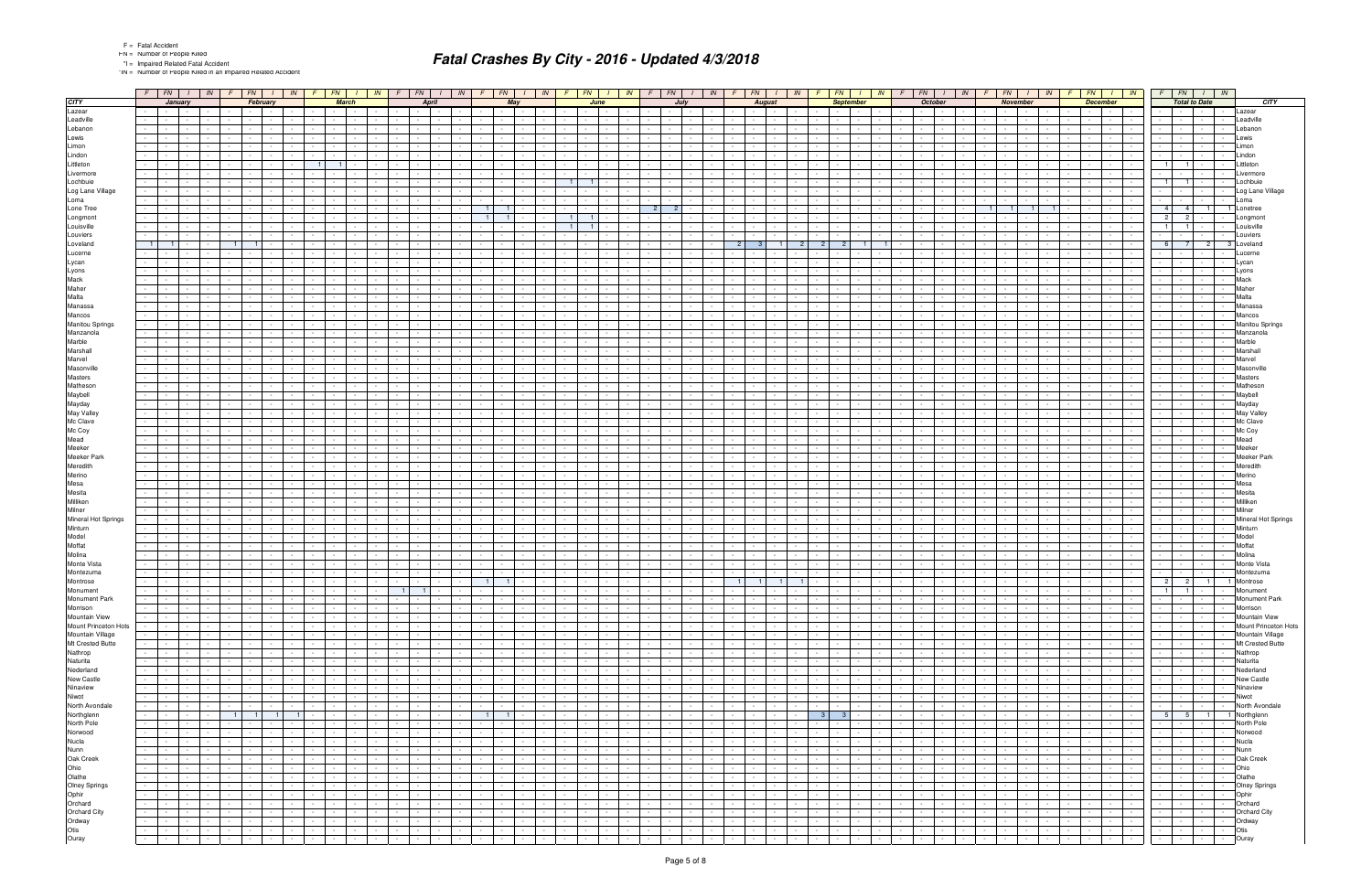\*IN = Number of People Killed in an Impaired Related Accident

|                      | $F$ $FN$ $I$ $N$ |                               |                  |        |                | $F$ $FN$ $I$      |                | IN             |                | $F$ $FN$ $I$     |              | IN |                | $F$ $FN$ $1$    |                  | IN         |                          |                 | $F$ $FN$ $I$     | IN               | $F$ $FN$ $1$               |                |        | IN   F   FN   I   IN   F   FN   I   IN |                 |                 |                  |                      |               |        | $F$ $FN$ $1$                     |                  |            | $\mid N \mid F$ | $FN$ $1$ $N$ |        | $F$ $FN$                 | $\frac{1}{1}$ IN |        | F      |                 | $FN$ $1$ $1$                                    |                          |                       | $F$ $FN$ $I$ $N$         |              |
|----------------------|------------------|-------------------------------|------------------|--------|----------------|-------------------|----------------|----------------|----------------|------------------|--------------|----|----------------|-----------------|------------------|------------|--------------------------|-----------------|------------------|------------------|----------------------------|----------------|--------|----------------------------------------|-----------------|-----------------|------------------|----------------------|---------------|--------|----------------------------------|------------------|------------|-----------------|--------------|--------|--------------------------|------------------|--------|--------|-----------------|-------------------------------------------------|--------------------------|-----------------------|--------------------------|--------------|
|                      |                  | January                       | $\sim$           |        |                | February          |                |                |                |                  | <b>March</b> |    |                |                 | <b>April</b>     |            |                          |                 | May              |                  |                            | June           |        |                                        | July            |                 |                  | <b>August</b>        |               |        |                                  | <b>September</b> |            |                 | October      |        |                          | November         |        |        | <b>December</b> |                                                 |                          | <b>Total to Date</b>  |                          |              |
|                      |                  | $\sim 100$<br><b>Contract</b> |                  |        |                |                   |                |                |                |                  |              |    |                |                 |                  |            |                          |                 |                  |                  |                            |                |        |                                        |                 |                 |                  |                      |               |        |                                  |                  |            |                 |              |        |                          |                  |        |        |                 | $\sim$                                          |                          | $\sim$<br>$\sim$      |                          |              |
|                      |                  |                               |                  |        |                |                   |                |                |                |                  |              |    |                |                 |                  |            |                          |                 |                  |                  |                            |                |        |                                        |                 |                 |                  |                      |               |        |                                  |                  |            |                 |              |        |                          |                  |        |        |                 |                                                 |                          |                       |                          |              |
|                      | $\sim$           | <b>Contract Contract</b>      | $\sim$           |        |                |                   |                |                |                |                  |              |    |                |                 |                  |            |                          | $\sim$          |                  |                  |                            |                |        |                                        |                 |                 |                  |                      |               |        |                                  |                  |            |                 |              |        |                          |                  |        |        |                 | $\sim$                                          |                          | $\sim$                |                          |              |
|                      |                  |                               |                  |        |                |                   |                |                |                |                  |              |    |                |                 |                  |            |                          |                 |                  |                  |                            |                |        |                                        |                 |                 |                  |                      |               |        |                                  |                  |            |                 |              |        |                          |                  |        |        |                 |                                                 |                          |                       |                          |              |
|                      |                  |                               |                  |        |                |                   |                |                |                |                  |              |    |                |                 |                  |            |                          |                 |                  |                  |                            |                |        |                                        |                 |                 |                  |                      |               |        |                                  |                  |            |                 |              |        |                          |                  |        |        |                 |                                                 |                          | $\sim$                |                          |              |
|                      | $\sim$           | $\sim$                        | $\sim$           |        |                |                   |                |                |                |                  |              |    |                |                 |                  |            |                          |                 |                  |                  |                            |                |        |                                        |                 |                 |                  |                      |               |        |                                  |                  |            |                 |              |        |                          |                  |        |        |                 |                                                 |                          | $\sim$                |                          |              |
|                      |                  |                               |                  |        |                |                   |                |                | 1 <sup>1</sup> |                  |              |    |                |                 |                  |            |                          |                 |                  |                  |                            |                |        |                                        |                 |                 |                  |                      |               |        |                                  |                  |            |                 |              |        |                          |                  |        |        |                 |                                                 | $\overline{1}$           | $\blacksquare$        |                          |              |
|                      |                  |                               |                  |        |                |                   |                |                |                |                  |              |    |                |                 |                  |            |                          |                 |                  |                  |                            |                |        |                                        |                 |                 |                  |                      |               |        |                                  |                  |            |                 |              |        |                          |                  |        |        |                 |                                                 |                          | $\sim$                |                          |              |
|                      |                  |                               |                  |        |                |                   |                |                |                |                  |              |    |                |                 |                  |            |                          |                 |                  |                  | 1 <sup>1</sup>             | $\blacksquare$ |        |                                        |                 |                 |                  |                      |               |        |                                  |                  |            |                 |              |        |                          |                  |        |        |                 |                                                 | $\vert$ 1                | $1 -$                 |                          |              |
|                      |                  |                               |                  |        |                |                   |                |                |                |                  |              |    |                |                 |                  |            |                          |                 |                  |                  |                            |                |        |                                        |                 |                 |                  |                      |               |        |                                  |                  |            |                 |              |        |                          |                  |        |        |                 |                                                 |                          |                       |                          |              |
|                      | $\sim 100$       |                               |                  |        |                |                   |                |                |                |                  |              |    |                |                 |                  |            |                          |                 |                  |                  |                            |                |        |                                        |                 |                 |                  |                      |               |        |                                  |                  |            |                 |              |        |                          |                  |        |        |                 |                                                 |                          | $\sim$                | $\sim$ $-$               | $\sim$       |
|                      |                  |                               |                  |        |                |                   |                |                |                |                  |              |    |                |                 |                  |            |                          |                 |                  |                  |                            |                |        | $\overline{2}$                         | 2 <sup>1</sup>  |                 |                  |                      |               |        |                                  |                  |            |                 |              |        |                          |                  |        |        |                 |                                                 | $4 \mid$                 | 4 <sup>1</sup>        | $\overline{1}$           |              |
|                      |                  |                               |                  |        |                |                   |                |                |                |                  |              |    |                |                 |                  |            |                          | $\overline{1}$  |                  |                  | $\vert$ 1                  |                |        |                                        |                 |                 |                  |                      |               |        |                                  |                  |            |                 |              |        |                          |                  |        |        |                 |                                                 | 2 <sup>1</sup>           | 2 <sup>1</sup>        |                          |              |
|                      | $\sim$           | $\sim$ $-$                    |                  |        |                |                   |                |                |                |                  |              |    |                |                 |                  |            |                          |                 |                  |                  | $\vert$ 1                  |                |        |                                        |                 |                 |                  |                      |               |        |                                  |                  |            |                 |              |        |                          |                  |        |        |                 |                                                 | $\overline{1}$           | $1 \mid$              |                          |              |
|                      |                  |                               |                  |        |                |                   |                |                |                |                  |              |    |                |                 |                  |            |                          |                 |                  |                  |                            |                |        |                                        |                 |                 |                  |                      |               |        |                                  |                  |            |                 |              |        |                          |                  |        |        |                 |                                                 |                          |                       |                          |              |
|                      | 11               | $-1$                          |                  |        | 1 <sup>1</sup> | $\blacksquare$    |                |                |                |                  |              |    |                |                 |                  |            |                          |                 |                  |                  |                            |                |        |                                        |                 | 2 <sup>1</sup>  |                  | -3<br>$\blacksquare$ |               |        |                                  |                  |            |                 |              |        |                          |                  |        |        |                 |                                                 | 6                        | 7 <sup>1</sup>        | 2                        |              |
|                      |                  |                               |                  |        |                |                   |                |                |                |                  |              |    |                |                 |                  |            |                          |                 |                  |                  |                            |                |        |                                        |                 |                 |                  |                      |               |        |                                  |                  |            |                 |              |        |                          |                  |        |        |                 |                                                 |                          |                       |                          |              |
|                      |                  |                               |                  |        |                |                   |                |                |                |                  |              |    |                |                 |                  |            |                          |                 |                  |                  |                            |                |        |                                        |                 |                 |                  |                      |               |        |                                  |                  |            |                 |              |        |                          |                  |        |        |                 |                                                 |                          |                       |                          |              |
|                      |                  |                               |                  |        |                |                   |                |                |                |                  |              |    |                |                 |                  |            |                          |                 |                  |                  |                            |                |        |                                        |                 |                 |                  |                      |               |        |                                  |                  |            |                 |              |        |                          |                  |        |        |                 |                                                 |                          |                       |                          |              |
|                      |                  |                               |                  |        |                |                   |                |                |                |                  |              |    |                |                 |                  |            |                          |                 |                  |                  |                            |                |        |                                        |                 |                 |                  |                      |               |        |                                  |                  |            |                 |              |        |                          |                  |        |        |                 |                                                 |                          | $\sim$                |                          |              |
|                      |                  |                               |                  |        |                |                   |                |                |                |                  |              |    |                |                 |                  |            |                          |                 |                  |                  |                            |                |        |                                        |                 |                 |                  |                      |               |        |                                  |                  |            |                 |              |        |                          |                  |        |        |                 |                                                 |                          |                       |                          |              |
|                      |                  |                               |                  |        |                |                   |                |                |                |                  |              |    |                |                 |                  |            |                          |                 |                  |                  |                            |                |        |                                        |                 |                 |                  |                      |               |        |                                  |                  |            |                 |              |        |                          |                  |        |        |                 |                                                 |                          |                       |                          |              |
|                      |                  |                               |                  |        |                |                   |                |                |                |                  |              |    |                |                 |                  |            |                          |                 |                  |                  |                            |                |        |                                        |                 |                 |                  |                      |               |        |                                  |                  |            |                 |              |        |                          |                  |        |        |                 |                                                 |                          |                       |                          |              |
|                      |                  |                               |                  |        |                |                   |                |                |                |                  |              |    |                |                 |                  |            |                          |                 |                  |                  |                            |                |        |                                        |                 |                 |                  |                      |               |        |                                  |                  |            |                 |              |        |                          |                  |        |        |                 |                                                 |                          |                       |                          |              |
|                      |                  |                               |                  |        |                |                   |                |                |                |                  |              |    |                |                 |                  |            |                          |                 |                  |                  |                            |                |        |                                        |                 |                 |                  |                      |               |        |                                  |                  |            |                 |              |        |                          |                  |        |        |                 |                                                 |                          |                       |                          |              |
|                      | $\sim 100$       | $\sim$ $-$                    | $\sim$           |        |                |                   |                |                |                |                  |              |    |                |                 |                  |            |                          |                 |                  |                  |                            |                |        |                                        |                 |                 |                  |                      |               |        |                                  |                  |            |                 |              |        |                          |                  |        |        |                 |                                                 |                          | $\sim$                |                          | $\sim$       |
|                      |                  |                               |                  |        |                |                   |                |                |                |                  |              |    |                |                 |                  |            |                          |                 |                  |                  |                            |                |        |                                        |                 |                 |                  |                      |               |        |                                  |                  |            |                 |              |        |                          |                  |        |        |                 |                                                 |                          |                       |                          |              |
|                      |                  |                               |                  |        |                |                   |                |                |                |                  |              |    |                |                 |                  |            |                          |                 |                  |                  |                            |                |        |                                        |                 |                 |                  |                      |               |        |                                  |                  |            |                 |              |        |                          |                  |        |        |                 |                                                 |                          | $\sim$                |                          |              |
|                      |                  |                               |                  |        |                |                   |                |                |                |                  |              |    |                |                 |                  |            |                          |                 |                  |                  |                            |                |        |                                        |                 |                 |                  |                      |               |        |                                  |                  |            |                 |              |        |                          |                  |        |        |                 |                                                 |                          | $\sim$                |                          |              |
|                      |                  |                               |                  |        |                |                   |                |                |                |                  |              |    |                |                 |                  |            |                          |                 |                  |                  |                            |                |        |                                        |                 |                 |                  |                      |               |        |                                  |                  |            |                 |              |        |                          |                  |        |        |                 |                                                 |                          |                       |                          |              |
|                      |                  |                               |                  |        |                |                   |                |                |                |                  |              |    |                |                 |                  |            |                          |                 |                  |                  |                            |                |        |                                        |                 |                 |                  |                      |               |        |                                  |                  |            |                 |              |        |                          |                  |        |        |                 |                                                 |                          |                       |                          |              |
|                      |                  |                               |                  |        |                |                   |                |                |                |                  |              |    |                |                 |                  |            |                          |                 |                  |                  |                            |                |        |                                        |                 |                 |                  |                      |               |        |                                  |                  |            |                 |              |        |                          |                  |        |        |                 |                                                 |                          |                       |                          |              |
|                      | $\sim$           | $\sim$                        | $\sim$           |        |                |                   |                |                |                |                  |              |    |                |                 |                  |            |                          |                 |                  |                  |                            |                |        |                                        |                 |                 |                  |                      |               |        |                                  |                  |            |                 |              |        |                          |                  |        |        |                 |                                                 |                          | $\sim$                |                          |              |
|                      |                  |                               |                  |        |                |                   |                |                |                |                  |              |    |                |                 |                  |            |                          |                 |                  |                  |                            |                |        |                                        |                 |                 |                  |                      |               |        |                                  |                  |            |                 |              |        |                          |                  |        |        |                 |                                                 |                          |                       |                          |              |
|                      |                  |                               |                  |        |                |                   |                |                |                |                  |              |    |                |                 |                  |            |                          |                 |                  |                  |                            |                |        |                                        |                 |                 |                  |                      |               |        |                                  |                  |            |                 |              |        |                          |                  |        |        |                 |                                                 |                          |                       |                          |              |
|                      | $\sim$           | $\sim$                        | $\sim$           |        |                |                   |                |                |                |                  |              |    |                |                 |                  |            |                          |                 |                  |                  |                            |                |        |                                        |                 |                 |                  |                      |               |        |                                  |                  |            |                 |              |        |                          |                  |        |        |                 | $\sim$                                          |                          | $\sim$                |                          |              |
|                      |                  |                               |                  |        |                |                   |                |                |                |                  |              |    |                |                 |                  |            |                          |                 |                  |                  |                            |                |        |                                        |                 |                 |                  |                      |               |        |                                  |                  |            |                 |              |        |                          |                  |        |        |                 |                                                 |                          |                       |                          |              |
|                      | $\sim$           | $\sim$ $-$                    | $\sim$           |        |                |                   |                |                |                |                  |              |    |                |                 |                  |            |                          |                 |                  |                  |                            |                |        |                                        |                 |                 |                  |                      |               |        |                                  |                  |            |                 |              |        |                          |                  |        |        |                 |                                                 |                          | $\sim$                |                          |              |
|                      |                  |                               |                  |        |                |                   |                |                |                |                  |              |    |                |                 |                  |            |                          |                 |                  |                  |                            |                |        |                                        |                 |                 |                  |                      |               |        |                                  |                  |            |                 |              |        |                          |                  |        |        |                 |                                                 |                          | $\sim$                |                          |              |
|                      |                  |                               |                  |        |                |                   |                |                |                |                  |              |    |                |                 |                  |            |                          |                 |                  |                  |                            |                |        |                                        |                 |                 |                  |                      |               |        |                                  |                  |            |                 |              |        |                          |                  |        |        |                 |                                                 |                          |                       |                          |              |
|                      |                  |                               | $\sim$           |        |                |                   |                |                |                |                  |              |    |                |                 |                  |            |                          |                 |                  |                  |                            |                |        |                                        |                 |                 |                  |                      |               |        |                                  |                  |            |                 |              |        |                          |                  |        |        |                 |                                                 |                          | $\sim$                |                          |              |
|                      |                  |                               |                  |        |                |                   |                |                |                |                  |              |    |                |                 |                  |            |                          |                 |                  |                  |                            |                |        |                                        |                 |                 |                  |                      |               |        |                                  |                  |            |                 |              |        |                          |                  |        |        |                 |                                                 |                          |                       |                          |              |
|                      |                  |                               |                  |        |                |                   |                |                |                |                  |              |    |                |                 |                  |            |                          |                 |                  |                  |                            |                |        |                                        |                 |                 |                  |                      |               |        |                                  |                  |            |                 |              |        |                          |                  |        |        |                 |                                                 |                          |                       |                          |              |
|                      |                  |                               |                  |        |                |                   |                |                |                |                  |              |    |                |                 |                  |            |                          |                 |                  |                  |                            |                |        |                                        |                 |                 |                  |                      |               |        |                                  |                  |            |                 |              |        |                          |                  |        |        |                 |                                                 |                          |                       |                          |              |
|                      |                  |                               |                  |        |                |                   |                |                |                |                  |              |    |                |                 |                  |            |                          |                 |                  |                  |                            |                |        |                                        |                 |                 |                  |                      |               |        |                                  |                  |            |                 |              |        |                          |                  |        |        |                 |                                                 |                          | $\sim$                |                          |              |
|                      |                  |                               |                  |        |                |                   |                |                |                |                  |              |    |                |                 |                  |            |                          |                 |                  |                  |                            |                |        |                                        |                 |                 |                  |                      |               |        |                                  |                  |            |                 |              |        |                          |                  |        |        |                 |                                                 |                          |                       |                          |              |
|                      |                  |                               |                  |        |                |                   |                |                |                |                  |              |    |                |                 |                  |            |                          |                 |                  |                  |                            |                |        |                                        |                 |                 |                  |                      |               |        |                                  |                  |            |                 |              |        |                          |                  |        |        |                 |                                                 |                          | $\sim$                |                          |              |
|                      |                  |                               |                  |        |                |                   |                |                |                |                  |              |    |                |                 |                  |            |                          |                 |                  |                  |                            |                |        |                                        |                 |                 |                  |                      |               |        |                                  |                  |            |                 |              |        |                          |                  |        |        |                 |                                                 |                          | $\sim$                |                          |              |
|                      |                  |                               |                  |        |                |                   |                |                |                |                  |              |    |                |                 |                  |            |                          |                 |                  |                  |                            |                |        |                                        |                 |                 |                  |                      |               |        |                                  |                  |            |                 |              |        |                          |                  |        |        |                 |                                                 |                          |                       |                          |              |
|                      |                  |                               |                  |        |                |                   |                |                |                |                  |              |    |                |                 |                  |            |                          |                 |                  |                  |                            |                |        |                                        |                 |                 |                  |                      |               |        |                                  |                  |            |                 |              |        |                          |                  |        |        |                 |                                                 |                          | $\sim$                |                          |              |
|                      |                  |                               |                  |        |                |                   |                |                |                |                  |              |    |                |                 |                  |            |                          |                 |                  |                  |                            |                |        |                                        |                 |                 |                  |                      |               |        |                                  |                  |            |                 |              |        |                          |                  |        |        |                 |                                                 |                          |                       |                          |              |
|                      |                  |                               |                  |        |                |                   |                |                |                |                  |              |    |                |                 |                  |            |                          |                 |                  |                  |                            |                |        |                                        |                 |                 |                  |                      |               |        |                                  |                  |            |                 |              |        |                          |                  |        |        |                 |                                                 |                          |                       |                          |              |
|                      |                  |                               |                  |        |                |                   |                |                |                |                  |              |    |                |                 |                  |            |                          |                 |                  |                  |                            |                |        |                                        |                 |                 |                  |                      |               |        |                                  |                  |            |                 |              |        |                          |                  |        |        |                 |                                                 |                          | $\sim$                |                          |              |
|                      |                  |                               |                  |        |                |                   |                |                |                |                  |              |    |                |                 |                  |            |                          |                 |                  |                  |                            |                |        |                                        |                 |                 |                  |                      |               |        |                                  |                  |            |                 |              |        |                          |                  |        |        |                 |                                                 |                          |                       |                          |              |
|                      |                  |                               |                  |        |                |                   |                |                |                |                  |              |    |                |                 |                  |            |                          |                 |                  |                  |                            |                |        |                                        |                 |                 |                  |                      |               |        |                                  |                  |            |                 |              |        |                          |                  |        |        |                 |                                                 |                          |                       |                          |              |
|                      | $\sim 100$       | <b>Contract Contract</b>      | $\sim 100$       |        |                |                   |                |                |                |                  |              |    |                |                 |                  |            |                          | $\sim$ $-$      |                  |                  |                            |                |        |                                        |                 |                 |                  |                      |               |        |                                  | $\sim$           |            |                 |              |        |                          |                  |        |        |                 | $\sim$ $-$<br><b>Contract Contract</b>          |                          | $\sim 10^{-1}$        |                          |              |
|                      |                  | <b>Contract Contract</b>      |                  |        |                |                   |                |                |                |                  |              |    |                |                 |                  |            |                          | $1 \mid$        | $\blacksquare$   |                  |                            |                |        |                                        |                 |                 | $\blacksquare$   | $\blacksquare$       |               |        |                                  | $\sim$           |            |                 |              |        |                          |                  |        |        |                 |                                                 | $2 \mid$                 | $\overline{2}$        | $\overline{1}$           |              |
|                      |                  |                               | $\sim$           |        |                |                   |                |                |                |                  |              |    |                |                 |                  |            |                          |                 |                  |                  |                            |                |        |                                        |                 |                 |                  | 11                   |               |        |                                  |                  |            |                 |              |        |                          |                  |        |        |                 |                                                 |                          |                       |                          |              |
|                      |                  | $\sim$ $\sim$                 | $\sim$           |        |                |                   |                |                |                |                  |              |    | 1 <sup>1</sup> | 1 <sup>1</sup>  |                  |            |                          | $\sim$          | $\sim$           |                  |                            |                |        |                                        |                 |                 |                  |                      |               |        |                                  |                  |            |                 |              |        |                          |                  |        |        |                 | $\sim$ $\sim$<br>$\sim$                         | $1 \vert$                | $1 \cdot$             |                          | $\sim$       |
|                      | $\sim 100$       | the contract of the con-      |                  |        | $\sim$         | $\sim 10^{-10}$   |                |                |                | $\sim 10^{-11}$  |              |    |                | $\sim 10^{-11}$ | $\sim$ 100 $\pm$ | $\sim$ $-$ |                          | the contract of | $\sim$ $-$       | $\sim$           |                            |                |        | $\sim$                                 |                 | $\sim 10^{-11}$ | $\sim$ 100 $\pm$ | $\sim$               |               | $\sim$ | $\sim$                           | $\sim$           |            |                 |              |        |                          |                  |        |        | $\sim 10^{-11}$ | the contract of                                 | $\sim 100$               | the contract of       |                          | $\sim$       |
|                      |                  | <b>Contract Contract</b>      | $\sim$           |        | $\sim$         | $\sim$            |                |                |                | $\sim$           |              |    |                |                 |                  |            | $\sim$ $-$               | $\sim$ $-$      |                  |                  |                            |                |        |                                        |                 | $\sim$          |                  |                      |               |        |                                  | $\sim$           |            |                 |              |        |                          |                  |        |        | $\sim$          | $\sim 10^{-11}$<br>$\sim$                       |                          | $\sim$                | $\sim$ 100 $\mu$         |              |
|                      | $\sim$           | the contract of               |                  |        | $\sim$         | $\sim 100$        |                |                |                | $\sim$ 100 $\mu$ |              |    |                | $\sim$          | $\sim$ $-$       | $\sim$     | <b>Contract</b>          | $\sim 10^{-1}$  | $\sim$           | $\sim$           | $\sim 100$                 |                |        |                                        |                 | $\sim$          | $\sim$ 100 $\pm$ | $\sim$ $-$           | $\sim$ $-$    | $\sim$ | $\sim$                           | $\sim$           |            |                 |              |        |                          |                  |        |        | $\sim$          | <b>Contract Contract</b>                        |                          | <b>Second Control</b> | <b>Contract</b>          | $\sim$       |
| Mount Princeton Hots | $\sim$           |                               | $\sim 10^{-11}$  | $\sim$ | $\sim$         | $\sim 10^{-11}$   | $\sim$         |                |                | $\sim$ $-$       | $\sim$       |    |                | $\sim$ $-$      | $\sim$ $-$       | $\sim$     | <b>Service</b>           | $\sim 10^{-1}$  |                  | $\sim$<br>$\sim$ | $\sim$<br>$\sim 100$       |                | $\sim$ | $\sim$                                 | $\sim$ $-$      | $\sim 10^{-1}$  | $\sim 10^{-1}$   | $\sim$ $-$           | $\sim$        | $\sim$ | $\sim$ $-$                       | $\sim$           |            | $\sim$          | $\sim$       |        | $\sim 10^{-11}$          | $\sim$           |        |        | $\sim 100$      | $\sim$ 100 $\pm$                                |                          | $\sim 10^{-11}$       | <b>Contractor</b>        | $\sim$       |
|                      | $\sim 10^{-1}$   | $\sim 10^{-10}$               | $\sim$           |        | $\sim$         | $\sim 100$        |                |                |                | $\sim$ $\sim$    |              |    |                | $\sim$          |                  |            | $\sim$                   | $\sim$          |                  |                  | $\sim$ 100 $\mu$           |                |        |                                        |                 | $\sim$          | $\sim$           | $\sim$               |               |        |                                  | $\sim$           |            |                 |              |        |                          |                  |        |        |                 | $\sim 10^{-10}$<br>$\sim$ $-$                   |                          | $\sim 10^{-11}$       | $\sim 10^{-1}$           | $\sim$       |
|                      | $\sim$           | <b>Contract</b>               | $\sim$           |        | $\sim$         | $\sim 100$        |                |                |                | $\sim$ $-$       |              |    | $\sim$         | $\sim$ $-$      | $\sim$           | $\sim$     | <b>Contract</b>          | $\sim$          | $\sim$           | $\sim$           | $\sim$ $-$                 |                |        |                                        |                 | $\sim$          | $\sim$ $\sim$    | $\sim$               | $\sim$ $-$    | $\sim$ | $\sim$                           | $\sim$           | $\sim$     |                 |              |        |                          |                  |        |        | $\sim$          | <b>Contract</b><br>$\sim$ $-$                   | <b>Contract Contract</b> | $\sim 10^{-11}$       | <b>Contract</b>          | $\sim$       |
|                      |                  | $\sim 10^{-10}$               | $\sim$           |        | $\sim$         |                   |                |                |                | $\sim$           |              |    |                | $\sim$          | $\sim$           |            | $\sim$                   | $\sim$          | $\sim$           | $\sim$           |                            |                |        |                                        |                 | $\sim$          | $\sim 10^{-1}$   | $\sim$               |               | $\sim$ | $\sim$                           | $\sim$           |            |                 |              |        |                          |                  |        |        | $\sim$          | <b>Contract</b><br>$\sim 10^{-1}$               |                          | $\sim$                | $\sim 10^{-11}$          | $\sim$       |
|                      |                  | <b>Contract</b>               | $\sim$           |        | $\sim$         | $\sim$            |                |                |                | $\sim$           |              |    |                | $\sim$          |                  |            | $\sim$                   | $\sim 10^{-1}$  |                  |                  | <b>Service</b>             |                |        |                                        |                 | $\sim$          |                  |                      |               |        |                                  | $\sim$           |            |                 |              |        |                          |                  |        |        |                 | $\sim$ $\sim$<br>$\sim$                         |                          | $\sim$ $-$            | $\sim$                   |              |
|                      | $\sim$           | <b>Contract</b>               | $\sim$           |        | $\sim$         | $\sim 100$        |                |                |                | $\sim$ $-$       |              |    | $\sim$         | $\sim$ $-$      |                  | $\sim$     | <b>Contract</b>          | $\sim$          | $\sim$           | $\sim$           | $\sim$ $-$                 |                |        |                                        |                 | $\sim$          | $\sim$ $\sim$    | $\sim$               | $\sim$        | $\sim$ | $\sim$                           | $\sim$           | $\sim$     |                 |              |        |                          |                  |        |        | $\sim$          | <b>Contract</b><br>$\sim$                       | $\sim 100$               | $\sim$                | $\sim$ $-$               | $\sim$       |
|                      | $\sim$           | <b>Contract Contract</b>      | $\sim$           |        | $\sim$         | $\sim 10^{-10}$   |                |                |                | $\sim$           |              |    |                | $\sim$          | $\sim$           |            | $\sim$                   | $\sim$ $-$      |                  | $\sim$           |                            |                |        |                                        |                 | $\sim$          | $\sim 10^{-1}$   | $\sim$               |               | $\sim$ | $\sim$                           | $\sim$           |            |                 |              |        |                          |                  |        |        | $\sim$          | $\sim 100$<br><b>Contract Contract</b>          |                          | $\sim 10^{-10}$       | $\sim$ $-$               | $\sim$       |
|                      | $\sim$           | <b>Contract Contract</b>      | $\sim$           |        | $\sim$         | <b>Contract</b>   |                |                |                | $\sim 10^{-11}$  |              |    |                | $\sim$          |                  |            | $\sim$                   | $\sim$          |                  |                  | $\sim$ 100 $\mu$           |                |        |                                        |                 | $\sim$          | $\sim$           | $\sim$               |               | $\sim$ |                                  | $\sim$           |            |                 |              |        |                          |                  |        |        | $\sim$          | <b>Service</b><br>$\sim$ $-$                    |                          | $\sim 10^{-11}$       | $\sim$ $\sim$            | $\sim$       |
|                      |                  |                               |                  |        |                |                   |                |                |                |                  |              |    |                |                 |                  |            |                          |                 |                  |                  |                            |                |        |                                        |                 |                 |                  |                      |               |        |                                  |                  |            |                 |              |        |                          |                  |        |        |                 |                                                 |                          |                       |                          |              |
|                      | $\sim$           | the contract of the con-      |                  |        | $\sim$         | <b>Contractor</b> |                |                |                | $\sim$ $-$       |              |    |                | <b>Contract</b> |                  | $\sim$     | $\sim$ $\sim$            | $\sim 100$      | $\sim$           | $\sim$           | <b>Contract</b>            |                |        | $\sim$                                 |                 | $\sim 100$      | $\sim$ 100 $\pm$ | $\sim$               |               | $\sim$ | $\sim$                           | $\sim$           |            |                 |              |        |                          |                  |        |        | $\sim$          | the contract                                    | $\sim 100$               | $\sim 10^{-11}$       | <b>Contract</b>          | $\sim$       |
|                      | $\sim$           | $\sim 100$                    | $\sim$           |        | $\sim$         | $\sim$            |                |                |                | $\sim 10^{-11}$  | $\sim$       |    |                | $\sim 10^{-11}$ | $\sim$           |            | $\sim$                   | $\sim$          | $\sim$           | $\sim$           |                            |                |        | $\sim$                                 |                 | $\sim$          | $\sim 100$       | $\sim$               |               | $\sim$ | $\sim$ $-$                       | $\sim$           |            |                 |              |        |                          |                  |        |        | $\sim$          | <b>Contract Contract</b><br>$\sim$ 100 $\pm$    |                          | <b>Contract</b>       | <b>Contract</b>          | $\sim$       |
|                      | $\sim$           | $\sim 10^{-10}$               | $\sim 10^{-1}$   |        |                | $1 \quad 1$       | 1 <sup>1</sup> | $\overline{1}$ |                | $\sim$ $-$       |              |    |                | $\sim$          | $\sim$ $-$       |            |                          | $-1$            | $\blacksquare$ 1 | $\sim$           |                            |                |        |                                        |                 | $\sim 10$       | $\sim$ 100 $\pm$ | $\sim$               |               |        | 3 <sup>1</sup><br>3 <sup>1</sup> | $\sim$           |            |                 |              |        |                          |                  |        |        | $\sim$ $-$      | <b>Service</b>                                  |                          |                       | 5 5 1                    | 1 Northglenn |
|                      | $\sim$           | $\sim$ $\sim$ $\sim$ $\sim$   | $\sim 10^{-1}$   |        | $\sim$         | $\sim 10^{-11}$   |                |                |                | $\sim$           |              |    |                | $\sim 10^{-11}$ | $\sim 10^{-1}$   | $\sim$     | $\sim$ $\sim$            | $\sim$ $-$      | $\sim$           | $\sim$           | <b>Service</b><br>$\sim$   |                | $\sim$ | $\sim$                                 | $\sim$ $-$      | $\sim$          | $\sim 10^{-1}$   | $\sim 10^{-1}$       |               | $\sim$ | $\sim$                           | $\sim$           |            |                 |              |        | $\sim 10^{-11}$          |                  |        |        | $\sim$ $-$      | $\sim$                                          |                          | $\sim 10^{-11}$       | $\sim 10^{-11}$          | $\sim$       |
|                      | $\sim$           | $\sim 10^{-11}$               | $\sim$           |        | $\sim$         |                   |                |                |                | $\sim$           |              |    |                | $\sim$          | $\sim$           |            | $\sim$                   | $\sim$          | $\sim$           | $\sim$           | $\sim$                     |                |        | $\sim$                                 | $\sim$          | $\sim$          | $\sim$           | $\sim$               |               | $\sim$ | $\sim$ $-$                       | $\sim$           |            |                 |              |        |                          |                  |        |        | $\sim$          | $\sim 10^{-10}$<br>$\sim$ $-$                   |                          | $\sim$ $-$            | $\sim$ $\sim$            | $\sim$       |
|                      | $\sim$           | $\sim 10^{-10}$               | $\sim 10^{-1}$   |        | $\sim$         | $\sim 100$        |                |                |                | $\sim$ $-$       |              |    |                | $\sim$          |                  |            | $\sim$                   | $\sim$          |                  | $\sim$           |                            |                |        |                                        |                 | $\sim 10$       | $\sim$ 100 $\pm$ | $\sim$               |               | $\sim$ |                                  | $\sim$           |            |                 |              |        |                          |                  |        |        | $\sim$          | $\sim$ 100 $\pm$                                |                          | $\sim 100$            | $\sim 100$               | $\sim$       |
|                      | $\sim$           |                               | $\sim$ $-$       |        | $\sim$         | $\sim 10^{-10}$   |                |                |                | $\sim$ $-$       |              |    |                | $\sim$          |                  |            | <b>Service</b>           | $\sim$          |                  | $\sim$           | $\sim 100$                 |                |        |                                        |                 | $\sim$          | $\sim$ $-$       | $\sim 10^{-1}$       |               | $\sim$ |                                  | $\sim$           |            |                 |              |        |                          |                  |        |        | $\sim$          | <b>Contract</b><br>$\sim$                       |                          | $\sim 10^{-11}$       | <b>Contract</b>          | $\sim$       |
|                      | $\sim$           | <b>Contract Contract</b>      | $\sim$           |        | $\sim$         | $\sim 10^{-1}$    |                |                |                | $\sim$           |              |    |                | $\sim$          | $\sim$           |            | $\sim$                   | $\sim$          | $\sim$           | $\sim$           | <b>Service</b>             |                |        |                                        |                 | $\sim$          | $\sim$ 10 $\pm$  | $\sim$               |               | $\sim$ | $\sim$                           | $\sim$           |            |                 |              |        |                          |                  |        |        | $\sim$          | <b>Contract</b><br>$\sim$ $\sim$                |                          | $\sim$                | $\sim 100$               | $\sim$       |
|                      |                  |                               |                  |        |                | <b>Contract</b>   |                |                |                |                  |              |    |                |                 | $\sim$ $\sim$    | $\sim$     |                          |                 | $\sim$           | $\sim$           | $\sim$ 100 $\mu$<br>$\sim$ |                |        | $\sim$                                 | $\sim 10^{-11}$ |                 | $\sim$ 100 $\pm$ |                      | $\sim$        | $\sim$ | $\sim$ $-$                       |                  | $\sim$     |                 |              |        | $\sim$ $-$               | $\sim$           |        |        |                 |                                                 | $\sim$ 100 $\pm$         |                       |                          |              |
|                      | $\sim$           | the contract of the           |                  |        | $\sim$         |                   |                |                |                | $\sim 10^{-11}$  |              |    |                | $\sim 10^{-11}$ |                  |            | <b>Contract</b>          | $\sim$          |                  |                  |                            |                |        |                                        |                 | $\sim 10^{-11}$ |                  | $\sim$               |               |        |                                  | $\sim$           |            |                 |              |        |                          |                  |        |        | $\sim$          | $\sim$ $\sim$ $\sim$ $\sim$<br>$\sim 100$       |                          | <b>Contract</b>       | <b>Contract Contract</b> | $\sim$       |
|                      | $\sim$           |                               | $\sim 10^{-1}$   |        | $\sim$         | $\sim 10^{-11}$   |                |                |                | $\sim 10^{-11}$  |              |    |                | $\sim$          |                  |            | $\sim$                   | $\sim$          |                  |                  | $\sim 100$                 |                |        |                                        |                 | $\sim$          |                  | $\sim$               |               | $\sim$ |                                  | $\sim$           |            |                 |              |        |                          |                  |        |        |                 | $\sim 10^{-11}$                                 |                          | $\sim 10^{-10}$       | $\sim 10^{-11}$          | $\sim$       |
|                      | $\sim$           | <b>Contract Contract</b>      | $\sim$           |        | $\sim$         | $\sim$ $-$        |                |                |                | $\sim 10^{-11}$  |              |    |                | $\sim$          |                  |            | $\sim$                   | $\sim$          | $\sim$           | $\sim$           | $\sim 100$                 |                |        |                                        |                 | $\sim$          | $\sim$ $\sim$    | $\sim$               |               | $\sim$ | $\sim$                           | $\sim$           |            |                 |              |        |                          |                  |        |        | $\sim$ $-$      | $\sim$ $\sim$ $\sim$ $\sim$<br>$\sim$ 100 $\mu$ |                          | $\sim 10^{-10}$       | <b>Contract</b>          | $\sim$       |
|                      | $\sim 10$        | the contract of               |                  |        | $\sim$         | <b>Contractor</b> | $\sim$         |                | $\sim$         | $\sim 10^{-11}$  | $\sim$       |    |                | $\sim$ $-$      | $\sim$           | $\sim$     | <b>Contract Contract</b> | $\sim 100$      | $\sim$           | $\sim$           | $\sim 100$<br>$\sim$       |                | $\sim$ | $\sim$                                 | $\sim$ $-$      | $\sim 100$      | $\sim$ 100 $\pm$ | $\sim$ $-$           |               | $\sim$ | $\sim$ $-$                       | $\sim$           |            |                 | $\sim$       |        | $\sim$ $-$               | $\sim$           |        |        | $\sim$          | the company                                     |                          | $-1 - 1 -$            |                          | $\sim$       |
|                      | $\sim$           | <b>Contract Contract</b>      | $\sim$ 100 $\pm$ |        | $\sim$         | $\sim 10^{-11}$   |                |                |                | $\sim 10^{-11}$  |              |    |                | $\sim$          |                  |            | $\sim$ $-$               | $\sim$          | $\sim$           | $\sim$           | $\sim$                     |                |        |                                        |                 | $\sim$          | $\sim$           | $\sim$               |               | $\sim$ | $\sim$                           | $\sim$           |            |                 |              |        |                          | $\sim$           |        |        | $\sim$          | <b>Contract Contract</b><br>$\sim$ 100 $\mu$    |                          | $\sim 10^{-10}$       | $\sim$ 100 $\pm$         | $\sim$       |
|                      | $\sim$           | $\sim 10^{-10}$               | $\sim$           |        | $\sim$         | $\sim$ $\sim$     |                |                |                | $\sim 10^{-11}$  |              |    |                | $\sim$          |                  | $\sim$     | $\sim$                   | $\sim$          | $\sim$           | $\sim$           |                            |                |        |                                        |                 | $\sim$          | $\sim$ $\sim$    | $\sim 100$           |               | $\sim$ | $\sim$                           | $\sim$           |            |                 |              |        |                          |                  |        |        | $\sim$ $-$      | <b>Contract Contract</b>                        |                          | $\sim 10^{-10}$       | $\sim 10^{-11}$          | $\sim$       |
|                      | $\sim 10^{-1}$   | <b>Contract Contract</b>      |                  | $\sim$ | $\sim$         | <b>Contractor</b> | $\sim$         |                |                | $\sim 10^{-11}$  | $\sim$       |    | $\sim$         | $\sim$          | $\sim$ $-$       | $\sim$     | $\sim$ $\sim$ $\sim$     | $\sim 10^{-1}$  | $\sim$ $-$       | $\sim$           | <b>Contract</b><br>$\sim$  |                | $\sim$ | $\sim$ $-$                             | $\sim 10^{-11}$ | $\sim 100$      | $\sim 10^{-1}$   | $\sim$ $-$           | $\sim$ $\sim$ | $\sim$ | $\sim$ $-$                       | $\sim$           | $\sim$     | $\sim$          | $\sim$ $-$   | $\sim$ | <b>Contract Contract</b> | $\sim$ $-$       | $\sim$ | $\sim$ | $\sim$          | <b>Service</b>                                  | $\sim$ $\sim$            | $\sim 10^{-10}$       | $\sim 100$ km s $^{-1}$  | $\sim$       |
|                      | $\sim$           | <b>Contract Contract</b>      | $\sim 100$       | $\sim$ | $\sim$         | $\sim 10^{-11}$   |                |                |                | $\sim 10^{-11}$  |              |    |                | $\sim$ $-$      | $\sim$           | $\sim$     | <b>Contract</b>          | $\sim$ $-$      | $\sim$           | $\sim$           | $\sim$                     |                |        | $\sim$                                 | $\sim$ $-$      | $\sim$ $-$      | $\sim 10^{-1}$   | $\sim$               |               | $\sim$ | $\sim$                           | $\sim$           |            |                 |              |        | $\sim$ $-$               | $\sim$           |        |        | $\sim$          | <b>Contract</b><br>$\sim$                       |                          | $\sim$ $-$            | $\sim$ $-$               | $\sim$       |
|                      | $\sim$           | the contract of               |                  | $\sim$ | $\sim$         | $\sim 100$        |                |                | $\sim$         | $\sim 100$       |              |    |                | $\sim$          | $\sim$ $-$       | $\sim$     |                          | $\sim 10^{-1}$  | $\sim$ $-$       | $\sim$           | $\sim$ $-$                 |                |        | $\sim$                                 | $\sim 10^{-11}$ | $\sim$ $-$      | $\sim 10^{-1}$   | $\sim$               | $\sim$ $-$    | $\sim$ | $\sim$ $-$                       | $\sim$           | $\sim$ $-$ |                 |              |        | $\sim 10^{-11}$          | $\sim$ $\sim$    |        |        | $\sim$          | $\sim 10^{-10}$<br>$\sim$ $-$                   | <b>Service</b>           | $\sim 10^{-10}$       | $\sim 100$               | $\sim$       |
|                      |                  |                               |                  |        |                |                   |                |                |                |                  |              |    |                |                 |                  |            |                          |                 |                  |                  |                            |                |        |                                        |                 |                 |                  |                      |               |        |                                  |                  |            |                 |              |        |                          |                  |        |        |                 |                                                 |                          |                       |                          |              |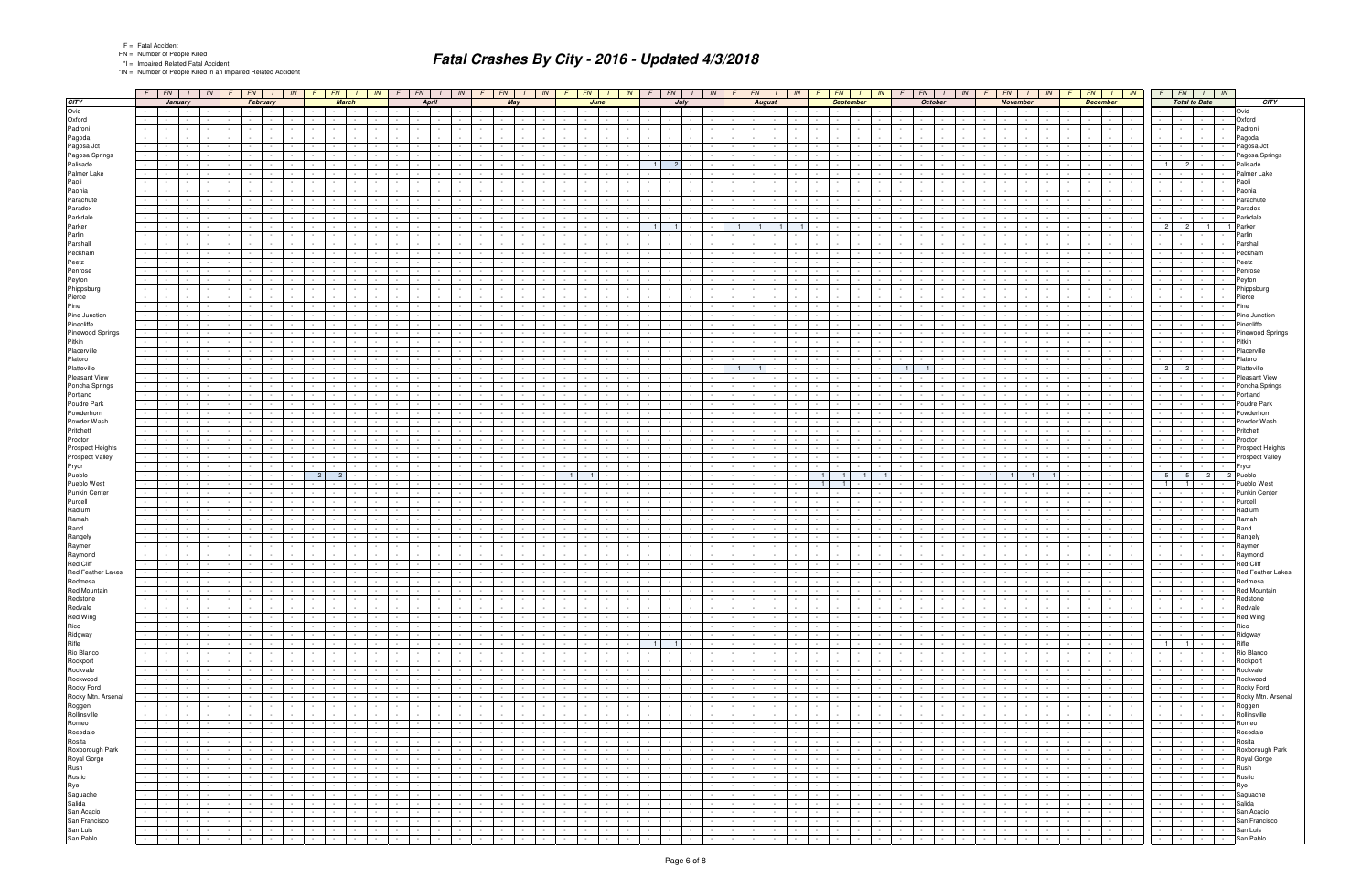\*IN = Number of People Killed in an Impaired Related Accident

|                                            | $F$ $FN$ $I$ $N$                                      |                  |                                               | $F$ $F$ $N$ $I$ $N$ $F$ $F$ $N$ $I$         |                |                                          | IN     | $F \mid FN \mid$               |                          | IN              |                                                                          | $F$ $FN$ $I$ $N$                                      |                | $F$   $FN$                             |                                 |               | $I$ $\mid$ $IN$ $\mid$ $F$ $\mid$ $FN$ $\mid$ $I$ $\mid$ $IN$ $\mid$ |                                |                                 | $F$ $FN$ $I$ $N$                            |                | $\sqrt{F}$                         | $FN$   $1$       | $IN$ $F$         | FN  I   IN               |                                  |                | FN                                       | $I$ $IN$ $F$                           |                |                     | $FN$ $I$ $IN$                         |                              | $F$ $FN$ $I$ $N$              |                                    |                          |
|--------------------------------------------|-------------------------------------------------------|------------------|-----------------------------------------------|---------------------------------------------|----------------|------------------------------------------|--------|--------------------------------|--------------------------|-----------------|--------------------------------------------------------------------------|-------------------------------------------------------|----------------|----------------------------------------|---------------------------------|---------------|----------------------------------------------------------------------|--------------------------------|---------------------------------|---------------------------------------------|----------------|------------------------------------|------------------|------------------|--------------------------|----------------------------------|----------------|------------------------------------------|----------------------------------------|----------------|---------------------|---------------------------------------|------------------------------|-------------------------------|------------------------------------|--------------------------|
| <b>CITY</b>                                | January                                               |                  |                                               | February                                    |                | <b>March</b>                             |        |                                | <b>April</b>             |                 |                                                                          | May                                                   |                |                                        | June                            |               | July                                                                 |                                |                                 | <b>August</b>                               |                |                                    | <b>September</b> |                  | October                  |                                  |                | November                                 |                                        |                | <b>December</b>     |                                       |                              | <b>Total to Date</b>          |                                    | CITY                     |
| Ovid                                       | $\sim 10^{-11}$<br>$\sim$                             |                  | <b>Service</b>                                |                                             |                |                                          |        |                                |                          |                 | $\sim$                                                                   |                                                       |                |                                        |                                 |               |                                                                      |                                |                                 | $\sim$                                      |                |                                    |                  |                  |                          |                                  |                | $\sim$                                   |                                        |                | $\sim$              |                                       |                              |                               |                                    | Ovid                     |
| Oxford                                     | $\sim$                                                |                  |                                               |                                             |                |                                          |        |                                |                          |                 | $\sim$                                                                   |                                                       |                |                                        |                                 |               |                                                                      |                                |                                 | $\sim$                                      |                |                                    |                  |                  |                          |                                  |                |                                          |                                        |                | $\sim$              |                                       |                              |                               | $\sim$                             | Oxford                   |
| Padroni                                    | $\sim$                                                |                  |                                               |                                             |                |                                          |        |                                |                          |                 | $\sim$                                                                   |                                                       |                |                                        |                                 |               |                                                                      |                                |                                 |                                             |                |                                    |                  |                  |                          |                                  |                |                                          |                                        |                |                     |                                       |                              |                               |                                    | Padroni                  |
| Pagoda                                     |                                                       |                  |                                               |                                             |                |                                          |        |                                |                          |                 |                                                                          |                                                       |                |                                        |                                 |               |                                                                      |                                |                                 |                                             |                |                                    |                  |                  |                          |                                  |                |                                          |                                        |                |                     |                                       |                              |                               |                                    | Pagoda                   |
| Pagosa Jct                                 | $\sim$                                                |                  |                                               |                                             |                |                                          |        |                                |                          |                 | $\sim$                                                                   |                                                       |                |                                        |                                 |               |                                                                      |                                |                                 |                                             |                |                                    |                  |                  |                          |                                  |                |                                          |                                        |                |                     |                                       |                              |                               |                                    | Pagosa Jct               |
| Pagosa Springs                             |                                                       |                  |                                               |                                             |                |                                          |        |                                |                          |                 |                                                                          |                                                       |                |                                        |                                 |               |                                                                      |                                |                                 |                                             |                |                                    |                  |                  |                          |                                  |                |                                          |                                        |                |                     |                                       |                              |                               |                                    | Pagosa Springs           |
| Palisade                                   |                                                       |                  |                                               |                                             |                |                                          |        |                                |                          |                 |                                                                          |                                                       |                |                                        |                                 |               | $\mathbf{1}$<br>$\overline{2}$                                       |                                |                                 |                                             |                |                                    |                  |                  |                          |                                  |                |                                          |                                        |                |                     |                                       | $1 \mid$                     | 2 <sup>1</sup>                |                                    | Palisade                 |
| Palmer Lake                                |                                                       |                  |                                               |                                             |                |                                          |        |                                |                          |                 |                                                                          |                                                       |                |                                        |                                 |               |                                                                      |                                |                                 |                                             |                |                                    |                  |                  |                          |                                  |                |                                          |                                        |                |                     |                                       |                              |                               |                                    | Palmer Lake              |
| Paoli                                      |                                                       |                  |                                               |                                             |                |                                          |        |                                |                          |                 |                                                                          |                                                       |                |                                        |                                 |               |                                                                      |                                |                                 |                                             |                |                                    |                  |                  |                          |                                  |                |                                          |                                        |                |                     |                                       |                              |                               |                                    | Paoli                    |
| Paonia                                     |                                                       |                  |                                               |                                             |                |                                          |        |                                |                          |                 |                                                                          |                                                       |                |                                        |                                 |               |                                                                      |                                |                                 |                                             |                |                                    |                  |                  |                          |                                  |                |                                          |                                        |                |                     |                                       |                              |                               |                                    | Paonia                   |
| Parachute                                  |                                                       |                  |                                               |                                             |                |                                          |        |                                |                          |                 |                                                                          |                                                       |                |                                        |                                 |               |                                                                      |                                |                                 |                                             |                |                                    |                  |                  |                          |                                  |                |                                          |                                        |                |                     |                                       |                              |                               |                                    | Parachute                |
| Paradox                                    |                                                       |                  |                                               |                                             |                |                                          |        |                                |                          |                 |                                                                          |                                                       |                |                                        |                                 |               |                                                                      |                                |                                 |                                             |                |                                    |                  |                  |                          |                                  |                |                                          |                                        |                |                     |                                       |                              |                               |                                    | Paradox                  |
| Parkdale                                   | $\sim$                                                |                  |                                               |                                             |                |                                          |        |                                |                          |                 |                                                                          |                                                       |                |                                        |                                 |               |                                                                      |                                |                                 |                                             |                |                                    |                  |                  |                          |                                  |                |                                          |                                        |                |                     |                                       |                              |                               |                                    | Parkdale                 |
| Parker                                     |                                                       |                  |                                               |                                             |                |                                          |        |                                |                          |                 |                                                                          |                                                       |                |                                        |                                 |               |                                                                      |                                |                                 |                                             |                |                                    |                  |                  |                          |                                  |                |                                          |                                        |                |                     |                                       | $\overline{2}$               | $\overline{2}$                | $\overline{1}$                     | Parker                   |
| Parlin                                     |                                                       |                  |                                               |                                             |                |                                          |        |                                |                          |                 |                                                                          |                                                       |                |                                        |                                 |               |                                                                      |                                |                                 |                                             |                |                                    |                  |                  |                          |                                  |                |                                          |                                        |                |                     |                                       |                              |                               |                                    | Parlin                   |
| Parshall                                   |                                                       |                  |                                               |                                             |                |                                          |        |                                |                          |                 |                                                                          |                                                       |                |                                        |                                 |               |                                                                      |                                |                                 | $\sim$                                      |                |                                    |                  |                  |                          |                                  |                |                                          |                                        |                |                     |                                       |                              |                               |                                    | Parshall                 |
| Peckham                                    |                                                       |                  |                                               |                                             |                |                                          |        |                                |                          |                 |                                                                          |                                                       |                |                                        |                                 |               |                                                                      |                                |                                 |                                             |                |                                    |                  |                  |                          |                                  |                |                                          |                                        |                |                     |                                       |                              |                               |                                    | Peckham                  |
| Peetz                                      |                                                       |                  |                                               |                                             |                |                                          |        |                                |                          |                 |                                                                          |                                                       |                |                                        |                                 |               |                                                                      |                                |                                 |                                             |                |                                    |                  |                  |                          |                                  |                |                                          |                                        |                |                     |                                       |                              |                               |                                    | Peetz                    |
| Penrose                                    | $\sim 100$<br>$\sim$                                  |                  |                                               | $\sim$                                      |                |                                          |        | $\sim$                         |                          |                 | $\sim$                                                                   |                                                       |                |                                        |                                 |               |                                                                      |                                |                                 | $\sim$                                      |                |                                    |                  |                  |                          |                                  |                |                                          |                                        |                | $\sim$              |                                       | $\sim$                       |                               |                                    | Penrose                  |
| Peyton                                     |                                                       |                  |                                               |                                             |                |                                          |        |                                |                          |                 |                                                                          |                                                       |                |                                        |                                 |               |                                                                      |                                |                                 |                                             |                |                                    |                  |                  |                          |                                  |                |                                          |                                        |                |                     |                                       |                              |                               |                                    | Peyton                   |
| Phippsburg                                 |                                                       |                  |                                               |                                             |                |                                          |        |                                |                          |                 |                                                                          |                                                       |                |                                        |                                 |               |                                                                      |                                |                                 |                                             |                |                                    |                  |                  |                          |                                  |                |                                          |                                        |                |                     |                                       |                              |                               |                                    | Phippsburg               |
| Pierce                                     | $\sim$                                                |                  |                                               | $\sim$                                      |                |                                          |        |                                |                          |                 | $\sim$                                                                   |                                                       |                |                                        |                                 |               |                                                                      |                                |                                 | $\sim$                                      |                |                                    |                  |                  |                          |                                  |                |                                          |                                        |                |                     |                                       |                              |                               | $\sim$                             | Pierce                   |
| Pine                                       |                                                       |                  |                                               |                                             |                |                                          |        |                                |                          |                 |                                                                          |                                                       |                |                                        |                                 |               |                                                                      |                                |                                 |                                             |                |                                    |                  |                  |                          |                                  |                |                                          |                                        |                |                     |                                       |                              |                               |                                    | Pine                     |
| Pine Junction                              | $\sim$                                                |                  |                                               |                                             |                |                                          |        |                                |                          |                 |                                                                          |                                                       |                |                                        |                                 |               |                                                                      |                                |                                 |                                             |                |                                    |                  |                  |                          |                                  |                |                                          |                                        |                |                     |                                       |                              |                               |                                    | Pine Junction            |
| Pinecliffe                                 | $\sim$                                                |                  |                                               |                                             |                |                                          |        |                                |                          |                 |                                                                          |                                                       |                |                                        |                                 |               |                                                                      |                                |                                 | $\sim$                                      |                |                                    |                  |                  |                          |                                  |                |                                          |                                        |                |                     |                                       | $\sim 100$                   |                               | $\sim$                             | Pinecliffe               |
|                                            |                                                       |                  |                                               |                                             |                |                                          |        |                                |                          |                 |                                                                          |                                                       |                |                                        |                                 |               |                                                                      |                                |                                 |                                             |                |                                    |                  |                  |                          |                                  |                |                                          |                                        |                |                     |                                       |                              |                               |                                    | <b>Pinewood Springs</b>  |
| Pinewood Springs                           |                                                       |                  |                                               |                                             |                |                                          |        |                                |                          |                 |                                                                          |                                                       |                |                                        |                                 |               |                                                                      |                                |                                 |                                             |                |                                    |                  |                  |                          |                                  |                |                                          |                                        |                |                     |                                       |                              |                               |                                    |                          |
| Pitkin<br>Placerville                      | $\sim$                                                |                  |                                               |                                             |                |                                          |        |                                |                          |                 |                                                                          |                                                       |                |                                        |                                 |               |                                                                      |                                |                                 | $\sim$                                      |                |                                    |                  |                  |                          |                                  |                |                                          |                                        |                |                     |                                       | $\sim$                       |                               |                                    | Pitkin                   |
|                                            |                                                       |                  |                                               |                                             |                |                                          |        |                                |                          |                 |                                                                          |                                                       |                |                                        |                                 |               |                                                                      |                                |                                 |                                             |                |                                    |                  |                  |                          |                                  |                |                                          |                                        |                |                     |                                       |                              |                               |                                    | Placerville              |
| Platoro                                    |                                                       |                  |                                               |                                             |                |                                          |        |                                |                          |                 |                                                                          |                                                       |                |                                        |                                 |               |                                                                      |                                |                                 |                                             |                |                                    |                  |                  |                          |                                  |                |                                          |                                        |                |                     |                                       |                              |                               |                                    | Platoro                  |
| Platteville                                |                                                       |                  |                                               |                                             |                |                                          |        |                                |                          |                 |                                                                          |                                                       |                |                                        |                                 |               |                                                                      |                                | $\overline{1}$                  |                                             |                |                                    |                  |                  |                          |                                  |                |                                          |                                        |                |                     |                                       | 2                            | $\overline{2}$                |                                    | Platteville              |
| Pleasant View                              |                                                       |                  |                                               |                                             |                |                                          |        |                                |                          |                 |                                                                          |                                                       |                |                                        |                                 |               |                                                                      |                                |                                 |                                             |                |                                    |                  |                  |                          |                                  |                |                                          |                                        |                |                     |                                       |                              |                               |                                    | <b>Pleasant View</b>     |
| Poncha Springs                             |                                                       |                  |                                               |                                             |                |                                          |        |                                |                          |                 |                                                                          |                                                       |                |                                        |                                 |               |                                                                      |                                |                                 |                                             |                |                                    |                  |                  |                          |                                  |                |                                          |                                        |                |                     |                                       |                              |                               |                                    | Poncha Springs           |
| Portland                                   |                                                       |                  |                                               |                                             |                |                                          |        |                                |                          |                 |                                                                          |                                                       |                |                                        |                                 |               |                                                                      |                                |                                 |                                             |                |                                    |                  |                  |                          |                                  |                |                                          |                                        |                |                     |                                       |                              |                               |                                    | Portland                 |
| Poudre Park                                |                                                       |                  |                                               |                                             |                |                                          |        |                                |                          |                 |                                                                          |                                                       |                |                                        |                                 |               |                                                                      |                                |                                 |                                             |                |                                    |                  |                  |                          |                                  |                |                                          |                                        |                |                     |                                       |                              |                               |                                    | Poudre Park              |
| Powderhorn                                 |                                                       |                  |                                               |                                             |                |                                          |        |                                |                          |                 |                                                                          |                                                       |                |                                        |                                 |               |                                                                      |                                |                                 |                                             |                |                                    |                  |                  |                          |                                  |                |                                          |                                        |                |                     |                                       |                              |                               |                                    | Powderhorn               |
| Powder Wash                                |                                                       |                  |                                               |                                             |                |                                          |        |                                |                          |                 |                                                                          |                                                       |                |                                        |                                 |               |                                                                      |                                |                                 |                                             |                |                                    |                  |                  |                          |                                  |                |                                          |                                        |                |                     |                                       |                              |                               |                                    | Powder Wash              |
| Pritchett                                  |                                                       |                  |                                               |                                             |                |                                          |        |                                |                          |                 |                                                                          |                                                       |                |                                        |                                 |               |                                                                      |                                |                                 |                                             |                |                                    |                  |                  |                          |                                  |                |                                          |                                        |                |                     |                                       |                              |                               |                                    | Pritchett                |
| Proctor                                    |                                                       |                  |                                               |                                             |                |                                          |        |                                |                          |                 |                                                                          |                                                       |                |                                        |                                 |               |                                                                      |                                |                                 |                                             |                |                                    |                  |                  |                          |                                  |                |                                          |                                        |                |                     |                                       |                              |                               |                                    | Proctor                  |
| Prospect Heights                           |                                                       |                  |                                               |                                             |                |                                          |        |                                |                          |                 |                                                                          |                                                       |                |                                        |                                 |               |                                                                      |                                |                                 |                                             |                |                                    |                  |                  |                          |                                  |                |                                          |                                        |                |                     |                                       |                              |                               |                                    | Prospect Heights         |
| Prospect Valley                            |                                                       |                  |                                               |                                             |                |                                          |        |                                |                          |                 |                                                                          |                                                       |                |                                        |                                 |               |                                                                      |                                |                                 |                                             |                |                                    |                  |                  |                          |                                  |                |                                          |                                        |                |                     |                                       |                              |                               |                                    | Prospect Valley          |
| Pryor                                      | $\sim$                                                |                  |                                               |                                             |                |                                          |        |                                |                          |                 |                                                                          |                                                       |                |                                        |                                 |               |                                                                      |                                |                                 |                                             |                |                                    |                  |                  |                          |                                  |                |                                          |                                        |                |                     |                                       |                              |                               | $\sim$                             | Pryor                    |
| Pueblo                                     |                                                       |                  |                                               |                                             | $\overline{2}$ | 2                                        |        |                                |                          |                 |                                                                          |                                                       |                | $\overline{1}$                         |                                 |               |                                                                      |                                |                                 |                                             |                |                                    |                  |                  |                          |                                  |                |                                          |                                        |                |                     |                                       | 5 <sup>1</sup>               | 5 <sub>1</sub>                | $\overline{2}$                     | 2 Pueblo                 |
| Pueblo West                                |                                                       |                  |                                               |                                             |                |                                          |        |                                |                          |                 |                                                                          |                                                       |                |                                        |                                 |               |                                                                      |                                |                                 |                                             |                |                                    |                  |                  |                          |                                  |                |                                          |                                        |                |                     |                                       | 1 <sup>1</sup>               |                               |                                    | Pueblo West              |
| <b>Punkin Center</b>                       |                                                       |                  |                                               |                                             |                |                                          |        |                                |                          |                 |                                                                          |                                                       |                |                                        |                                 |               |                                                                      |                                |                                 | $\sim$                                      |                |                                    |                  |                  |                          |                                  |                |                                          |                                        |                |                     |                                       |                              |                               |                                    | <b>Punkin Center</b>     |
| Purcell                                    |                                                       |                  |                                               |                                             |                |                                          |        |                                |                          |                 |                                                                          |                                                       |                |                                        |                                 |               |                                                                      |                                |                                 |                                             |                |                                    |                  |                  |                          |                                  |                |                                          |                                        |                |                     |                                       |                              |                               |                                    | Purcell                  |
| Radium                                     |                                                       |                  |                                               |                                             |                |                                          |        |                                |                          |                 |                                                                          |                                                       |                |                                        |                                 |               |                                                                      |                                |                                 |                                             |                |                                    |                  |                  |                          |                                  |                |                                          |                                        |                |                     |                                       |                              |                               |                                    | Radium                   |
| Ramah                                      |                                                       |                  |                                               |                                             |                |                                          |        |                                |                          |                 |                                                                          |                                                       |                |                                        |                                 |               |                                                                      |                                |                                 |                                             |                |                                    |                  |                  |                          |                                  |                |                                          |                                        |                |                     |                                       |                              |                               |                                    | Ramah                    |
| Rand                                       |                                                       |                  |                                               |                                             |                |                                          |        |                                |                          |                 |                                                                          |                                                       |                |                                        |                                 |               |                                                                      |                                |                                 |                                             |                |                                    |                  |                  |                          |                                  |                |                                          |                                        |                |                     |                                       |                              |                               |                                    | Rand                     |
| Rangely                                    |                                                       |                  |                                               |                                             |                |                                          |        |                                |                          |                 |                                                                          |                                                       |                |                                        |                                 |               |                                                                      |                                |                                 |                                             |                |                                    |                  |                  |                          |                                  |                |                                          |                                        |                |                     |                                       |                              |                               |                                    | Rangely                  |
| Raymer                                     |                                                       |                  |                                               |                                             |                |                                          |        |                                |                          |                 |                                                                          |                                                       |                |                                        |                                 |               |                                                                      |                                |                                 |                                             |                |                                    |                  |                  |                          |                                  |                |                                          |                                        |                |                     |                                       |                              |                               |                                    | Raymer                   |
| Raymond                                    |                                                       |                  |                                               |                                             |                |                                          |        |                                |                          |                 |                                                                          |                                                       |                |                                        |                                 |               |                                                                      |                                |                                 |                                             |                |                                    |                  |                  |                          |                                  |                |                                          |                                        |                |                     |                                       |                              |                               |                                    | Raymond                  |
| Red Cliff                                  |                                                       |                  |                                               |                                             |                |                                          |        |                                |                          |                 |                                                                          |                                                       |                |                                        |                                 |               |                                                                      |                                |                                 |                                             |                |                                    |                  |                  |                          |                                  |                |                                          |                                        |                |                     |                                       |                              |                               |                                    | <b>Red Cliff</b>         |
| Red Feather Lakes                          |                                                       |                  |                                               |                                             |                |                                          |        |                                |                          |                 |                                                                          |                                                       |                |                                        |                                 |               |                                                                      |                                |                                 |                                             |                |                                    |                  |                  |                          |                                  |                |                                          |                                        |                |                     |                                       |                              |                               |                                    | <b>Red Feather Lakes</b> |
| Redmesa                                    | $\sim 100$<br>$\sim 10^{-1}$<br>$\sim$ $-$            |                  |                                               |                                             |                |                                          |        | $\sim$                         |                          |                 |                                                                          |                                                       |                |                                        |                                 |               |                                                                      |                                |                                 |                                             |                |                                    |                  |                  |                          |                                  |                |                                          |                                        |                |                     |                                       | $\sim 100$                   |                               | $\sim$                             | Redmesa                  |
| Red Mountain                               | $-1$                                                  |                  |                                               |                                             |                |                                          |        |                                |                          |                 |                                                                          |                                                       |                |                                        | the contract of the contract of |               |                                                                      |                                |                                 | the contract of the con-                    |                |                                    |                  |                  |                          |                                  |                |                                          |                                        |                |                     | .                                     |                              |                               |                                    | Red Mountain             |
| Redstone                                   | $\sim$<br>$\sim 10^{-1}$<br>$\sim$                    | $\sim$ $-$       | $\sim$<br>$\sim 10^{-11}$                     | $\sim$                                      |                | $\sim$ $\sim$                            |        | $\sim$                         | $\sim 10^{-1}$           | $\sim$          | $\sim 10^{-11}$<br>$\sim 10^{-1}$                                        | $\sim$ $-$                                            | $\sim$         | $\sim$                                 |                                 | $\sim$ $\sim$ | $\sim$<br>$\sim$ $-$                                                 | $\sim 100$                     | $\sim 100$<br>$\sim$ $-$        | the contract of                             |                | $\sim$<br><b>Contract</b>          | $\sim$           |                  |                          | $\sim$                           | $\sim$ $-$     | $\sim$ $-$                               | <b>Contract</b><br>$\sim 100$          |                | $\sim$              | $\sim 10^{-10}$<br>$\sim$             | $\sim$ $\sim$                | $\sim 10^{-1}$                | $\sim$                             | Redstone                 |
| Redvale                                    | $\sim$ $\sim$<br><b>Contract</b><br>$\sim 10^{-11}$   |                  | $\mathcal{L}^{\text{max}}$<br><b>Contract</b> | $\sim$                                      |                | $\sim$ 100 $\mu$<br>$\sim$ $\sim$        |        | $\sim$ $\sim$ $\sim$           | $\sim$ $\sim$            |                 | $\sim 100$                                                               | $\sim$ 100 $\mu$                                      | $\sim$         | $\sim$<br><b>Service</b>               | $\sim$ 100 $\mu$                | $\sim$ $-$    | $\sim$<br>$\sim$                                                     | $\sim$ $\sim$                  | $\sim 10^{-1}$<br>$\sim$ $\sim$ | <b>Contract Contract</b><br>$\sim 10^{-11}$ |                | $\sim$<br><b>Contract</b>          | $\sim$           |                  | $\sim$                   | $\sim$ $\sim$<br>$\sim$          | $\sim$ $\sim$  | $\sim$ $  -$                             | <b>Service</b><br>$\sim 10^{-1}$       |                | $\sim 10^{-1}$      | <b>Contract</b><br>$\sim$             | <b>Service</b> Service       |                               | $\sim$<br>$\sim$                   | Redvale                  |
| Red Wing                                   | the company's<br>$\sim 10^{-10}$                      | $\sim$           | $\sim$<br>$\sim 10^{-10}$                     | $\sim 100$                                  | $\sim$         | $\sim 10^{-1}$<br>$\sim$ $\sim$          | $\sim$ | $\sim$ $  -$<br><b>Service</b> | $\sim 100$               | $\sim$ $-$      | <b>Second Card</b>                                                       | $\sim$ 100 $\mu$                                      | $\sim$ $-$     | <b>Contract Contract</b><br>$\sim$ $-$ | the contract                    |               | $\sim 10^{-11}$<br>$\sim$ $-$                                        | the contract                   | $\sim 10$                       | <b>Contract Contract</b>                    | $\sim$ $-$     | $\sim$<br><b>Contract Contract</b> | $\sim$<br>$\sim$ | $\sim$           | $ -$                     | $\sim$ $\sim$<br>$\sim 10^{-11}$ | $\sim$         | $\sim 10^{-11}$                          | $\sim 100$                             | $\sim$ $-$     | $\sim 10^{-1}$      | $\sim$ $\sim$ $\sim$ $\sim$<br>$\sim$ | <b>Service</b> Service       |                               | $\sim$ $\sim$ $\sim$<br>$\sim$ $-$ | Red Wing                 |
| Rico                                       | the control of the<br>$\sim 10^{-11}$                 | $\sim$ 10 $\pm$  | $\sim$<br>$\sim$ $-$                          | $\sim$ $-$                                  |                | <b>Service</b><br>$\sim$                 |        | $\sim 10^{-11}$                | $\sim$ 100 $\pm$         | $\sim$          | the contract of                                                          | $\sim$ $-$                                            | $\sim$         | $\sim$                                 | $\sim$ 100 $\mu$                | $\sim$        | $\sim$ 100 $\mu$<br>$\sim 100$                                       | <b>Contract</b>                | $\sim$<br>$\sim$ 10 $\pm$       | <b>Service</b><br>$\sim 100$                |                | $\sim$<br><b>Contract</b>          | $\sim$           |                  | <b>Service</b>           | $\sim$ $-$<br><b>Service</b>     | $\sim$ $\sim$  | $\sim 10^{-11}$                          | <b>Contract Contract</b><br>$\sim 100$ | $\sim$ $-$     | $\sim$              | $\sim$ $-$<br>$\sim$ $-$              | the contract of              |                               | $\sim$ $-$<br>$\sim 100$           | Rico                     |
| Ridgway                                    | $\sim$ $\sim$ $\sim$<br>$\sim 100$<br>$\sim 10^{-11}$ | $\sim$ $-$       | $\sim$<br>$\sim 10^{-11}$                     | $\sim$                                      |                | $\sim 10^{-11}$<br>$\sim$ $-$            |        | $\sim$ $-$                     | $\sim 10^{-1}$           | $\sim$          | $\sim 100$                                                               | $\sim$                                                | $\sim$         | $\sim$                                 | <b>Service</b>                  | $\sim$ $-$    | $\sim$<br>$\sim$                                                     | $\sim 100$                     | $\sim 10^{-1}$<br>$\sim$        | $\sim 10^{-10}$<br>$\sim 10^{-1}$           |                | $\sim$<br>$\sim 100$               | $\sim$           |                  | <b>Service</b>           | $\sim$<br>$\sim$                 | $\sim$ $-$     | $\sim$ $  -$                             | $\sim 10^{-10}$<br>$\sim 100$          |                | $\sim$              | <b>Common</b><br>$\sim$               | the control of the           | $\sim$ $-$                    | $\sim$                             | Ridgway                  |
| Rifle                                      | the property of<br>$\sim 10^{-11}$                    |                  | $\sim$<br>$\sim 10^{-11}$                     | $\sim$                                      |                | <b>Contract Contract</b><br>$\sim$ $-$   |        |                                | <b>Service</b> Service   | $\sim$          | the contract of                                                          | $\sim 100$                                            | $\sim$         | <b>Service</b><br>$\sim$               | the contract of                 |               | $1 \mid 1 \mid$                                                      | the contract                   | $\sim 10$                       | the contract of                             |                | $\sim$<br><b>Contract</b>          | $\sim$           | $\sim$           | $\sim$ $\sim$ $\sim$     | $\sim$ $-$<br>$\sim$             |                | $\sim$ $-$                               | <b>Contract Contract</b>               |                | $\sim 10^{-1}$      | $\sim$ $\sim$ $\sim$ $\sim$<br>$\sim$ |                              | $1 \t 1$                      | $\sim$ $-$                         | Rifle                    |
| Rio Blanco                                 | $\sim 10^{-1}$<br>$\sim$ $\sim$<br>$\sim$             | $\sim$ 10 $\pm$  | $\sim$<br>$\sim 10^{-11}$                     | $\sim$                                      |                | $\sim$ $-$<br>$\sim$ $-$                 |        | $\sim$                         | $\sim 10^{-1}$           | <b>Contract</b> | $\sim 10^{-11}$                                                          | $\sim$                                                | $\sim$         |                                        |                                 | $\sim$ $-$    |                                                                      | $\sim$                         | $\sim 10$<br>$\sim$ $\sim$      | $\sim 10^{-11}$<br>$\sim$                   |                | $\sim$<br>$\sim 10^{-11}$          | $\sim$           |                  | $\sim$                   | $\sim$                           | $\sim$ $\sim$  | $\sim$<br>$\sim$ 100 $\mu$               | $\sim$                                 | $\sim$         | $\sim$              | <b>Contract</b><br>$\sim$             | $\sim 100$                   | $\sim$ $-$                    | $\sim$ $-$                         | Rio Blanco               |
| Rockport                                   | $\sim 100$<br>$\sim 10^{-1}$<br>$\sim 10^{-11}$       | $\sim$ 10 $\pm$  | $\sim$<br>$\sim$ $-$                          | $\sim$                                      |                | $\sim$ $-$<br>$\sim 10^{-11}$            |        | $\sim$ $-$                     | $\sim 10^{-1}$           |                 | $\sim 10^{-11}$<br>$\sim 10^{-1}$                                        | $\sim$                                                | $\sim$         |                                        | <b>Service</b>                  | $\sim$        | $\sim$ $-$                                                           | $\sim 100$                     | $\sim 10$<br>$\sim$ $-$         | $\sim 10^{-11}$<br>$\sim$ $-$               |                | $\sim$<br>$\sim 100$               |                  |                  | $\sim$                   | $\sim$                           | $\sim 10^{-1}$ | $\sim 10^{-1}$<br>$\sim 10^{-11}$        | $\sim$ $-$                             |                | $\sim$              | <b>Contract</b><br>$\sim$             | <b>Service</b>               | $\sim$ $-$<br>$\sim$ $-$      | $\sim$ $-$                         | Rockport                 |
| Rockvale                                   | <b>Second Control</b><br>$\sim 10^{-1}$               |                  | $\sim$<br>$\sim 10^{-11}$                     | $\sim$                                      |                | <b>Contract Contract</b><br>$\sim$ $-$   |        | $\sim$ $\sim$                  | $\sim 100$               | $\sim$          | <b>Service</b> Service                                                   | $\sim$                                                | $\sim$         | <b>Service</b><br>$\sim$               | the contract                    |               | $\sim$<br>$\sim$ $-$                                                 | the control of the             | $\sim 10$                       | the contract of                             |                | $\sim$<br><b>Contract</b>          | $\sim$           | $\sim$           | $\sim$ $\sim$ $\sim$     | $\sim$ $-$                       |                | $\sim$ $-$                               | the contract of                        |                | $\sim$              | $\sim$ 100 $\pm$ 100 $\pm$<br>$\sim$  | the contract of              |                               | $\sim$ $-$<br>$\sim$ $\sim$        | Rockvale                 |
| Rockwood                                   | $\sim 10^{-1}$<br>$\sim 100$<br>$\sim$ $-$            | $\sim$ 100 $\mu$ | $\sim$<br>$\sim 10^{-11}$                     | $\sim$                                      |                | $\sim$<br><b>Service</b>                 |        | $\sim 100$                     | $\sim$ $\sim$            | $\sim 10^{-10}$ | $\sim 10^{-1}$                                                           | $\sim$                                                | $\sim$         |                                        |                                 | $\sim$        | $\sim$<br>$\sim$ $-$                                                 | $\sim 100$                     | $\sim 10$<br>$\sim$             | $\sim 10^{-1}$<br>$\sim$                    |                | $\sim$<br>$\sim 10^{-11}$          |                  |                  | $\sim$                   | $\sim$                           | $\sim$ $\sim$  | $\sim$<br>$\sim$ $-$                     | $\sim$                                 |                | $\sim$              | <b>Contract</b><br>$\sim$             | $\sim 10^{-11}$              | $\sim$ $-$                    | $\sim$<br><b>Service</b>           | Rockwood                 |
|                                            | the contract of<br>$\sim 10^{-11}$                    | $\sim$           | $\sim$<br>$\sim$ 100 $\mu$                    | $\sim$                                      |                | $\sim$ $\sim$<br>$\sim$                  |        | $\sim 10^{-11}$                | $\sim$ 100 $\pm$         | $\sim$          | the contract of                                                          | $\sim$                                                | $\sim$         | $\sim$                                 | <b>Service</b>                  | $\sim$        | $\sim$<br>$\sim$                                                     | $\sim 100$                     | $\sim 100$<br>$\sim$ $-$        | <b>Contract Contract</b>                    |                | $\sim$<br><b>Contract Contract</b> | $\overline{a}$   |                  | $\sim$                   | $\sim$<br>$\sim$                 | $\sim$         | $\sim 10^{-11}$                          | <b>Contract</b><br>$\sim 10^{-1}$      |                | $\sim$              | <b>Contract</b><br>$\sim$             | $ \blacksquare$              | $\sim 10^{-1}$                | the contract of                    | Rocky Ford               |
|                                            | $\sim 100$<br>$\sim 10^{-10}$<br>$\sim 10^{-11}$      |                  | $\sim$ $-$                                    |                                             |                | $\sim$<br>$\sim$                         |        | $\sim$                         |                          |                 | $\sim 10^{-11}$<br>$\sim$                                                |                                                       |                |                                        |                                 | $\sim$        |                                                                      | $\sim 100$                     | $\sim$                          | $\sim$<br>$\sim$ $-$                        |                | $\sim$                             |                  |                  |                          |                                  |                | $\sim$                                   | <b>Contract Contract</b>               |                | $\sim$              | <b>Contract</b>                       | $\sim$ $\sim$ $\sim$         |                               | $\sim$ $-$<br><b>Contract</b>      | Rocky Mtn. Arsenal       |
| Rocky Ford<br>Rocky Mtn. Arsenal<br>Roggen | <b>Service Control</b><br>$\sim 10^{-11}$             | $\sim$ $\sim$    | $\sim$<br>$\sim$ 100 $\mu$                    | $\sim$                                      |                | $\sim$ 100 $\mu$<br>$\sim$ $-$           |        | $\sim$ $-$                     | $\sim$ 10 $\pm$          |                 | $\sim$ $\sim$ $\sim$<br>$\sim 10^{-11}$                                  | $\sim$                                                | $\sim$         |                                        | $\sim$ 100 $\mu$                | $\sim$        |                                                                      | $\sim 100$                     | $\sim 100$<br>$\sim$ $\sim$     | $\sim 10^{-1}$<br>$\sim 10^{-10}$           |                | $\sim$<br><b>Contract</b>          |                  |                  | $\sim$ 100 $\mu$         | $\sim$                           | $\sim$ $\sim$  | $\sim$ $  -$<br><b>Contract Contract</b> | $\sim 10^{-1}$                         |                | $\sim$ $-$          | <b>1999</b><br>$\sim$                 | the contract of              |                               | $\sim$ $\sim$ $\sim$<br>$\sim$ $-$ | Roggen                   |
| Rollinsville                               | $\sim$<br><b>Contract Contract</b><br>$\sim 10^{-11}$ | $\sim$           | $\sim$<br><b>Service</b>                      | $\sim$                                      |                | $\sim$<br><b>Service</b>                 |        | $\sim$ $-$                     | $\sim$ 100 $\pm$         | $\sim$          | $\sim$ $\sim$ $\sim$<br>$\sim 100$                                       | $\sim 10^{-10}$                                       | $\sim$         | <b>Service</b><br>$\sim$               | $\sim$ 100 $\mu$                | $\sim$ $-$    | $\sim$<br>$\sim$ $-$                                                 | $\sim$ $\sim$ $\sim$           | $\sim 10$<br>$\sim$ 100 $\pm$   | <b>Service</b><br>$\sim 100$                |                | $\sim$<br><b>Contract Contract</b> | $\sim$           |                  | <b>Contract Contract</b> | $\sim$ $-$<br>$\sim$             | $\sim$ $-$     | $\sim 10^{-11}$                          | <b>Contract Contract</b><br>$\sim$ $-$ |                | $\sim$              | $\sim$ $-$                            |                              | $\sim$ $-$                    | $\sim$ $-$<br><b>Service</b>       | Rollinsville             |
| Romeo                                      | $\sim 100$<br>$\sim 100$                              |                  | $\sim$<br>$\sim$ $-$                          | $\sim$                                      |                | $\sim$ $\sim$                            |        | $\sim$                         | $\sim 100$               |                 |                                                                          | $\sim$                                                | $\sim$         |                                        |                                 | $\sim$        |                                                                      |                                | $\sim$ 10 $\pm$<br>$\sim$       | $\sim$ $\sim$                               |                | $\sim$                             |                  |                  |                          | $\sim$ $-$                       |                | $\sim$ $-$<br>$\sim 10^{-11}$            |                                        |                |                     | <b>Contract</b>                       | $-1$                         |                               | $\sim$                             | Romeo                    |
| Rosedale                                   | $\sim$ $-$<br>$\sim$ 100 $\pm$                        |                  | $\sim$<br>$\sim 10^{-11}$                     | $\sim$                                      |                | $\sim$ 100 $\mu$<br>$\sim$ $-$<br>$\sim$ |        |                                | $\sim 10^{-1}$           |                 | $\sim$ $\sim$ $\sim$<br>$\sim 100$<br>$\sim$ $\sim$ $\sim$<br>$\sim$ $-$ | $\sim$                                                | $\sim$         |                                        | <b>Service</b>                  | $\sim$        |                                                                      | $\sim 100$<br>$\sim$ 100 $\pm$ | $\sim$<br>$\sim$ 10 $\pm$       | $\sim$<br>$\sim 10^{-10}$<br>$\sim$ $-$     |                | $\sim$<br><b>Contract</b>          |                  |                  | $\sim$                   | $\sim$ $-$                       | $\sim$ $-$     | $\sim$ $-$                               | $\sim 10^{-10}$<br>$\sim$              |                | $\sim$<br>$\sim$    | <b>Contract</b>                       | $\sim 100$<br><b>Service</b> |                               | $\sim$<br>$\sim$                   |                          |
|                                            | $\sim 100$<br>$\sim 10^{-1}$                          |                  |                                               |                                             |                |                                          |        | $\sim$ $-$                     |                          |                 |                                                                          |                                                       |                |                                        |                                 |               |                                                                      |                                |                                 |                                             |                |                                    |                  |                  |                          |                                  |                |                                          |                                        |                |                     |                                       |                              |                               |                                    | Rosedale                 |
| Rosita                                     | <b>Second Control</b><br>$\sim 10^{-11}$              | $\sim$ 100 $\mu$ | $\sim$<br>$\sim 10^{-10}$                     | $\sim$                                      |                | $\sim$<br><b>Service</b>                 |        | $\sim$ $-$                     | $\sim$ 100 $\pm$         | $\sim$          | $\sim 100$                                                               | $\sim$                                                | $\sim$         | $\sim$                                 | <b>Service</b>                  | $\sim$        | $\sim$<br>$\sim$                                                     | $\sim 100$                     | $\sim 10$<br>$\sim$ $-$         | $\sim 100$<br><b>Contract Contract</b>      |                | $\sim$<br><b>Service</b>           | $\sim$           |                  | <b>Service</b>           | $\sim$ $-$<br>$\sim$             | $\sim$ $-$     | $\sim 10^{-11}$                          | $\sim$ $-$<br><b>Contract Contract</b> |                | $\sim$              | $\sim$ $-$<br>$\sim$ $-$              | $\sim$ $\sim$                | $\sim$ $-$                    | $\sim$<br><b>Service</b>           | Rosita                   |
| Roxborough Park<br>Royal Gorge<br>Rush     | $\sim$ $\sim$<br>$\sim 10^{-11}$<br>$\sim 10^{-11}$   |                  | $\sim$<br>$\sim$ $-$                          | $\sim$                                      |                | $\sim$ 100 $\mu$<br>$\sim$               |        | $\sim$                         | $\sim 100$               |                 | <b>Contract</b><br>$\sim 10^{-1}$                                        | $\sim$                                                | $\sim$         |                                        |                                 | $\sim$        |                                                                      | $\sim 100$                     | $\sim$ 10 $\pm$<br>$\sim$       | $\sim 10^{-1}$<br>$\sim$                    |                | $\sim$<br>$\sim 10^{-11}$          |                  |                  |                          | $\sim$ $-$                       |                | $\sim$<br>$\sim 10^{-11}$                | $\sim$ $-$                             |                | $\sim$              | <b>Contractor</b><br>$\sim$           | <b>Contract Contract</b>     | $\sim 10^{-1}$                | $\sim$ $-1$<br>$\sim$ $-$          | Roxborough Park          |
|                                            | the contract of<br>$\sim 10^{-11}$                    | $\sim$ $-$       | $\sim$<br>$\sim 100$                          | $\sim$                                      |                | $\sim$ $-$<br>$\sim$                     |        | $\sim$ $-$                     | $\sim$ 100 $\pm$         |                 | <b>Contract Contract</b>                                                 | $\sim$                                                | $\sim$         |                                        | <b>Service</b>                  | $\sim$        |                                                                      | $\sim 100$                     | $\sim$<br>$\sim$ 100 $\pm$      | $\sim 10^{-10}$<br>$\sim 10^{-11}$          |                | $\sim$<br><b>Contract</b>          |                  |                  | $\sim$                   | $\sim$ $-$<br>$\sim$             | $\sim 10^{-1}$ | $\sim$ $  -$                             | $\sim 10^{-10}$<br>$\sim 10^{-1}$      |                | $\sim$ $-$          | <b>Contract</b>                       | the control of               | $\sim 10^{-11}$               | <b>Contract Contract</b>           | Royal Gorge              |
|                                            | $\sim$ $\sim$<br>$\sim 10^{-11}$<br>$\sim 10^{-10}$   | $\sim$ 10 $\pm$  | $\sim$<br>$\sim 100$                          | $\sim$                                      |                | $\sim$ $-$<br>$\sim$ 100 $\mu$           |        | $\sim 10^{-1}$                 | $\sim 10^{-1}$           | $\sim$          | $\sim$ $\sim$<br>$\sim 100$                                              | $\sim$                                                | $\sim$         | $\sim$                                 | $\sim$ 100 $\mu$                | $\sim$        | $\sim$<br>$\sim$                                                     | $\sim 100$                     | $\sim$<br>$\sim$ $-$            | $\sim$ $\sim$ $\sim$<br>$\sim 10^{-11}$     |                | $\sim$<br>$\sim 10^{-11}$          | $\sim$           |                  | $\sim 100$               | $\sim$                           | $\sim$         | $\sim$ $  -$                             | <b>Contract</b><br>$\sim 10^{-1}$      |                | $\sim$              | <b>Contract Contract</b><br>$\sim$    | the control of the           |                               | $\sim$ $-$<br>$\sim 100$           | Rush                     |
| Rustic<br>Rye                              | $\sim$<br>$\sim 100$<br>$\sim 10^{-11}$               |                  | $\sim$<br>$\sim$ 100 $\mu$                    | $\sim$                                      |                | <b>Service</b><br>$\sim$ $\sim$          |        | $\sim 10^{-11}$                | $\sim 100$               |                 | <b>Contract</b><br>$\sim 10^{-1}$                                        | $\sim$                                                | $\sim$         |                                        |                                 | $\sim$        |                                                                      | $\sim 100$                     | $\sim$<br>$\sim$ 10 $\pm$       | $\sim$<br>$\sim$                            |                | $\sim$                             | $\sim$           |                  |                          | $\sim$ $-$                       |                | $\sim$ $-$                               | $\sim$ 100 $\mu$<br>$\sim 10^{-1}$     |                | $\sim$ $-$          | <b>Contractor</b>                     | the contract of              |                               | $\sim$<br><b>Service</b>           | Rustic                   |
|                                            | $\sim$ $\sim$<br><b>Contract</b><br>$\sim 10^{-11}$   | $\sim$ $-$       | $\sim$<br><b>Contract</b>                     | $\sim$                                      |                | <b>Contract</b><br>$\sim$                |        | $\sim 10^{-11}$<br>$\sim$      | $\sim 10^{-1}$           | $\sim$ $-$      | the contract of the                                                      | $\sim$ $-$                                            | $\sim$         | <b>Contract</b><br>$\sim$              | $\sim$                          | $\sim$        | $\sim$<br>$\sim$ $-$                                                 | <b>Contract</b>                | $\sim 100$<br>$\sim$ 100 $\pm$  | <b>Contract</b><br>$\sim 100$               | $\sim$         | $\sim$<br><b>Contract</b>          | $\sim$           |                  | <b>Service</b>           | $\sim$ $-$<br>$\sim$             | $\sim$ $-$     | $\sim 10^{-11}$                          | <b>Contract</b><br>$\sim 10^{-1}$      | $\sim$ $-$     | $\sim$              | <b>Common</b><br>$\sim$               | $\sim$ $\sim$                | $\sim$ $ \sim$                | $\sim 10^{-11}$<br>$\sim$          | Rye                      |
| Saguache                                   | the contract of<br>$\sim$                             | $\sim$ $-$       | $\sim$<br>$\sim$ 100 $\mu$                    | $\sim$                                      |                | $\sim$ $-$<br><b>Service</b>             |        | $\sim 100$                     | $\sim 100$               | $\sim$          | <b>Service</b> Service                                                   | $\sim$ 100 $\mu$                                      | $\sim$         | $\sim$                                 |                                 | $\sim$        | $\sim$                                                               | $\sim 100$                     | $\sim 10$<br>$\sim$ 10 $\pm$    | the contract of                             |                | $\sim$<br><b>Contract</b>          |                  |                  | $\sim$                   | $\sim$                           | $\sim 10^{-1}$ | $\sim 10^{-1}$                           | <b>Contract Contract</b><br>$\sim 100$ |                | $\sim$              | <b>Contract Contract</b>              | the control of the           |                               | $\sim 10^{-1}$                     | Saguache                 |
| Salida                                     | $\sim$<br>$\sim 10^{-1}$<br>$\sim 10^{-11}$           |                  | $\sim$<br>$\sim 10^{-11}$                     | $\sim$                                      |                | <b>Contract Contract</b><br>$\sim$       |        | $\sim$ $-$                     | $\sim$ 10 $\pm$          |                 | $\sim 10^{-11}$<br>$\sim 10^{-1}$                                        | $\sim$                                                | $\sim$         |                                        |                                 | $\sim$        | $\sim$                                                               | $\sim 100$                     | $\sim$<br>$\sim$ $\sim$         | $\sim$ $\sim$<br>$\sim$                     |                | $\sim$                             |                  |                  |                          | $\sim$                           |                | $\sim$ $-$                               | $\sim$ 100 $\mu$<br>$\sim 10^{-1}$     |                | $\sim$              | <b>Contract</b><br>$\sim$             | <b>Contract</b>              | $\sim$ $-$                    | $\sim$ $-$                         | Salida                   |
| San Acacio                                 | $\sim$ $\sim$<br><b>Contract</b><br>$\sim 100$        | $\sim$ $-$       | $\sim$<br><b>Contract</b>                     | $\sim$                                      | $\sim$         | <b>Contract</b><br>$\sim$                |        | $\sim$ $\sim$<br>$\sim$ $-$    | $\sim$ 100 $\pm$         | $\sim$          | $\sim$ $-$<br>$\sim 100$                                                 | $\sim$ $-$                                            | $\sim$         | $\sim$ 100 $\pm$<br>$\sim$             | $\sim$ 100 $\mu$                | $\sim$        | $\sim$<br>$\sim$                                                     | <b>Contract</b>                | $\sim 100$<br>$\sim$ 100 $\pm$  | <b>Contract</b><br>$\sim 10^{-11}$          | $\sim 100$     | $\sim$<br><b>Contract</b>          | $\sim$           | $\sim$<br>$\sim$ | <b>Service</b>           | $\sim$ $-$<br>$\sim$             | $\sim$ $-$     | $\sim 10^{-11}$                          | <b>Contract</b><br>$\sim 10^{-11}$     | $\sim$ $-$     | $\sim$              | <b>Contract</b><br>$\sim$             | $\sim$ $\sim$                | $\sim$ $-$                    | <b>Contract</b><br>$\sim$ $-$      | San Acacio               |
| San Francisco                              | the contract of<br>$\sim$                             | $\sim$ $-$       | $\sim$<br>$\sim$                              | $\sim$                                      |                | $\sim$ $-$<br><b>Service</b>             |        | $\sim$                         | $\sim 10^{-1}$           | $\sim$          | the contract of                                                          | $\sim$ $-$                                            | $\sim$         | $\sim$                                 |                                 | $\sim$        | $\sim$                                                               | $\sim 100$                     | $\sim 10$<br>$\sim$ 10 $\pm$    | the contract of                             |                | $\sim$<br><b>Contract</b>          |                  |                  | $\sim$                   | $\sim$                           | $\sim$ $-$     | $\sim$ $-$                               | $\sim 10^{-1}$<br><b>Service</b>       |                | $\sim$              | <b>Contract Contract</b>              | $\sim$ $\sim$                | $\sim$ $-$                    | $\sim$ $-$<br>$\sim$ 100 $\pm$     | San Francisco            |
| San Luis                                   | $\sim 10^{-11}$<br>$\sim 10^{-1}$<br>$\sim 10^{-11}$  | $\sim$ $\sim$    | $\sim$<br>$\sim 10^{-1}$                      | $\sim$                                      |                | $\sim 10^{-11}$<br>$\sim$ $-$            |        | $\sim 10^{-11}$                | $\sim 10^{-1}$           | $\sim$ $-$      | $\sim 10^{-1}$                                                           | $\sim 10^{-11}$                                       | $\sim$         | $\sim$<br><b>Contract</b>              | <b>Service</b>                  | $\sim$ $-$    | $\sim$<br>$\sim$ $-$                                                 | $\sim 100$                     | $\sim 100$<br>$\sim 10^{-1}$    | $\sim 10^{-10}$<br>$\sim 100$               | $\sim$         | $\sim$<br><b>Contract</b>          | $\sim$           |                  | $\sim 100$               | $\sim$ $-$<br>$\sim$             | $\sim$ $-$     | $\sim$ $-$                               | $\sim 10^{-10}$<br>$\sim 10^{-11}$     | $\sim$ $-$     | $\sim$ $-$          | <b>Contract</b><br>$\sim$             | $-1$                         | $\sim$ $-$<br><b>Contract</b> | $\sim$ $-$                         | San Luis                 |
| San Pablo                                  | <b>Second Control</b><br>$\sim 10^{-11}$              | $\sim 100$       | $\sim 10$                                     | <b>Contract Contract</b><br><b>Contract</b> | $\sim$         | <b>Contract Contract</b>                 | $\sim$ | $\sim 10^{-11}$                | <b>Contract Contract</b> | $\sim 10^{-11}$ | <b>Contract Contract</b>                                                 | $\mathcal{L}_{\rm{max}}$ and $\mathcal{L}_{\rm{max}}$ | $\sim 10^{-1}$ | $\sim$ $\sim$ $\sim$<br>$\sim$ $-$     | <b>Service</b>                  |               | $\sim 10^{-11}$<br>$\sim$ $-$                                        | <b>Contract Contract</b>       | $\sim 10^{-1}$                  | <b>Contract Contract</b>                    | $\sim 10^{-1}$ | the contract of the con-           | $\sim$           | $\sim$           | the control of the       | $\sim 10^{-1}$                   |                | <b>Carl Park</b>                         | <b>Contract Contract</b>               | $\sim 10^{-1}$ | the contract of the | $\sim$                                | the control of the           |                               | $\sim$<br>$\sim$ $\sim$            | San Pablo                |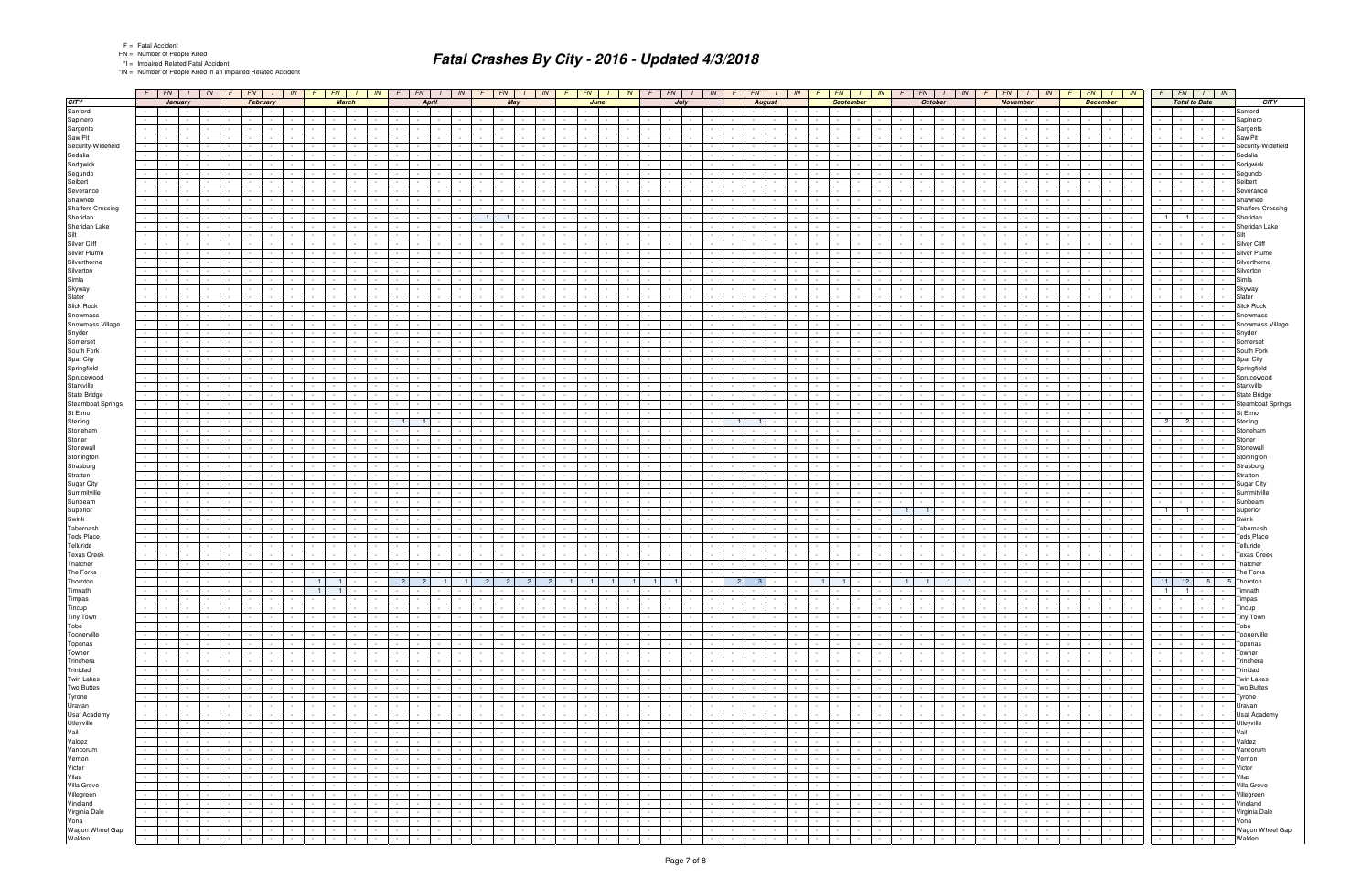\*IN = Number of People Killed in an Impaired Related Accident

|                                    |                       | $F$   $FN$   $1$                         |                          | IN               |                                 | FN                                                   |                 | IN                   | <b>FN</b>                      | IN                                             |                  | $F \mid FN$                                 | IN                                          |                          | FN                                          | IN                           | FN                            |                             | IN                   | FN                                 |                          | IN                                 | FN -                              | IN                                     |        | FN                       |                          | IN. | FN -                                         |                      | IN              | FN                   |                                 | IN              | FN                         |                          | IN                                 |                          | $FN$ $I$ $IN$                                    |                |                          |
|------------------------------------|-----------------------|------------------------------------------|--------------------------|------------------|---------------------------------|------------------------------------------------------|-----------------|----------------------|--------------------------------|------------------------------------------------|------------------|---------------------------------------------|---------------------------------------------|--------------------------|---------------------------------------------|------------------------------|-------------------------------|-----------------------------|----------------------|------------------------------------|--------------------------|------------------------------------|-----------------------------------|----------------------------------------|--------|--------------------------|--------------------------|-----|----------------------------------------------|----------------------|-----------------|----------------------|---------------------------------|-----------------|----------------------------|--------------------------|------------------------------------|--------------------------|--------------------------------------------------|----------------|--------------------------|
| <b>CITY</b>                        |                       |                                          | January                  |                  |                                 | February                                             |                 |                      | <b>March</b>                   |                                                |                  | April                                       |                                             |                          | May                                         |                              |                               | June                        |                      | July                               |                          |                                    |                                   | <b>August</b>                          |        |                          | <b>September</b>         |     |                                              | <b>October</b>       |                 |                      | <b>November</b>                 |                 |                            | <b>December</b>          |                                    |                          | <b>Total to Date</b>                             |                | <b>CITY</b>              |
| Sanford                            |                       | and the property of the con-             |                          |                  |                                 |                                                      |                 |                      |                                |                                                |                  | $\sim 10^{-11}$                             |                                             |                          | $\sim$                                      |                              |                               |                             |                      |                                    |                          |                                    |                                   | $\sim$                                 |        |                          |                          |     |                                              |                      |                 | $\sim 100$           |                                 |                 | $\sim$                     | $\sim 100$               |                                    |                          |                                                  |                | Sanford                  |
| Sapinero                           |                       |                                          |                          |                  |                                 |                                                      |                 |                      |                                |                                                |                  |                                             |                                             |                          |                                             |                              |                               |                             |                      |                                    |                          |                                    |                                   |                                        |        |                          |                          |     |                                              |                      |                 |                      |                                 |                 |                            |                          |                                    |                          |                                                  |                | Sapinero                 |
| Sargents                           |                       |                                          |                          |                  |                                 |                                                      |                 |                      |                                |                                                |                  |                                             |                                             |                          |                                             |                              |                               |                             |                      |                                    |                          |                                    |                                   |                                        |        |                          |                          |     |                                              |                      |                 |                      |                                 |                 |                            |                          |                                    |                          |                                                  |                | Sargents                 |
| Saw Pit                            |                       | $\sim$                                   |                          |                  |                                 |                                                      |                 |                      |                                |                                                |                  |                                             |                                             |                          |                                             |                              |                               |                             |                      |                                    |                          |                                    |                                   |                                        |        |                          |                          |     |                                              |                      |                 |                      |                                 |                 |                            |                          |                                    |                          |                                                  |                | Saw Pit                  |
| Security-Widefield                 |                       |                                          |                          |                  |                                 |                                                      |                 |                      |                                |                                                |                  |                                             |                                             |                          |                                             |                              |                               |                             |                      |                                    |                          |                                    |                                   |                                        |        |                          |                          |     |                                              |                      |                 |                      |                                 |                 |                            |                          |                                    |                          |                                                  |                | Security-Widefield       |
| Sedalia                            |                       |                                          |                          |                  |                                 |                                                      |                 |                      |                                |                                                |                  |                                             |                                             |                          |                                             |                              |                               |                             |                      |                                    |                          |                                    |                                   |                                        |        |                          |                          |     |                                              |                      |                 |                      |                                 |                 |                            |                          |                                    |                          |                                                  |                | Sedalia                  |
| Sedgwick                           |                       |                                          |                          |                  |                                 |                                                      |                 |                      |                                |                                                |                  |                                             |                                             |                          |                                             |                              |                               |                             |                      |                                    |                          |                                    |                                   |                                        |        |                          |                          |     |                                              |                      |                 |                      |                                 |                 |                            |                          |                                    |                          |                                                  |                | Sedgwick                 |
| Segundo                            |                       |                                          |                          |                  |                                 |                                                      |                 |                      |                                |                                                |                  |                                             |                                             |                          |                                             |                              |                               |                             |                      |                                    |                          |                                    |                                   |                                        |        |                          |                          |     |                                              |                      |                 |                      |                                 |                 |                            |                          |                                    |                          |                                                  |                | Segundo                  |
| Seibert                            |                       |                                          |                          |                  |                                 |                                                      |                 |                      |                                |                                                |                  |                                             |                                             |                          |                                             |                              |                               |                             |                      |                                    |                          |                                    |                                   |                                        |        |                          |                          |     |                                              |                      |                 |                      |                                 |                 |                            |                          |                                    |                          |                                                  |                | Seibert                  |
| Severance                          |                       |                                          |                          |                  |                                 |                                                      |                 |                      |                                |                                                |                  |                                             |                                             |                          |                                             |                              |                               |                             |                      |                                    |                          |                                    |                                   |                                        |        |                          |                          |     |                                              |                      |                 |                      |                                 |                 |                            |                          | $\overline{\phantom{a}}$           |                          |                                                  |                | Severance                |
| Shawnee                            |                       |                                          |                          |                  |                                 |                                                      |                 |                      |                                |                                                |                  |                                             |                                             |                          |                                             |                              |                               |                             |                      |                                    |                          |                                    |                                   |                                        |        |                          |                          |     |                                              |                      |                 |                      |                                 |                 |                            |                          |                                    |                          |                                                  |                | Shawnee                  |
| <b>Shaffers Crossing</b>           |                       |                                          |                          |                  |                                 |                                                      |                 |                      |                                |                                                |                  |                                             |                                             |                          |                                             |                              |                               |                             |                      |                                    |                          |                                    |                                   |                                        |        |                          |                          |     |                                              |                      |                 |                      |                                 |                 |                            |                          |                                    |                          |                                                  |                | <b>Shaffers Crossing</b> |
| Sheridan                           |                       |                                          |                          |                  |                                 |                                                      |                 |                      |                                |                                                |                  |                                             |                                             |                          |                                             |                              |                               |                             |                      |                                    |                          |                                    |                                   |                                        |        |                          |                          |     |                                              |                      |                 |                      |                                 |                 |                            |                          |                                    |                          | $\blacksquare$<br>$\sim$                         | $\sim$         | Sheridan                 |
| Sheridan Lake                      |                       |                                          |                          |                  |                                 |                                                      |                 |                      |                                |                                                |                  |                                             |                                             |                          |                                             |                              |                               |                             |                      |                                    |                          |                                    |                                   |                                        |        |                          |                          |     |                                              |                      |                 |                      |                                 |                 |                            |                          |                                    |                          |                                                  |                | Sheridan Lake            |
| Silt                               |                       |                                          |                          |                  |                                 |                                                      |                 |                      |                                |                                                |                  |                                             |                                             |                          |                                             |                              |                               |                             |                      |                                    |                          |                                    |                                   |                                        |        |                          |                          |     |                                              |                      |                 |                      |                                 |                 |                            |                          |                                    |                          |                                                  |                |                          |
| Silver Cliff                       |                       |                                          |                          |                  |                                 |                                                      |                 |                      |                                |                                                |                  |                                             |                                             |                          |                                             |                              |                               |                             |                      |                                    |                          |                                    |                                   |                                        |        |                          |                          |     |                                              |                      |                 |                      |                                 |                 |                            |                          |                                    |                          |                                                  |                | Silver Cliff             |
| Silver Plume                       |                       |                                          |                          |                  |                                 |                                                      |                 |                      |                                |                                                |                  |                                             |                                             |                          |                                             |                              |                               |                             |                      |                                    |                          |                                    |                                   |                                        |        |                          |                          |     |                                              |                      |                 |                      |                                 |                 |                            |                          |                                    |                          |                                                  |                |                          |
| Silverthorne                       |                       |                                          |                          |                  |                                 |                                                      |                 |                      |                                |                                                |                  |                                             |                                             |                          |                                             |                              |                               |                             |                      |                                    |                          |                                    |                                   |                                        |        |                          |                          |     |                                              |                      |                 |                      |                                 |                 |                            |                          |                                    |                          |                                                  |                | Silverthorne             |
| Silverton                          |                       |                                          |                          |                  |                                 |                                                      |                 |                      |                                |                                                |                  |                                             |                                             |                          |                                             |                              |                               |                             |                      |                                    |                          |                                    |                                   |                                        |        |                          |                          |     |                                              |                      |                 |                      |                                 |                 |                            |                          |                                    |                          |                                                  |                | Silverton                |
| Simla                              |                       |                                          |                          |                  |                                 |                                                      |                 |                      |                                |                                                |                  |                                             |                                             |                          |                                             |                              |                               |                             |                      |                                    |                          |                                    |                                   |                                        |        |                          |                          |     |                                              |                      |                 |                      |                                 |                 |                            |                          |                                    |                          |                                                  |                | Simla                    |
| Skyway                             |                       |                                          |                          |                  |                                 |                                                      |                 |                      |                                |                                                |                  |                                             |                                             |                          |                                             |                              |                               |                             |                      |                                    |                          |                                    |                                   |                                        |        |                          |                          |     |                                              |                      |                 |                      |                                 |                 |                            |                          |                                    |                          |                                                  |                | Skyway                   |
| Slater                             |                       |                                          |                          |                  |                                 |                                                      |                 |                      |                                |                                                |                  |                                             |                                             |                          |                                             |                              |                               |                             |                      |                                    |                          |                                    |                                   |                                        |        |                          |                          |     |                                              |                      |                 |                      |                                 |                 |                            |                          |                                    |                          |                                                  |                | Slater                   |
| Slick Rock                         |                       |                                          |                          |                  |                                 |                                                      |                 |                      |                                |                                                |                  |                                             |                                             |                          |                                             |                              |                               |                             |                      |                                    |                          |                                    |                                   |                                        |        |                          |                          |     |                                              |                      |                 |                      |                                 |                 |                            |                          |                                    |                          |                                                  |                | <b>Slick Rock</b>        |
| Snowmass                           |                       |                                          |                          |                  |                                 |                                                      |                 |                      |                                |                                                |                  |                                             |                                             |                          |                                             |                              |                               |                             |                      |                                    |                          |                                    |                                   |                                        |        |                          |                          |     |                                              |                      |                 |                      |                                 |                 |                            |                          |                                    |                          |                                                  |                | <b>Snowmass</b>          |
| Snowmass Village                   |                       |                                          |                          |                  |                                 |                                                      |                 |                      |                                |                                                |                  |                                             |                                             |                          |                                             |                              |                               |                             |                      |                                    |                          |                                    |                                   |                                        |        |                          |                          |     |                                              |                      |                 |                      |                                 |                 |                            |                          |                                    |                          |                                                  |                | Snowmass Village         |
| Snyder                             |                       |                                          |                          |                  |                                 |                                                      |                 |                      |                                |                                                |                  |                                             |                                             |                          |                                             |                              |                               |                             |                      |                                    |                          |                                    |                                   |                                        |        |                          |                          |     |                                              |                      |                 |                      |                                 |                 |                            |                          |                                    |                          |                                                  |                | Snyder                   |
| Somerset                           |                       |                                          |                          |                  |                                 |                                                      |                 |                      |                                |                                                |                  |                                             |                                             |                          |                                             |                              |                               |                             |                      |                                    |                          |                                    |                                   |                                        |        |                          |                          |     |                                              |                      |                 |                      |                                 |                 |                            |                          |                                    |                          |                                                  |                | Somerset                 |
| South Fork                         |                       |                                          |                          |                  |                                 |                                                      |                 |                      |                                |                                                |                  |                                             |                                             |                          |                                             |                              |                               |                             |                      |                                    |                          |                                    |                                   |                                        |        |                          |                          |     |                                              |                      |                 |                      |                                 |                 |                            |                          |                                    |                          |                                                  |                | South Fork               |
| Spar City                          |                       |                                          |                          |                  |                                 |                                                      |                 |                      |                                |                                                |                  |                                             |                                             |                          |                                             |                              |                               |                             |                      |                                    |                          |                                    |                                   |                                        |        |                          |                          |     |                                              |                      |                 |                      |                                 |                 |                            |                          |                                    |                          |                                                  |                | Spar City                |
| Springfield                        |                       |                                          |                          |                  |                                 |                                                      |                 |                      |                                |                                                |                  |                                             |                                             |                          |                                             |                              |                               |                             |                      |                                    |                          |                                    |                                   |                                        |        |                          |                          |     |                                              |                      |                 |                      |                                 |                 |                            |                          |                                    |                          |                                                  |                | Springfield              |
| Sprucewood                         |                       |                                          |                          |                  |                                 |                                                      |                 |                      |                                |                                                |                  |                                             |                                             |                          |                                             |                              |                               |                             |                      |                                    |                          |                                    |                                   |                                        |        |                          |                          |     |                                              |                      |                 |                      |                                 |                 |                            |                          |                                    |                          |                                                  |                | Sprucewooc               |
| Starkville                         |                       |                                          |                          |                  |                                 |                                                      |                 |                      |                                |                                                |                  |                                             |                                             |                          |                                             |                              |                               |                             |                      |                                    |                          |                                    |                                   |                                        |        |                          |                          |     |                                              |                      |                 |                      |                                 |                 |                            |                          |                                    |                          |                                                  |                | Starkville               |
| State Bridge                       |                       |                                          |                          |                  |                                 |                                                      |                 |                      |                                |                                                |                  |                                             |                                             |                          |                                             |                              |                               |                             |                      |                                    |                          |                                    |                                   |                                        |        |                          |                          |     |                                              |                      |                 |                      |                                 |                 |                            |                          |                                    |                          |                                                  |                | State Bridge             |
| <b>Steamboat Springs</b>           |                       |                                          |                          |                  |                                 |                                                      |                 |                      |                                |                                                |                  |                                             |                                             |                          |                                             |                              |                               |                             |                      |                                    |                          |                                    |                                   |                                        |        |                          |                          |     |                                              |                      |                 |                      |                                 |                 |                            |                          |                                    |                          |                                                  |                | Steamboat Springs        |
| St Elmo                            |                       |                                          |                          |                  |                                 |                                                      |                 |                      |                                |                                                |                  |                                             |                                             |                          |                                             |                              |                               |                             |                      |                                    |                          |                                    |                                   |                                        |        |                          |                          |     |                                              |                      |                 |                      |                                 |                 |                            |                          |                                    |                          |                                                  |                | St Elmo                  |
| Sterling                           |                       |                                          |                          |                  |                                 |                                                      |                 |                      |                                |                                                |                  |                                             |                                             |                          |                                             |                              |                               |                             |                      |                                    |                          |                                    |                                   |                                        |        |                          |                          |     |                                              |                      |                 |                      |                                 |                 |                            |                          |                                    |                          |                                                  |                | Sterling                 |
| Stoneham                           |                       |                                          |                          |                  |                                 |                                                      |                 |                      |                                |                                                |                  |                                             |                                             |                          |                                             |                              |                               |                             |                      |                                    |                          |                                    |                                   |                                        |        |                          |                          |     |                                              |                      |                 |                      |                                 |                 |                            |                          |                                    |                          |                                                  |                | Stoneham                 |
| Stoner                             |                       |                                          |                          |                  |                                 |                                                      |                 |                      |                                |                                                |                  |                                             |                                             |                          |                                             |                              |                               |                             |                      |                                    |                          |                                    |                                   |                                        |        |                          |                          |     |                                              |                      |                 |                      |                                 |                 |                            |                          |                                    |                          |                                                  |                | Stone                    |
| Stonewall                          |                       |                                          |                          |                  |                                 |                                                      |                 |                      |                                |                                                |                  |                                             |                                             |                          |                                             |                              |                               |                             |                      |                                    |                          |                                    |                                   |                                        |        |                          |                          |     |                                              |                      |                 |                      |                                 |                 |                            |                          |                                    |                          |                                                  |                |                          |
| Stonington                         |                       |                                          |                          |                  |                                 |                                                      |                 |                      |                                |                                                |                  |                                             |                                             |                          |                                             |                              |                               |                             |                      |                                    |                          |                                    |                                   |                                        |        |                          |                          |     |                                              |                      |                 |                      |                                 |                 |                            |                          |                                    |                          |                                                  |                | Stoningtor               |
| Strasburg                          |                       |                                          |                          |                  |                                 |                                                      |                 |                      |                                |                                                |                  |                                             |                                             |                          |                                             |                              |                               |                             |                      |                                    |                          |                                    |                                   |                                        |        |                          |                          |     |                                              |                      |                 |                      |                                 |                 |                            |                          |                                    |                          |                                                  |                | Strasburo                |
| Stratton                           |                       |                                          |                          |                  |                                 |                                                      |                 |                      |                                |                                                |                  |                                             |                                             |                          |                                             |                              |                               |                             |                      |                                    |                          |                                    |                                   |                                        |        |                          |                          |     |                                              |                      |                 |                      |                                 |                 |                            |                          |                                    |                          |                                                  |                | Stratton                 |
| Sugar City                         |                       |                                          |                          |                  |                                 |                                                      |                 |                      |                                |                                                |                  |                                             |                                             |                          |                                             |                              |                               |                             |                      |                                    |                          |                                    |                                   |                                        |        |                          |                          |     |                                              |                      |                 |                      |                                 |                 |                            |                          |                                    |                          |                                                  |                | Sugar City               |
| Summitville                        |                       |                                          |                          |                  |                                 |                                                      |                 |                      |                                |                                                |                  |                                             |                                             |                          |                                             |                              |                               |                             |                      |                                    |                          |                                    |                                   |                                        |        |                          |                          |     |                                              |                      |                 |                      |                                 |                 |                            |                          |                                    |                          |                                                  |                | Summitville              |
| Sunbeam                            |                       |                                          |                          |                  |                                 |                                                      |                 |                      |                                |                                                |                  |                                             |                                             |                          |                                             |                              |                               |                             |                      |                                    |                          |                                    |                                   |                                        |        |                          |                          |     |                                              |                      |                 |                      |                                 |                 |                            |                          |                                    |                          |                                                  |                | Sunbeam                  |
| Superior                           |                       |                                          |                          |                  |                                 |                                                      |                 |                      |                                |                                                |                  |                                             |                                             |                          |                                             |                              |                               |                             |                      |                                    |                          |                                    |                                   |                                        |        |                          |                          |     |                                              |                      |                 |                      |                                 |                 |                            |                          |                                    |                          |                                                  |                | Superior                 |
| Swink                              |                       |                                          |                          |                  |                                 |                                                      |                 |                      |                                |                                                |                  |                                             |                                             |                          |                                             |                              |                               |                             |                      |                                    |                          |                                    |                                   |                                        |        |                          |                          |     |                                              |                      |                 |                      |                                 |                 |                            |                          |                                    |                          |                                                  |                | Swink                    |
| Tabernash                          |                       |                                          |                          |                  |                                 |                                                      |                 |                      |                                |                                                |                  |                                             |                                             |                          |                                             |                              |                               |                             |                      |                                    |                          |                                    |                                   |                                        |        |                          |                          |     |                                              |                      |                 |                      |                                 |                 |                            |                          |                                    |                          |                                                  |                | Tabernash                |
| <b>Teds Place</b>                  |                       |                                          |                          |                  |                                 |                                                      |                 |                      |                                |                                                |                  |                                             |                                             |                          |                                             |                              |                               |                             |                      |                                    |                          |                                    |                                   |                                        |        |                          |                          |     |                                              |                      |                 |                      |                                 |                 |                            |                          |                                    |                          |                                                  |                | <b>Teds Place</b>        |
| Telluride                          |                       |                                          |                          |                  |                                 |                                                      |                 |                      |                                |                                                |                  |                                             |                                             |                          |                                             |                              |                               |                             |                      |                                    |                          |                                    |                                   |                                        |        |                          |                          |     |                                              |                      |                 |                      |                                 |                 |                            |                          |                                    |                          |                                                  |                | Telluride                |
| <b>Texas Creek</b>                 |                       |                                          |                          |                  |                                 |                                                      |                 |                      |                                |                                                |                  |                                             |                                             |                          |                                             |                              |                               |                             |                      |                                    |                          |                                    |                                   |                                        |        |                          |                          |     |                                              |                      |                 |                      |                                 |                 |                            |                          |                                    |                          |                                                  |                | <b>Texas Creek</b>       |
| Thatcher                           |                       |                                          |                          |                  |                                 |                                                      |                 |                      |                                |                                                |                  |                                             |                                             |                          |                                             |                              |                               |                             |                      |                                    |                          |                                    |                                   |                                        |        |                          |                          |     |                                              |                      |                 |                      |                                 |                 |                            |                          |                                    |                          |                                                  |                | Thatcher                 |
| The Forks                          |                       |                                          |                          |                  |                                 |                                                      |                 |                      |                                |                                                |                  |                                             |                                             |                          |                                             |                              |                               |                             |                      |                                    |                          |                                    |                                   |                                        |        |                          |                          |     |                                              |                      |                 |                      |                                 |                 |                            |                          |                                    |                          |                                                  |                | The Forks                |
| Thornton                           |                       | <b>Contract</b>                          | $\sim$                   |                  |                                 |                                                      |                 | 1 <sup>1</sup>       | $\blacksquare$                 |                                                |                  | 2<br>$\overline{\phantom{0}}$ 2             | $\blacksquare$                              | 2 <sup>1</sup>           | - 2                                         | 2 <sup>1</sup><br>- 2        | $\overline{1}$<br>11          | $\blacksquare$              |                      | $\mathbf{1}$<br>$\overline{1}$     |                          |                                    | 2 <sup>1</sup>                    | - 3                                    |        |                          | $\blacksquare$           |     | 11<br>11                                     | $\blacksquare$       |                 |                      |                                 |                 |                            |                          |                                    | 11                       | 12<br>$5 \mid$                                   |                | 5 Thornton               |
| Timnath                            |                       |                                          |                          |                  |                                 |                                                      |                 |                      | $\mathbf{1}$<br>$\blacksquare$ |                                                |                  |                                             |                                             |                          |                                             |                              |                               |                             |                      |                                    |                          |                                    |                                   | $\sim$                                 |        |                          |                          |     |                                              |                      |                 |                      |                                 |                 | $\sim$                     |                          |                                    | $\mathbf{1}$             | $\sim$ 1.1 $\sim$ $\sim$ $\sim$                  |                | umnatn                   |
| Timpas                             | $\sim 10^{-1}$        | $\sim 10^{-11}$                          | $\sim$                   | $\sim$ $-$       | $\sim$                          | $\sim 100$<br>$\sim$                                 |                 |                      | $\sim 10^{-11}$                | $\sim$<br>$\sim$                               | $\sim$           | $\sim 10^{-11}$<br>$\sim$ $\sim$            |                                             | $\sim 10^{-11}$          | $\sim$<br>$\sim 10^{-1}$                    | $\sim$                       | $\sim$                        | $\sim$ $-$                  | $\sim 10^{-1}$       | $\sim 10^{-11}$<br>$\sim 10^{-1}$  | $\sim 10^{-11}$          | $\sim 10$<br>$\sim 10^{-1}$        | $\sim 10^{-11}$                   | 19 F J<br>$\sim 100$                   | $\sim$ | $\sim 10^{-11}$          | $\sim$                   |     | $\sim$ $-$                                   | $\sim$               | $\sim 10^{-1}$  | $\sim 10^{-1}$       | $\sim 10^{-1}$                  | $\sim 10^{-1}$  | the contract               | $\sim 10^{-11}$          | $\overline{\mathcal{L}}$           | $\sim 10^{-11}$          | the company of                                   | $\sim$         | Timpas                   |
| Tincup                             | $\sim 100$            | and the state of the state               |                          |                  | $\sim$                          | <b>Contract</b>                                      |                 |                      | $\sim 100$                     | $\sim$                                         |                  | the contract of                             | <b>Contract Contract</b>                    | <b>Contract</b>          | $\sim$<br><b>Contract</b>                   | $\sim$ $-$                   |                               | <b>Service</b>              | $\sim$               | $\sim$                             | <b>Contract</b>          | $\sim$ 100 $\pm$<br>$\sim$         | <b>Service</b>                    | <b>Contract</b><br>$\sim$ 100 $\pm$    | $\sim$ |                          | the contract of the con- |     | <b>Contract Contract</b>                     | $\sim$ $-$           | <b>Contract</b> |                      | the contract                    | $\sim 100$      | the contract of the con-   | <b>Contract Contract</b> | $\sim$                             |                          | $\sim$<br>$\sim$ $\sim$                          | $\sim$         | Tincup                   |
| Tiny Town                          | $\sim$                | and the property of the con-             |                          |                  | $\sim$                          |                                                      |                 |                      |                                |                                                | $\sim$ $\sim$    | $\sim 10^{-11}$                             |                                             | $\sim 10^{-11}$          | $\sim$<br><b>Service</b>                    | $\sim$                       |                               |                             | $\sim$               | $\sim$<br>$\sim$                   | $\sim 10^{-11}$          | $\sim$<br>$\sim$ $-$               | $\sim$                            | $\sim$                                 |        | <b>Service</b>           | $\sim$                   |     |                                              | $\sim$ $-$           |                 | $\sim$ $\sim$ $\sim$ | $\sim 10^{-1}$                  |                 | the contract of            | $\sim 10^{-10}$          | $\sim$                             | <b>Contract Contract</b> | $\sim 100$<br>$\sim 100$ km s $^{-1}$            |                | <b>Tiny Town</b>         |
| Tobe                               |                       | .                                        |                          | $\sim 10^{-10}$  | <b>Service</b> Service          | $\sim$                                               |                 | $\sim$               | $\mathbf{1}$ and $\mathbf{1}$  | <b>Contract Contract</b>                       |                  | the contract of                             | and the control                             | and the state            |                                             | and the state                | $\sim$                        | the contract                |                      | $\sim 10^{-10}$<br>$\sim 10^{-11}$ | and the state            | $\sim 10^{-1}$                     |                                   | and the contract                       | $\sim$ |                          | the contract             |     |                                              |                      | $\sim$          |                      | the contract of the contract of | $\sim 10^{-10}$ | and the state              | $\sim 10^{-10}$          | $\sim$                             |                          | and the contract                                 |                | Tobe                     |
| Toonerville                        | $\sim$ $-$            | and the property of the                  |                          | <b>Contract</b>  | $\sim$                          | $\mathbf{I}$ and $\mathbf{I}$<br>$\sim$              | $\sim$          | $\sim$               | $\sim$ $-$                     | $\sim 10^{-11}$<br><b>Contract Contract</b>    |                  | the contract of                             | $\sim 10^{-11}$<br><b>Service</b>           | $\sim$ $\sim$ $\sim$     | $\sim 10^{-11}$                             | <b>Contract Contract</b>     | $\sim$                        | $\sim$ $\sim$               | $\sim$               | $\sim 10^{-1}$<br>$\sim$ $\sim$    | and the state            | $\sim$                             | <b>Contract Contract Contract</b> | $\sim 10^{-11}$<br>$\sim 100$          | $\sim$ |                          | <b>Service</b>           |     | <b>Service</b>                               | $\sim$ $-$           | $\sim 10^{-11}$ |                      | the contract of                 | $\sim 10^{-11}$ | <b>Contract Contract</b>   | <b>Contract</b>          | J,                                 | <b>Contract</b>          | $\sim$<br><b><i>Property Security</i></b>        |                | Toonerville              |
| Toponas                            | $\sim 100$            | the company                              |                          | $\sim 10^{-11}$  | the control of the              |                                                      |                 |                      | $\sim$ $-$                     | $\sim$<br>$\sim 10^{-11}$                      | $\sim$ $\sim$    | $\sim 100$                                  | $\sim$                                      | $\sim$ $\sim$ $\sim$     | $\sim 100$                                  | and the property of the con- |                               | $\sim$ $\sim$ $\sim$        | $\sim$               | $\sim$ $-$<br>$\sim 100$           | $\sim$ $\sim$ $\sim$     | $\sim$<br>$\sim$ 100 $\pm$         | <b>Contract</b>                   | $\sim 10^{-10}$<br>$\sim 100$          | $\sim$ |                          | the contract of the con- |     | $\sim 100$ km s $^{-1}$                      | $\sim$ $-$           | $\sim 10^{-11}$ |                      | the control of the              |                 | the contract of            | <b>Contract</b>          | $\sim 100$                         | <b>Contract Contract</b> | $\sim$<br>and the state of the state of the      |                | Toponas                  |
| Towner                             | $\sim 100$            | and the property of the con-             |                          | $\sim 10^{-11}$  | $\sim$                          | $\mathbf{I}$ and $\mathbf{I}$                        |                 | $\sim$               | $\sim$ $-$                     | $\sim 10^{-11}$<br>$\sim$                      | $\sim 10^{-1}$   | $\sim 100$                                  | $\sim$ $-$<br><b>Contract Contract</b>      | $\sim 10^{-10}$          | $\sim$ $-$<br>$\sim$ $\sim$ $\sim$          | $\sim$ $-$                   |                               | <b>Service</b>              | $\sim$ $-$           | $\sim$<br>$\sim$ $-$               | $\sim 10^{-11}$          | $\sim 10^{-1}$<br>$\sim 10^{-1}$   | <b>Contract Contract Contract</b> | $\sim 100$<br>$\sim 100$               | $\sim$ | $-1$                     | $\sim$ $-$               |     | <b>Contract Contract</b>                     | $\sim$ $-$           | $\sim 10^{-1}$  | <b>Contract</b>      | $\sim 100$                      | $\sim$ $-$      | <b>Contract Contract</b>   | $\sim 10^{-10}$          | $\sim 10^{-1}$                     |                          | $\sim$<br>$\sim$ $ -$                            | $\sim$         | Towner                   |
| Trinchera                          |                       | $-1 - 1 - 1$                             |                          | $\sim 10^{-10}$  | $\sim$                          | and the state of the state<br>$\sim$                 | $\sim$          | $\sim$               | $\sim$ $-$                     | $\sim 10^{-11}$<br>$\sim$ $-$                  |                  | the contract of                             | $\sim 10^{-11}$<br><b>Service</b>           | $\sim$ $\sim$ $\sim$     | $\sim 10^{-1}$                              | <b>Contract Contract</b>     | $\sim$                        | $\sim$ $\sim$ $\sim$ $\sim$ | $\sim$ $-$           | $\sim 10^{-1}$<br>$\sim$ $-$       | and the state            | $\sim$                             |                                   | $\sim 10^{-11}$<br>$\sim 100$          | $\sim$ |                          | <b>Contract Contract</b> |     | <b>Service</b>                               | $\sim$ $-$           | $\sim 10^{-11}$ |                      | the contract of                 | $\sim 10^{-11}$ | <b>Service State</b>       | <b>Contract</b>          | J,                                 | <b>Contract</b>          | $\sim$<br>$\sim$ $ -$                            | $\sim$         | Trinchera                |
| Trinidad                           | $\sim$ $-$            | and the property of the con-             |                          | $\sim 10^{-11}$  | the contract of                 |                                                      |                 |                      | $\sim$ $-$                     | $\sim 10^{-11}$                                | $\sim 10^{-1}$   | $\sim 10^{-11}$                             | $\sim$                                      | $\sim$ $\sim$ $\sim$     | $\sim 100$                                  | and the property of the con- |                               | $\sim$ $\sim$ $\sim$        | $\sim$               | $\sim$ $-$<br>$\sim 100$           | $\sim$ $\sim$ $\sim$     | $\sim$<br>$\sim 100$               | <b>Contract Contract</b>          | $\sim 10^{-10}$<br>$\sim 100$          | $\sim$ |                          | the contract of the con- |     | $\sim 100$ km s $^{-1}$                      | $\sim$ $-$           | $\sim 10^{-11}$ |                      | the control of the              |                 | the contract of            | <b>Contract</b>          | $\sim 100$                         | <b>Contractor</b>        | $\sim$<br>and the state of the state of the      |                | Trinidad                 |
| <b>Twin Lakes</b>                  | $\sim$                | and the property of the con-             |                          | $\sim 10^{-11}$  | $\sim$ $-$                      | $\mathbf{I}$ and $\mathbf{I}$                        |                 | $\sim$               | $\sim$ $-$                     | $\sim 10^{-11}$<br>$\sim$                      |                  | the contract of                             | $\sim 10^{-11}$<br>$\sim$ $-$               | $\sim 10^{-10}$          | $\sim 10^{-1}$<br><b>Contract</b>           | $\sim 100$                   |                               | <b>Contract</b>             | $\sim$ $-$           | $\sim$<br>$\sim$ $-$               | <b>Contract</b>          | $\sim 10^{-1}$<br>$\sim 100$       | <b>Contract Contract Contract</b> | $\sim 100$ m $^{-1}$<br>$\sim 100$     | $\sim$ |                          | <b>Contract Contract</b> |     | <b>Contract</b>                              | $\sim$ $-$           | $\sim 10^{-11}$ | <b>Contract</b>      | $\sim 100$                      | $\sim 10^{-11}$ | the contract of            | $\sim 10^{-10}$          | $\sim 10^{-1}$                     |                          | $\sim$<br><b><i>Property Security</i></b>        |                | <b>Twin Lakes</b>        |
| Two Buttes                         |                       | the contract of the contract of the con- |                          | $\sim 10^{-11}$  | the contract of the contract of | $\sim$                                               |                 | $\sim$               | $\sim$ $-$                     | $\sim$<br>$\sim 10^{-11}$                      |                  | <b>Service Control</b>                      | $\sim$ $\sim$ $\sim$<br>$\sim 100$          | the contract of          |                                             | the contract of              | $\sim$                        | the contract                |                      | $\sim 10^{-1}$<br>$\sim 100$       | and the state            | $\sim$ $-$                         |                                   | and the contract<br>$\sim$ 100 $\pm$   | $\sim$ |                          | <b>Contract Contract</b> |     | $\sim$<br>$\sim$ $\sim$ $\sim$ $\sim$ $\sim$ | $\sim 100$           | $\sim 10^{-1}$  |                      | the contract of                 | $\sim 10^{-11}$ | the contract of            | $\sim 10^{-10}$          | $\sim 10^{-11}$                    |                          | $\sim$<br>$-1 - 1 - 1$                           |                | <b>Two Buttes</b>        |
| Tyrone                             | $\sim 100$            | and the property of the con-             |                          | $\sim 10^{-11}$  | $\sim$<br>$\mathbf{r}$          |                                                      |                 |                      | <b>Contract Contract</b>       |                                                | $\sim$           | $\sim 10^{-1}$                              |                                             | <b>Service</b>           | $\sim$ $-$<br><b>Service</b>                | $\sim$                       |                               | <b>Service</b>              | $\sim$               | $\sim$ 100 $\mu$<br>$\sim$         | <b>Contract</b>          | $\sim$<br>$\sim 100$               | $\sim 100$                        | $\sim 10^{-11}$<br>$\sim$ 100 $\mu$    | $\sim$ | <b>Contract Contract</b> | $\sim$ $\sim$            |     | $\sim$ $\sim$                                | $\sim 10^{-1}$       | <b>Contract</b> | <b>Contract</b>      | $\sim 100$                      | $\sim 10^{-11}$ | <b>Contract Contract</b>   | <b>Contract</b>          | $\sim$                             | <b>Contract Contract</b> | $\sim 10^{-11}$<br><b>1999</b>                   | $\sim$         | Tyrone                   |
| Uravan                             |                       | the contract of the contract of the con- |                          | <b>Contract</b>  | the contract of the con-        |                                                      | <b>Contract</b> |                      | the contract of the            | $\sim$ $\sim$ $\sim$ $\sim$<br><b>Contract</b> |                  | the contract of                             | <b>Service</b><br>$\sim 100$                | $\sim$ $\sim$ $\sim$     | $\sim 100$                                  | the contract of              | $\sim$                        | the contract                |                      | $\sim$ $-$<br>$\sim$ $-$           | <b>Contract Contract</b> | $\sim 10^{-1}$                     |                                   |                                        | $\sim$ |                          | the contract of          |     | $\sim$ $\sim$ $\sim$ $\sim$                  | the contract of      |                 |                      | the contract of the contract of | <b>Contract</b> | the contract of            | <b>Contract</b>          | $\sim 10^{-1}$                     | <b>Contract Contract</b> | $-1 - 1 - 1 - 1$                                 |                | Uravan                   |
|                                    | $\sim 10^{-11}$       | the contract of the con-                 |                          | $\sim 10^{-11}$  | $\sim$ $-$                      | <b>Contract Contract</b><br>$\sim$                   |                 | $\sim$               | $\sim$ $-$                     | $\sim$ $\sim$<br>$\sim$ $-$                    | $\sim$ $\sim$    | $\sim 10^{-11}$<br><b>Contract Contract</b> | $\sim$ $-$                                  | $\sim 10^{-11}$          | $\sim 10^{-1}$<br><b>Contract</b>           | $\sim 10^{-1}$               | $\sim$                        | <b>Contract</b>             | $\sim$ $-$           | $\sim$ $-$                         | <b>Contract</b>          | $\sim$ $\sim$<br>$\sim 10^{-11}$   | <b>Contract</b>                   | $\sim 10^{-11}$                        | $\sim$ |                          | <b>Contract Contract</b> |     | <b>Contract</b><br>$\sim$                    | $\sim$ $-$           | $\sim 10^{-11}$ | <b>Contract</b>      | $\sim 100$                      | $\sim 10^{-11}$ | and the state of the state | <b>Contract Contract</b> | $\sim$                             |                          | $\sim 10^{-10}$<br><b>Contract Contract</b>      |                | Usaf Academy             |
|                                    |                       | .                                        |                          | $\sim$ $-$       | <b>Service</b> Service          |                                                      |                 | $\sim$               | $\sim 10^{-11}$                | $\sim$<br>$\sim$ $-$                           |                  | the contract of<br><b>Contract Contract</b> | $\sim$ $-$                                  | $\sim$ $\sim$ $\sim$     | $\sim 10^{-11}$                             | <b>Contract Contract</b>     | $\sim$                        | $\sim$ $\sim$ $\sim$        | $\sim$ $-$           | $\sim 100$<br>$\sim$ $-$           | the contract             | $\sim 10^{-1}$                     | $\sim 10^{-10}$                   | $\sim 10^{-10}$<br>$\sim$ 100 $\pm$    | $\sim$ |                          | <b>Contract Contract</b> |     | <b>Contract Contract</b>                     | $\sim$ $-$           | $\sim 10^{-11}$ |                      | <b>Service</b> Service          | $\sim 10^{-11}$ | the contract of            |                          | <b>Contract Contract</b>           | $\sim 10^{-10}$          | .                                                |                | Utleyville               |
| Usaf Academy<br>Utleyville<br>Vail | $\sim 10$             | and the state                            |                          | $\sim 10^{-10}$  | the contract of                 |                                                      |                 | $\sim$ $\sim$        | <b>Contract</b>                | <b>Service</b><br>$\sim 10^{-11}$              |                  | 그리다                                         | <b>Service</b><br>$\sim$ $-$                | $\sim$ $\sim$ $\sim$     | $\sim 10^{-1}$                              | the contract of              | $\sim$ 100 $\sim$             | $\sim$ $\sim$               | $\sim$               | $\sim 100$<br>$\sim$ $-$           | in a complete and        | $\sim$                             | $\sim$ $-$                        | k Ejir<br><b>Contract</b>              | $\sim$ |                          | the contract of          |     | $\sim$<br>$\sim$ $-$                         | $\sim$ $\sim$ $\sim$ | $\sim 100$      |                      | <b>Second Control</b>           | $\sim 10^{-1}$  | <b>Carl Carl</b>           |                          | $\sim 10^{-10}$ km s $^{-1}$       | $\sim 10^{-10}$          | and the state of the state                       |                | Vail                     |
| Valdez                             | $\sim 10^{-11}$       | $\sim 100$ km s $^{-1}$                  | $\sim 10^{-11}$          | $\sim$ $-$       | $\sim$                          | <b>Contractor</b><br>$\sim$                          |                 | $\sim$               | $\sim$ $-$                     | $\sim$ $\sim$<br>$\sim$                        | $\sim$ $-$       | $\sim 10^{-11}$<br>$\sim 10^{-11}$          | $\sim$                                      | $\sim 10^{-11}$          | $\sim 10^{-1}$<br><b>Contract</b>           | $\sim$ $-$                   | $\sim$                        | <b>Contract</b>             | $\sim$ $-$<br>$\sim$ | $\sim$ $-$                         | <b>Contract</b>          | $\sim 100$<br>$\sim$ $\sim$        | <b>Contract</b>                   | $\sim 10^{-11}$                        | $\sim$ |                          | <b>Contract Contract</b> |     | $\sim$ $-$                                   | $\sim$ $-$           | $\sim$ $-$      | $\sim 10^{-11}$      | $\sim 10^{-1}$                  | $\sim$          | <b>Contract Contract</b>   | <b>Contract</b>          | $\sim$                             |                          | $\sim$<br><b>Contract Contract</b>               | $\sim$         | Valdez                   |
| Vancorum                           |                       | the contract of the contract of the con- |                          | $\sim$ $-$       |                                 | $\sim$ $-$                                           |                 | $\sim$               | $\sim$ 100 $\mu$               | $\sim$<br>$\sim 10^{-11}$                      |                  | the contract of                             | <b>Contract</b><br>$\sim$ $-$               | and the state            |                                             | <b>Contract Contract</b>     | $\sim$                        | the contract                |                      | $\sim 10^{-11}$<br>$\sim$          | the contract             | $\sim$ $-$                         | $\sim 10^{-10}$                   | $\sim 10^{-10}$<br>$\sim 100$          | $\sim$ |                          | <b>Contract Contract</b> |     | <b>Contract Contract</b>                     |                      | $\sim 10^{-11}$ |                      | <b>Service</b> Service          | $\sim 10^{-11}$ | the contract of            | $\sim 10^{-10}$          | $\sim 100$                         | <b>Contract</b>          | $\sim 10$<br>and the state of the state          |                | Vancorum                 |
|                                    | $\sim 10$             | and the property of the                  |                          | <b>Contract</b>  | the contract of                 |                                                      |                 | $\sim$ $\sim$ $\sim$ | $\sim 10^{-11}$                | <b>Service</b><br>$\sim 10^{-11}$              |                  | in a bhaile ann                             | $\sim 10^{-11}$<br><b>Contract Contract</b> | $\sim 10^{-11}$          | $\sim 10^{-1}$                              | the control of the           | $\sim$ $-$<br>$\sim$          | $\sim$ $\sim$               | $\sim$               | $\sim 10^{-11}$<br>$\sim$ $-$      | <b>Service</b> Service   | $\sim$                             | <b>Contract Contract</b>          | $\sim 100$ km s $^{-1}$<br>$\sim 100$  | $\sim$ |                          | the contract of the con- |     | $  -$                                        | $\sim$ $-$           | $\sim 10^{-11}$ |                      | <b>Second Control</b>           | $\sim 10^{-1}$  | <b>Service State</b>       | $\sim 10^{-10}$          | J,                                 | <b>Contractor</b>        | $\sim$ $-$<br>$\sim$ $\sim$ $\sim$ $\sim$        | $\sim$         | Vernon                   |
|                                    |                       |                                          |                          | $\sim 10^{-11}$  | $\sim 10^{-1}$                  | $\mathbf{1}$<br>$\sim$                               |                 | $\sim$               | $\sim 10^{-11}$                | $\sim 10^{-11}$<br>$\sim$ $-$                  | $\sim$ 100 $\mu$ | $\sim 100$<br>$\sim 100$                    | $\sim$ $-$                                  | <b>Contract Contract</b> | $\sim 10^{-1}$                              | <b>Contract Contract</b>     | $\sim$                        | $\sim$ $\sim$ $\sim$        | $\sim$ $\sim$        | $\sim$ 100 $\mu$<br>$\sim$ $\sim$  | $\sim$ $\sim$            | $\sim 10^{-1}$<br>$\sim$ 100 $\mu$ | <b>Contract Contract Contract</b> | $\sim 100$<br>$\sim$                   | $\sim$ |                          | the contract of          |     | $1 - 2 - 1$<br>$\sim$                        | $\sim$ $-$           | $\sim 10^{-11}$ | $\sim$ $\sim$        | $\sim 100$                      | $\sim 10^{-11}$ | the contract of            | <b>Contractor</b>        | J,                                 |                          | $\sim 10^{-11}$<br><b>1999</b>                   | $\sim 10^{-1}$ | Victor                   |
| Vernon<br>Victor<br>Vilas          | $\sim 100$            | the contract of the con-                 |                          | $\sim$ $-$       | the contract of the con-        |                                                      |                 | $\sim$               | $\sim 10^{-11}$                | $\sim$<br>$\sim$ 100 $\pm$                     |                  | the contract of                             | <b>Contract Contract</b><br>$\sim$          | <b>Contract</b>          | $\sim 10^{-1}$<br>$\sim$ $\sim$ $\sim$      | $\sim$ 100 $\pm$             | $\sim$                        | <b>Contract Contract</b>    | $\sim$ $-$           | $\sim$ $-$<br>$\sim$               | $\sim$ $\sim$ $\sim$     | $\sim 10^{-1}$<br>$\sim 10^{-1}$   | <b>Contract</b>                   | $\sim 10^{-11}$<br>$\sim$ 100 $\pm$    | $\sim$ |                          | the contract of the con- |     | <b>Contract</b>                              | $\sim$ $-$           | $\sim 10^{-11}$ | $\sim$ $\sim$ $\sim$ | <b>Contract</b>                 | $\sim$ $-$      | <b>Contract Contract</b>   | <b>Contract</b>          | $\sim$ $-$                         |                          | $\sim$<br>$\sim$ $ -$                            | $\sim$         | Vilas                    |
| Villa Grove                        |                       | $-1 - 1 - 1 - 1$                         |                          | $\sim 10^{-11}$  | <b>Second Control</b>           |                                                      |                 | $\sim$               | $\sim 10^{-11}$                | <b>Service</b><br>$\sim 10^{-1}$               |                  | the contract of                             | $\sim$ $-$                                  | the contract of          |                                             | the control of the           | $\sim$                        | $\sim$ $-$                  | $\sim$ $-$           | $\sim 10^{-11}$<br>$\sim$ $-$      | and the state            | $\sim 10^{-1}$                     |                                   | the contract of<br>$\sim 100$          | $\sim$ |                          | the contract of          |     | $\sim$<br>$\sim$ $\sim$ $\sim$ $\sim$        |                      | $\sim 10^{-11}$ |                      | <b>Second Control</b>           | $\sim 10^{-11}$ | <b>Service State</b>       | $\sim 10^{-10}$          | $\sim 10^{-1}$                     | $\sim 10^{-10}$          | $\sim 10^{-1}$<br>1999 - Personal Property Corp. |                | Villa Grove              |
| Villegreen                         | $\sim 10$             | <b>Contract Contract</b>                 | $\sim 100$               | $\sim$ 100 $\mu$ | $\sim 10^{-1}$                  | $\mathbf{I}$ and $\mathbf{I}$<br>$\sim$              | $\sim$          | $\sim$               | $\sim 10^{-11}$                | $\sim 10^{-11}$<br>$\sim$ $-$                  | $\sim 10^{-1}$   | $\sim 10^{-10}$                             | <b>Contract</b><br>$\sim 10^{-1}$           | <b>Service</b>           | $\sim 10^{-11}$                             | <b>Contract Contract</b>     | $\sim$                        | <b>Contract Contract</b>    | $\sim$               | $\sim$ 100 $\mu$<br>$\sim 100$     | $\sim$ $\sim$ $\sim$     | $\sim 10^{-1}$<br>$\sim$ 10 $\pm$  | $\sim 10^{-10}$ m $^{-1}$         | $\sim 10^{-11}$<br>$\sim 100$          | $\sim$ |                          | and the state            |     | <b>Contract Contract</b><br>$\sim$           | $\sim 10^{-1}$       | <b>Contract</b> | $\sim$ $\sim$ $\sim$ | $\sim 100$                      | $\sim 10^{-11}$ | the contract of            |                          | <b><i><u>Communication</u></i></b> |                          | $\sim 10^{-1}$<br><b>Contract Contract</b>       |                | Villegreen               |
| Vineland                           | $\sim$ $\sim$         | the company                              |                          | $\sim$ $-$       | $\sim$                          | $\mathbf{I}$ . The set of $\mathbf{I}$<br>$\sim$     |                 | $\sim$               | $\sim$ $-$                     | $\sim$<br>$\sim 10^{-11}$                      |                  | the contract of                             | <b>Contract Contract</b><br>$\sim 10^{-1}$  | <b>Contract</b>          | $\sim 10^{-1}$<br><b>Contract</b>           | $\sim 100$                   | $\sim$<br>$\sim$ $-$          | $\sim$ $\sim$               | $\sim$               | <b>Contract</b><br>$\sim$ $-$      | $\sim$ $\sim$ $\sim$     | $\sim 10^{-1}$<br>$\sim 100$       | <b>Contract</b>                   | $\sim 100$<br>$\sim 100$               | $\sim$ |                          | the contract of          |     | <b>Contract Contract</b>                     | $\sim$ $-$           | $\sim 10^{-11}$ | $\sim$ $\sim$ $\sim$ | <b>Contract</b>                 | $\sim 10^{-11}$ | the contract of            | <b>Contract</b>          | $\sim$                             | <b>Contractor</b>        | $\sim$<br>1999 - Personal Property Corp.         |                | Vineland                 |
| Virginia Dale                      |                       | $-1 - 1 - 1 - 1$                         |                          | $\sim 10^{-11}$  | <b>Service State</b>            |                                                      |                 | $\sim$               | $\sim 10^{-10}$                | $\sim$<br>$\sim 10^{-1}$                       |                  | <b>Contract Contract</b>                    | $\sim$                                      | the contract of          |                                             | the contract                 | $\sim$                        | the contract                |                      | $\sim 100$<br>$\sim$ $-$           | and the state            | $\sim 10$                          |                                   | $\sim 10^{-11}$<br>$\sim 100$          | $\sim$ |                          | <b>Contract Contract</b> |     | $\sim$<br>$\sim$ $\sim$ $\sim$ $\sim$        |                      | $\sim 10^{-11}$ |                      | <b>Second Control</b>           | $\sim 10^{-11}$ | <b>Service State</b>       | $\sim 10^{-10}$          | $\sim 10^{-1}$                     | $\sim 10^{-10}$          | $     -$                                         |                | Virginia Dale            |
| Vona                               | $\Delta \sim 10^{-1}$ |                                          | <b>Contract Contract</b> | <b>Contract</b>  | $\sim$                          | $\mathbf{I}$ . The set of $\mathbf{I}$<br>$\sim$ $-$ | $\sim 10^{-11}$ | $\sim$               | $\sim 10^{-11}$                | $\sim 10^{-11}$<br>$\sim 10^{-11}$             | $\sim$           | $\sim 10^{-10}$<br><b>Contract Contract</b> | $\sim 10^{-11}$                             | <b>Service</b>           | $\sim 10^{-11}$<br><b>Contract Contract</b> | $\sim$ $\sim$                | $\sim$                        | <b>Service</b>              | $\sim$               | <b>Service</b><br>$\sim 100$       | $\sim$ $\sim$ $\sim$     | $\sim 10^{-1}$<br>$\sim$ 10 $\pm$  | <b>Contract</b>                   | $\sim 10^{-11}$<br>$\sim 100$          | $\sim$ |                          | and the state            |     | <b>Contract Contract</b>                     | $\sim$ $-$           | <b>Contract</b> | $\sim$ $\sim$ $\sim$ | $\sim 10^{-1}$                  | $\sim 10^{-11}$ | the contract of            | $\sim$                   | $\sim$                             |                          | $\sim$<br><b>Contract Contract</b>               |                | Vona                     |
| Wagon Wheel Gap                    |                       | $-1 - 1 - 1 -$                           |                          | $\sim$ 100 $\mu$ | the contract of                 | $\sim$ $-$                                           | $\sim 10^{-1}$  | $\sim$ $\sim$ $\sim$ | <b>Contract</b>                | <b>Contract</b><br>$\sim 10^{-11}$             |                  | the contract of                             | $\sim 10^{-10}$<br>$\sim 10^{-10}$          | $\sim$ $\sim$ $\sim$     | $\sim 100$                                  | the contract of              | $\sim$ $-$<br>$\sim 10^{-10}$ | the contract of             |                      | <b>Contract</b><br>$\sim$ $-$      | the contract of the con- | $\sim 10^{-1}$                     |                                   | the contract of<br>$\sim 100$          | $\sim$ |                          | the contract of          |     | $\sim$<br>$\sim$ $-$                         | $\sim$ 100 $\pm$     | $\sim 10^{-11}$ |                      | the contract of the contract of | <b>Contract</b> | <b>Contract Contract</b>   | <b>Contract</b>          | $\sim$                             | <b>Contract</b>          | $\sim 10^{-1}$<br>and the state of the state     |                | Wagon Wheel Gap          |
| Walden                             |                       | and the state                            |                          | $\sim$ $-$       | $\sim$                          | $\sim$ $-$                                           |                 |                      | $\sim$ $-$                     | $\sim$<br>$\sim$                               | $\sim 10^{-1}$   | $\sim$ $-$                                  | <b>Contract</b><br>$\sim$                   | $\sim 10^{-11}$          | $\sim 10^{-1}$<br>$\sim$ $\sim$ $\sim$      | $\sim$                       |                               | $\sim$                      | $\sim$ $\sim$        |                                    | $\sim$ $\sim$ $\sim$     | $\sim 100$<br>$\sim 100$           |                                   | <b>Contract Contract</b><br>$\sim 100$ | $\sim$ |                          | <b>Service</b>           |     | <b>Contract</b>                              | $\sim$               | $\sim 10^{-11}$ |                      | <b>Service State</b>            | $\sim 10^{-1}$  | <b>Service State</b>       | $\sim 10^{-11}$          | $\sim$                             |                          | $\sim 10^{-1}$<br>$\sim$ 100 $\pm$ 100 $\pm$     | $\sim 10^{-1}$ | Walden                   |